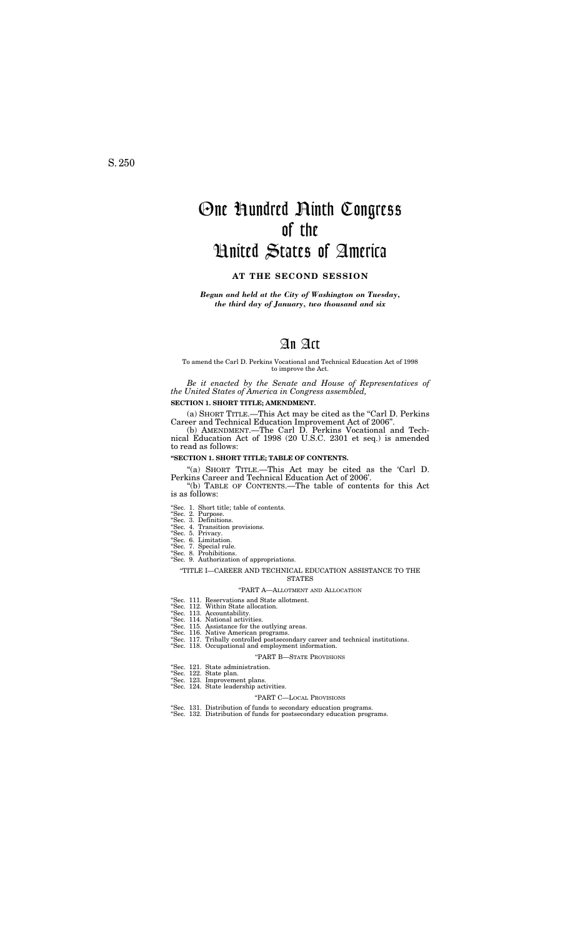## S. 250

# One Hundred Ninth Congress

# of the

## United States of America

## **AT THE SECOND SESSION**

*Begun and held at the City of Washington on Tuesday, the third day of January, two thousand and six*

## An Act

## To amend the Carl D. Perkins Vocational and Technical Education Act of 1998 to improve the Act.

*Be it enacted by the Senate and House of Representatives of the United States of America in Congress assembled,*

## **SECTION 1. SHORT TITLE; AMENDMENT.**

"(a) SHORT TITLE.—This Act may be cited as the 'Carl D. Perkins Career and Technical Education Act of 2006'.

(a) SHORT TITLE.—This Act may be cited as the ''Carl D. Perkins Career and Technical Education Improvement Act of 2006''.

(b) AMENDMENT.—The Carl D. Perkins Vocational and Technical Education Act of 1998 (20 U.S.C. 2301 et seq.) is amended to read as follows:

## **''SECTION 1. SHORT TITLE; TABLE OF CONTENTS.**

''(b) TABLE OF CONTENTS.—The table of contents for this Act is as follows:

- ''Sec. 1. Short title; table of contents.
- ''Sec. 2. Purpose.
- ''Sec. 3. Definitions.
- ''Sec. 4. Transition provisions.
- ''Sec. 5. Privacy. ''Sec. 6. Limitation.
- ''Sec. 7. Special rule.
- ''Sec. 8. Prohibitions.
- ''Sec. 9. Authorization of appropriations.

## ''TITLE I—CAREER AND TECHNICAL EDUCATION ASSISTANCE TO THE STATES

#### ''PART A—ALLOTMENT AND ALLOCATION

- ''Sec. 111. Reservations and State allotment.
- ''Sec. 112. Within State allocation.
- ''Sec. 113. Accountability.
- ''Sec. 114. National activities. ''Sec. 115. Assistance for the outlying areas.
- ''Sec. 116. Native American programs.
- ''Sec. 117. Tribally controlled postsecondary career and technical institutions.
- ''Sec. 118. Occupational and employment information.

## ''PART B—STATE PROVISIONS

- ''Sec. 121. State administration.
- ''Sec. 122. State plan.
- ''Sec. 123. Improvement plans.
- ''Sec. 124. State leadership activities.

## ''PART C—LOCAL PROVISIONS

- ''Sec. 131. Distribution of funds to secondary education programs.
- ''Sec. 132. Distribution of funds for postsecondary education programs.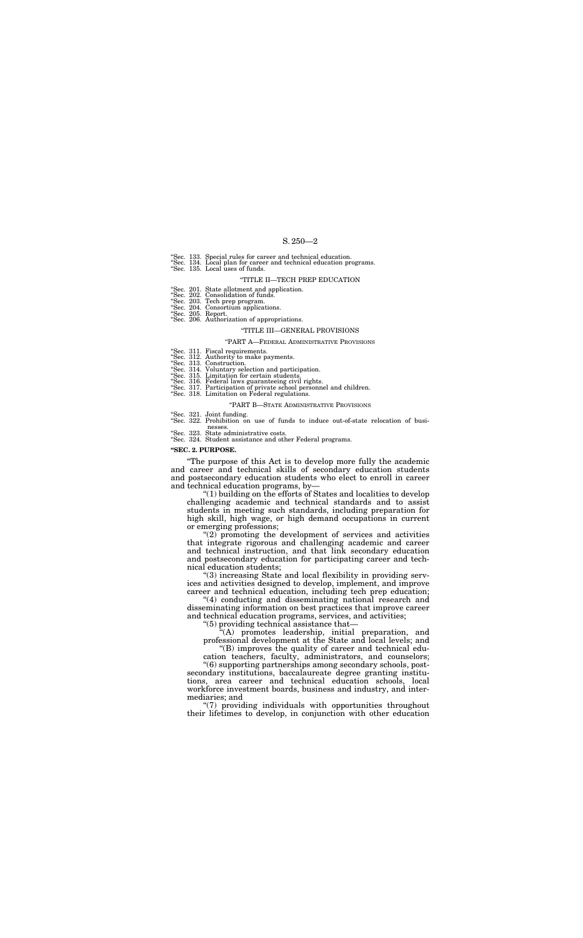- 
- ''Sec. 133. Special rules for career and technical education. ''Sec. 134. Local plan for career and technical education programs. ''Sec. 135. Local uses of funds.
- 

## ''TITLE II—TECH PREP EDUCATION

- 
- 
- 
- ''Sec. 201. State allotment and application. ''Sec. 202. Consolidation of funds. ''Sec. 203. Tech prep program. ''Sec. 204. Consortium applications. ''Sec. 205. Report. ''Sec. 206. Authorization of appropriations.
- -

## ''TITLE III—GENERAL PROVISIONS

### ''PART A—FEDERAL ADMINISTRATIVE PROVISIONS

- 
- 
- 
- 
- 
- "Sec. 311. Fiscal requirements.<br>"Sec. 312. Authority to make payments.<br>"Sec. 313. Construction.<br>"Sec. 313. Unstruction.<br>"Sec. 314. Voluntary selection and participation.<br>"Sec. 315. Limitation of private school personnel an
- 

## ''PART B—STATE ADMINISTRATIVE PROVISIONS

- 
- ''Sec. 321. Joint funding. ''Sec. 322. Prohibition on use of funds to induce out-of-state relocation of businesses. ''Sec. 323. State administrative costs. ''Sec. 324. Student assistance and other Federal programs.
- 
- 

## **''SEC. 2. PURPOSE.**

''The purpose of this Act is to develop more fully the academic and career and technical skills of secondary education students and postsecondary education students who elect to enroll in career and technical education programs, by—

"(7) providing individuals with opportunities throughout their lifetimes to develop, in conjunction with other education

''(1) building on the efforts of States and localities to develop challenging academic and technical standards and to assist students in meeting such standards, including preparation for high skill, high wage, or high demand occupations in current or emerging professions;

''(2) promoting the development of services and activities that integrate rigorous and challenging academic and career and technical instruction, and that link secondary education and postsecondary education for participating career and technical education students;

''(3) increasing State and local flexibility in providing services and activities designed to develop, implement, and improve career and technical education, including tech prep education;

''(4) conducting and disseminating national research and disseminating information on best practices that improve career and technical education programs, services, and activities;

"(5) providing technical assistance that-

''(A) promotes leadership, initial preparation, and professional development at the State and local levels; and

''(B) improves the quality of career and technical education teachers, faculty, administrators, and counselors;

''(6) supporting partnerships among secondary schools, postsecondary institutions, baccalaureate degree granting institutions, area career and technical education schools, local workforce investment boards, business and industry, and inter-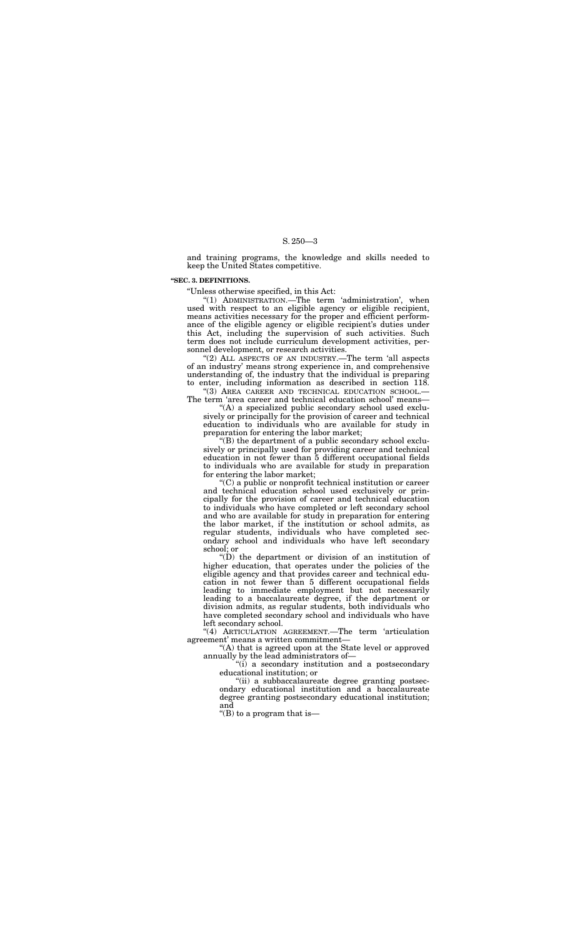and training programs, the knowledge and skills needed to keep the United States competitive.

## **''SEC. 3. DEFINITIONS.**

''Unless otherwise specified, in this Act:

"(1) ADMINISTRATION.—The term 'administration', when used with respect to an eligible agency or eligible recipient, means activities necessary for the proper and efficient performance of the eligible agency or eligible recipient's duties under this Act, including the supervision of such activities. Such term does not include curriculum development activities, personnel development, or research activities.

"(A) a specialized public secondary school used exclusively or principally for the provision of career and technical education to individuals who are available for study in preparation for entering the labor market;

''(2) ALL ASPECTS OF AN INDUSTRY.—The term 'all aspects of an industry' means strong experience in, and comprehensive understanding of, the industry that the individual is preparing to enter, including information as described in section 118.

''(3) AREA CAREER AND TECHNICAL EDUCATION SCHOOL.— The term 'area career and technical education school' means—

"(A) that is agreed upon at the State level or approved annually by the lead administrators of—

''(B) the department of a public secondary school exclusively or principally used for providing career and technical education in not fewer than 5 different occupational fields to individuals who are available for study in preparation for entering the labor market;

"(i) a secondary institution and a postsecondary educational institution; or

"(ii) a subbaccalaureate degree granting postsecondary educational institution and a baccalaureate degree granting postsecondary educational institution; and

"(B) to a program that is  $-$ 

''(C) a public or nonprofit technical institution or career and technical education school used exclusively or principally for the provision of career and technical education to individuals who have completed or left secondary school and who are available for study in preparation for entering the labor market, if the institution or school admits, as regular students, individuals who have completed secondary school and individuals who have left secondary school; or

''(D) the department or division of an institution of higher education, that operates under the policies of the eligible agency and that provides career and technical education in not fewer than 5 different occupational fields leading to immediate employment but not necessarily leading to a baccalaureate degree, if the department or division admits, as regular students, both individuals who have completed secondary school and individuals who have left secondary school.

''(4) ARTICULATION AGREEMENT.—The term 'articulation agreement' means a written commitment—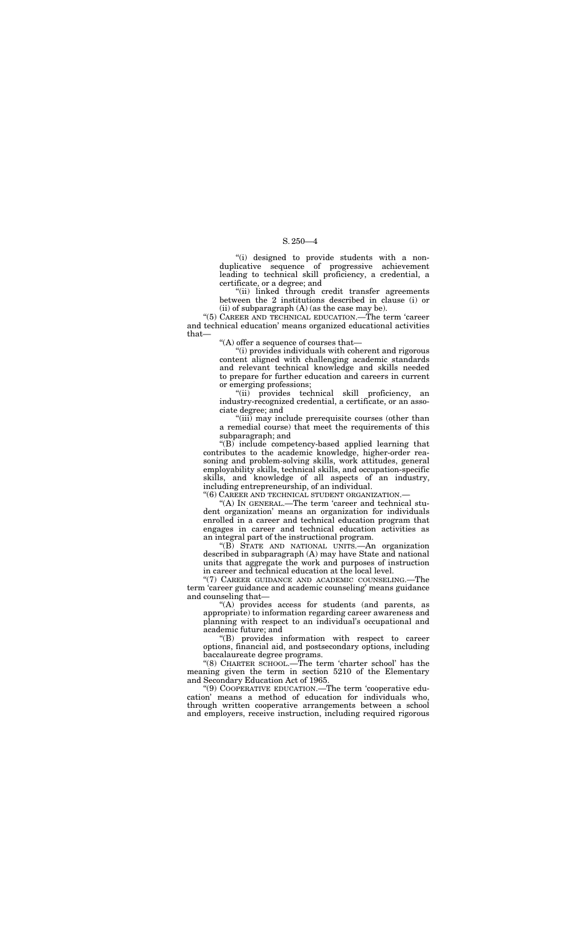''(i) designed to provide students with a nonduplicative sequence of progressive achievement leading to technical skill proficiency, a credential, a certificate, or a degree; and

"(ii) linked through credit transfer agreements between the 2 institutions described in clause (i) or (ii) of subparagraph (A) (as the case may be).

''(5) CAREER AND TECHNICAL EDUCATION.—The term 'career and technical education' means organized educational activities that—

> "(ii) provides technical skill proficiency, an industry-recognized credential, a certificate, or an associate degree; and

''(A) offer a sequence of courses that—

"(iii) may include prerequisite courses (other than a remedial course) that meet the requirements of this subparagraph; and

''(i) provides individuals with coherent and rigorous content aligned with challenging academic standards and relevant technical knowledge and skills needed to prepare for further education and careers in current or emerging professions;

'(A) In GENERAL.—The term 'career and technical student organization' means an organization for individuals enrolled in a career and technical education program that engages in career and technical education activities as an integral part of the instructional program.

"(7) CAREER GUIDANCE AND ACADEMIC COUNSELING.—The term 'career guidance and academic counseling' means guidance and counseling that—

''(B) include competency-based applied learning that contributes to the academic knowledge, higher-order reasoning and problem-solving skills, work attitudes, general employability skills, technical skills, and occupation-specific skills, and knowledge of all aspects of an industry, including entrepreneurship, of an individual.

"(8) CHARTER SCHOOL.—The term 'charter school' has the meaning given the term in section 5210 of the Elementary and Secondary Education Act of 1965.

''(6) CAREER AND TECHNICAL STUDENT ORGANIZATION.—

''(B) STATE AND NATIONAL UNITS.—An organization described in subparagraph (A) may have State and national units that aggregate the work and purposes of instruction in career and technical education at the local level.

''(A) provides access for students (and parents, as appropriate) to information regarding career awareness and planning with respect to an individual's occupational and academic future; and

''(B) provides information with respect to career options, financial aid, and postsecondary options, including baccalaureate degree programs.

''(9) COOPERATIVE EDUCATION.—The term 'cooperative education' means a method of education for individuals who, through written cooperative arrangements between a school and employers, receive instruction, including required rigorous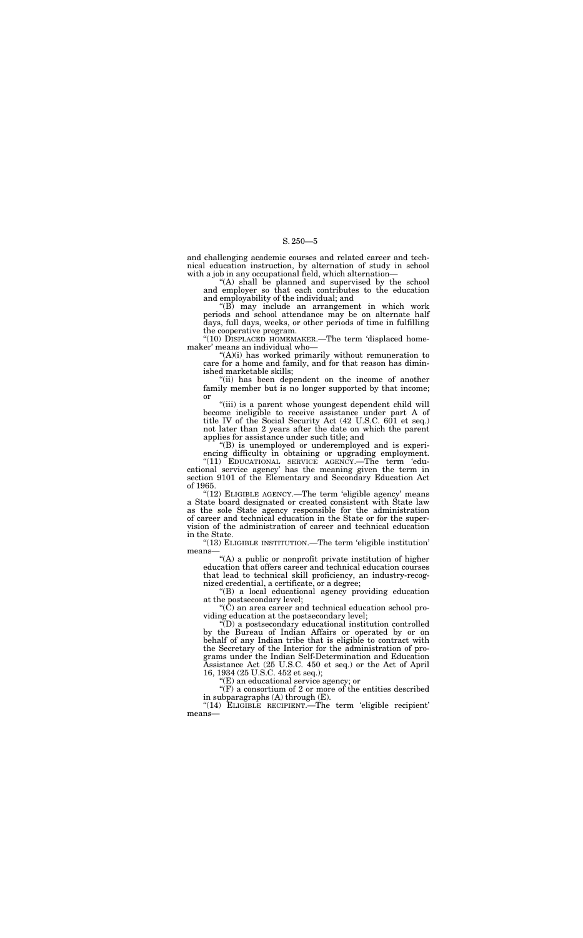and challenging academic courses and related career and technical education instruction, by alternation of study in school with a job in any occupational field, which alternation—<br>"(A) shall be planned and supervised by the school

 $\mathrm{H}(\mathrm{B})$  may include an arrangement in which work periods and school attendance may be on alternate half days, full days, weeks, or other periods of time in fulfilling the cooperative program.

and employer so that each contributes to the education

"(10) DISPLACED HOMEMAKER.—The term 'displaced homemaker' means an individual who—

"(ii) has been dependent on the income of another family member but is no longer supported by that income; or

"(iii) is a parent whose youngest dependent child will become ineligible to receive assistance under part A of title IV of the Social Security Act (42 U.S.C. 601 et seq.) not later than 2 years after the date on which the parent applies for assistance under such title; and

''(A)(i) has worked primarily without remuneration to care for a home and family, and for that reason has diminished marketable skills;

"(12) ELIGIBLE AGENCY.—The term 'eligible agency' means a State board designated or created consistent with State law as the sole State agency responsible for the administration of career and technical education in the State or for the supervision of the administration of career and technical education in the State.

 $\mathrm{``}(\tilde{C})$  an area career and technical education school providing education at the postsecondary level;

''(B) is unemployed or underemployed and is experiencing difficulty in obtaining or upgrading employment.

''(11) EDUCATIONAL SERVICE AGENCY.—The term 'educational service agency' has the meaning given the term in section 9101 of the Elementary and Secondary Education Act of 1965.

" $(F)$  a consortium of 2 or more of the entities described in subparagraphs (A) through (E).

"(14) ELIGIBLE RECIPIENT.—The term 'eligible recipient' means—

''(13) ELIGIBLE INSTITUTION.—The term 'eligible institution' means—

''(A) a public or nonprofit private institution of higher education that offers career and technical education courses that lead to technical skill proficiency, an industry-recognized credential, a certificate, or a degree;

''(B) a local educational agency providing education at the postsecondary level;

''(D) a postsecondary educational institution controlled by the Bureau of Indian Affairs or operated by or on behalf of any Indian tribe that is eligible to contract with the Secretary of the Interior for the administration of programs under the Indian Self-Determination and Education Assistance Act (25 U.S.C. 450 et seq.) or the Act of April 16, 1934 (25 U.S.C. 452 et seq.);

''(E) an educational service agency; or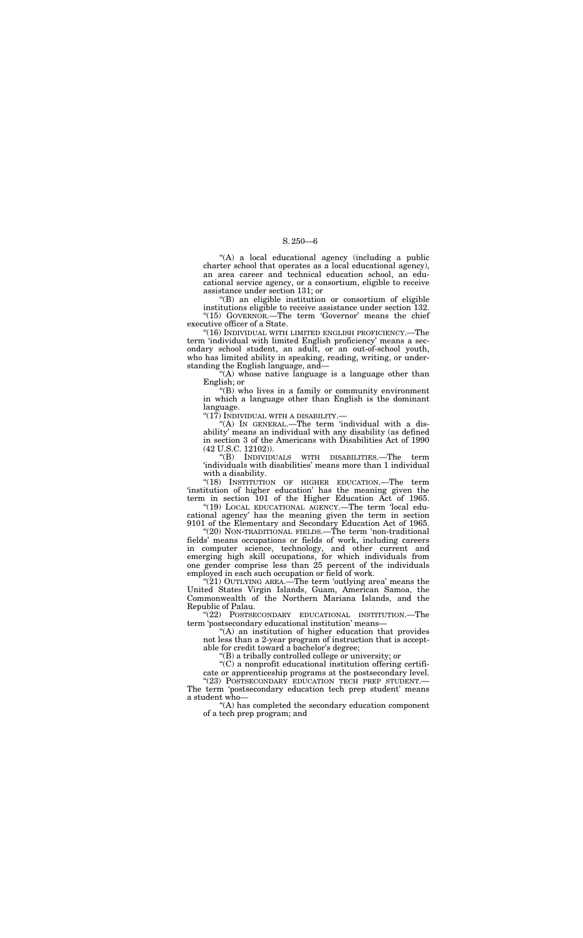''(A) a local educational agency (including a public charter school that operates as a local educational agency), an area career and technical education school, an educational service agency, or a consortium, eligible to receive assistance under section 131; or

"(15) GOVERNOR.—The term 'Governor' means the chief executive officer of a State.

''(B) an eligible institution or consortium of eligible institutions eligible to receive assistance under section 132.

"(A) whose native language is a language other than English; or

''(16) INDIVIDUAL WITH LIMITED ENGLISH PROFICIENCY.—The term 'individual with limited English proficiency' means a secondary school student, an adult, or an out-of-school youth, who has limited ability in speaking, reading, writing, or understanding the English language, and—

''(19) LOCAL EDUCATIONAL AGENCY.—The term 'local educational agency' has the meaning given the term in section 9101 of the Elementary and Secondary Education Act of 1965.

''(B) who lives in a family or community environment in which a language other than English is the dominant language.

"(17) INDIVIDUAL WITH A DISABILITY.—

(20) NON-TRADITIONAL FIELDS.—The term 'non-traditional fields' means occupations or fields of work, including careers in computer science, technology, and other current and emerging high skill occupations, for which individuals from one gender comprise less than 25 percent of the individuals employed in each such occupation or field of work.

''(A) IN GENERAL.—The term 'individual with a disability' means an individual with any disability (as defined in section 3 of the Americans with Disabilities Act of 1990 (42 U.S.C. 12102)).

''(B) INDIVIDUALS WITH DISABILITIES.—The term 'individuals with disabilities' means more than 1 individual with a disability.

''(18) INSTITUTION OF HIGHER EDUCATION.—The term 'institution of higher education' has the meaning given the term in section 101 of the Higher Education Act of 1965.

''(21) OUTLYING AREA.—The term 'outlying area' means the United States Virgin Islands, Guam, American Samoa, the Commonwealth of the Northern Mariana Islands, and the Republic of Palau.

''(22) POSTSECONDARY EDUCATIONAL INSTITUTION.—The term 'postsecondary educational institution' means—

''(A) an institution of higher education that provides not less than a 2-year program of instruction that is acceptable for credit toward a bachelor's degree;

''(B) a tribally controlled college or university; or

''(C) a nonprofit educational institution offering certifi-

cate or apprenticeship programs at the postsecondary level. "(23) POSTSECONDARY EDUCATION TECH PREP STUDENT.-The term 'postsecondary education tech prep student' means a student who—

''(A) has completed the secondary education component of a tech prep program; and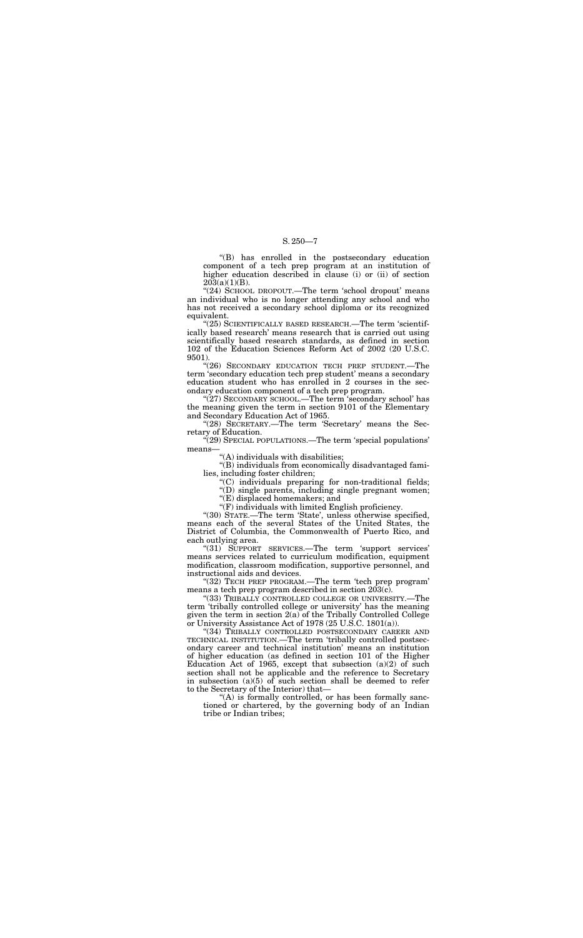''(B) has enrolled in the postsecondary education component of a tech prep program at an institution of higher education described in clause (i) or (ii) of section  $203(a)(1)(B)$ .

"(24) SCHOOL DROPOUT.—The term 'school dropout' means an individual who is no longer attending any school and who has not received a secondary school diploma or its recognized equivalent.

"(26) SECONDARY EDUCATION TECH PREP STUDENT.—The term 'secondary education tech prep student' means a secondary education student who has enrolled in 2 courses in the secondary education component of a tech prep program.

"(27) SECONDARY SCHOOL.—The term 'secondary school' has the meaning given the term in section 9101 of the Elementary and Secondary Education Act of 1965.

''(25) SCIENTIFICALLY BASED RESEARCH.—The term 'scientifically based research' means research that is carried out using scientifically based research standards, as defined in section 102 of the Education Sciences Reform Act of 2002 (20 U.S.C. 9501).

"(28) SECRETARY.—The term 'Secretary' means the Secretary of Education.

> "(D) single parents, including single pregnant women; ''(E) displaced homemakers; and

"(31) SUPPORT SERVICES.—The term 'support services' means services related to curriculum modification, equipment modification, classroom modification, supportive personnel, and instructional aids and devices.

''(29) SPECIAL POPULATIONS.—The term 'special populations' means—

''(A) individuals with disabilities;

''(B) individuals from economically disadvantaged families, including foster children;

''(C) individuals preparing for non-traditional fields;

"(A) is formally controlled, or has been formally sanctioned or chartered, by the governing body of an Indian tribe or Indian tribes;

''(F) individuals with limited English proficiency.

''(30) STATE.—The term 'State', unless otherwise specified, means each of the several States of the United States, the District of Columbia, the Commonwealth of Puerto Rico, and each outlying area.

''(32) TECH PREP PROGRAM.—The term 'tech prep program' means a tech prep program described in section 203(c).

''(33) TRIBALLY CONTROLLED COLLEGE OR UNIVERSITY.—The term 'tribally controlled college or university' has the meaning given the term in section 2(a) of the Tribally Controlled College or University Assistance Act of 1978 (25 U.S.C. 1801(a)).

''(34) TRIBALLY CONTROLLED POSTSECONDARY CAREER AND TECHNICAL INSTITUTION.—The term 'tribally controlled postsecondary career and technical institution' means an institution of higher education (as defined in section 101 of the Higher Education Act of 1965, except that subsection (a)(2) of such section shall not be applicable and the reference to Secretary in subsection (a)(5) of such section shall be deemed to refer to the Secretary of the Interior) that—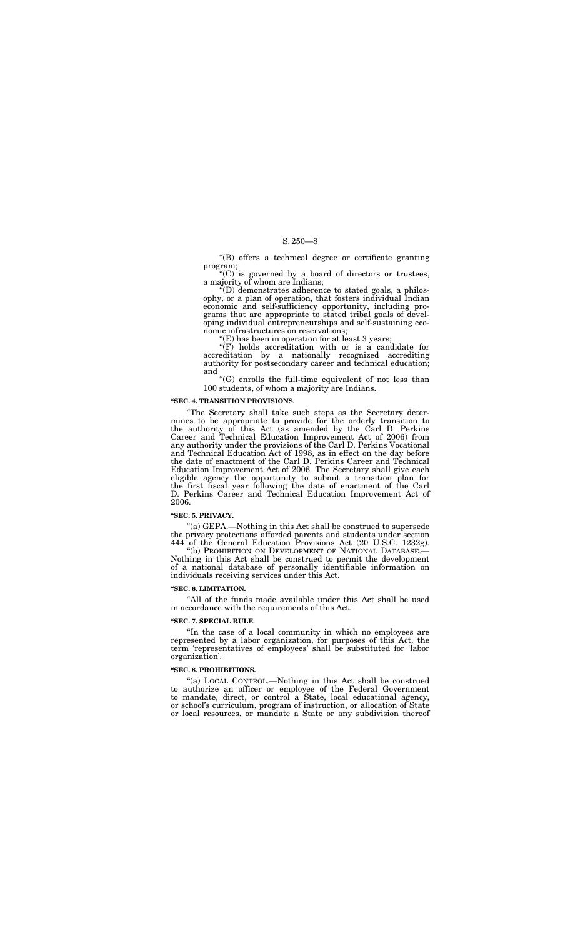''(B) offers a technical degree or certificate granting

program;<br>"(C) is governed by a board of directors or trustees,<br>a majority of whom are Indians;

 $\mathrm{``(D)}$  demonstrates adherence to stated goals, a philosophy, or a plan of operation, that fosters individual Indian economic and self-sufficiency opportunity, including programs that are appropriate to stated tribal goals of developing individual entrepreneurships and self-sustaining economic infrastructures on reservations;<br>"(E) has been in operation for at least 3 years;

and "(G) enrolls the full-time equivalent of not less than 100 students, of whom a majority are Indians.

''(F) holds accreditation with or is a candidate for accreditation by a nationally recognized accrediting authority for postsecondary career and technical education;

## **''SEC. 4. TRANSITION PROVISIONS.**

"All of the funds made available under this Act shall be used in accordance with the requirements of this Act.

''The Secretary shall take such steps as the Secretary determines to be appropriate to provide for the orderly transition to the authority of this Act (as amended by the Carl D. Perkins Career and Technical Education Improvement Act of 2006) from any authority under the provisions of the Carl D. Perkins Vocational and Technical Education Act of 1998, as in effect on the day before the date of enactment of the Carl D. Perkins Career and Technical Education Improvement Act of 2006. The Secretary shall give each eligible agency the opportunity to submit a transition plan for the first fiscal year following the date of enactment of the Carl D. Perkins Career and Technical Education Improvement Act of 2006.

## **''SEC. 5. PRIVACY.**

''(a) GEPA.—Nothing in this Act shall be construed to supersede the privacy protections afforded parents and students under section 444 of the General Education Provisions Act (20 U.S.C. 1232g).

''(b) PROHIBITION ON DEVELOPMENT OF NATIONAL DATABASE.— Nothing in this Act shall be construed to permit the development of a national database of personally identifiable information on individuals receiving services under this Act.

## **''SEC. 6. LIMITATION.**

#### **''SEC. 7. SPECIAL RULE.**

''In the case of a local community in which no employees are represented by a labor organization, for purposes of this Act, the term 'representatives of employees' shall be substituted for 'labor organization'.

## **''SEC. 8. PROHIBITIONS.**

''(a) LOCAL CONTROL.—Nothing in this Act shall be construed to authorize an officer or employee of the Federal Government to mandate, direct, or control a State, local educational agency, or school's curriculum, program of instruction, or allocation of State or local resources, or mandate a State or any subdivision thereof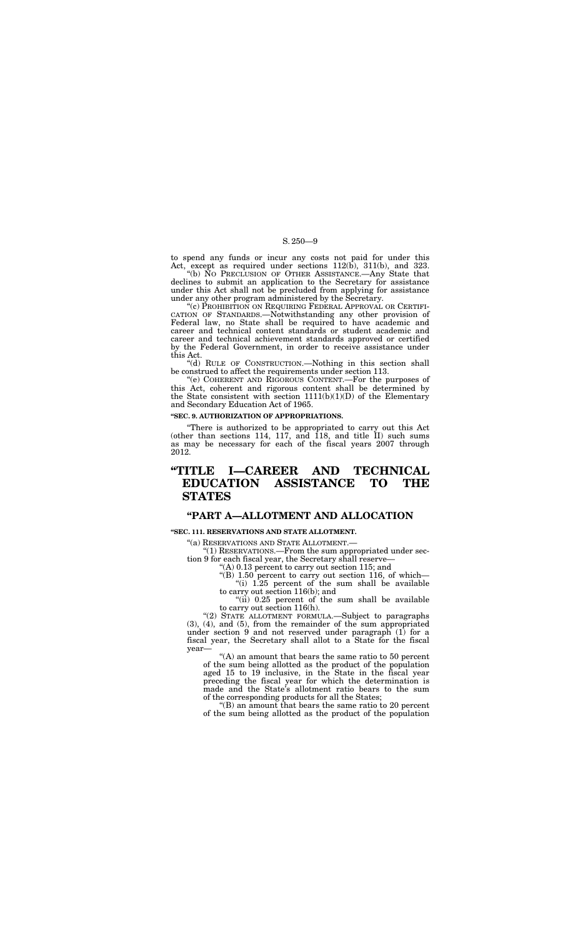to spend any funds or incur any costs not paid for under this Act, except as required under sections 112(b), 311(b), and 323. "(b) NO PRECLUSION OF OTHER ASSISTANCE.—Any State that

declines to submit an application to the Secretary for assistance under this Act shall not be precluded from applying for assistance under any other program administered by the Secretary.

''(c) PROHIBITION ON REQUIRING FEDERAL APPROVAL OR CERTIFI-CATION OF STANDARDS.—Notwithstanding any other provision of Federal law, no State shall be required to have academic and career and technical content standards or student academic and career and technical achievement standards approved or certified by the Federal Government, in order to receive assistance under this Act.

''(d) RULE OF CONSTRUCTION.—Nothing in this section shall be construed to affect the requirements under section 113.

> "(i) 1.25 percent of the sum shall be available to carry out section 116(b); and

> "(ii)  $0.25$  percent of the sum shall be available to carry out section 116(h).

''(e) COHERENT AND RIGOROUS CONTENT.—For the purposes of this Act, coherent and rigorous content shall be determined by the State consistent with section 1111(b)(1)(D) of the Elementary and Secondary Education Act of 1965.

## **''SEC. 9. AUTHORIZATION OF APPROPRIATIONS.**

''There is authorized to be appropriated to carry out this Act (other than sections 114, 117, and 118, and title II) such sums as may be necessary for each of the fiscal years 2007 through 2012.

## **''TITLE I—CAREER AND TECHNICAL EDUCATION ASSISTANCE TO THE STATES**

## **''PART A—ALLOTMENT AND ALLOCATION**

### **''SEC. 111. RESERVATIONS AND STATE ALLOTMENT.**

''(a) RESERVATIONS AND STATE ALLOTMENT.—

''(1) RESERVATIONS.—From the sum appropriated under section 9 for each fiscal year, the Secretary shall reserve—

 $(A)$  0.13 percent to carry out section 115; and

" $(B)$  1.50 percent to carry out section 116, of which—

''(2) STATE ALLOTMENT FORMULA.—Subject to paragraphs (3), (4), and (5), from the remainder of the sum appropriated under section 9 and not reserved under paragraph (1) for a fiscal year, the Secretary shall allot to a State for the fiscal year—

''(A) an amount that bears the same ratio to 50 percent of the sum being allotted as the product of the population aged 15 to 19 inclusive, in the State in the fiscal year preceding the fiscal year for which the determination is made and the State's allotment ratio bears to the sum of the corresponding products for all the States;

''(B) an amount that bears the same ratio to 20 percent of the sum being allotted as the product of the population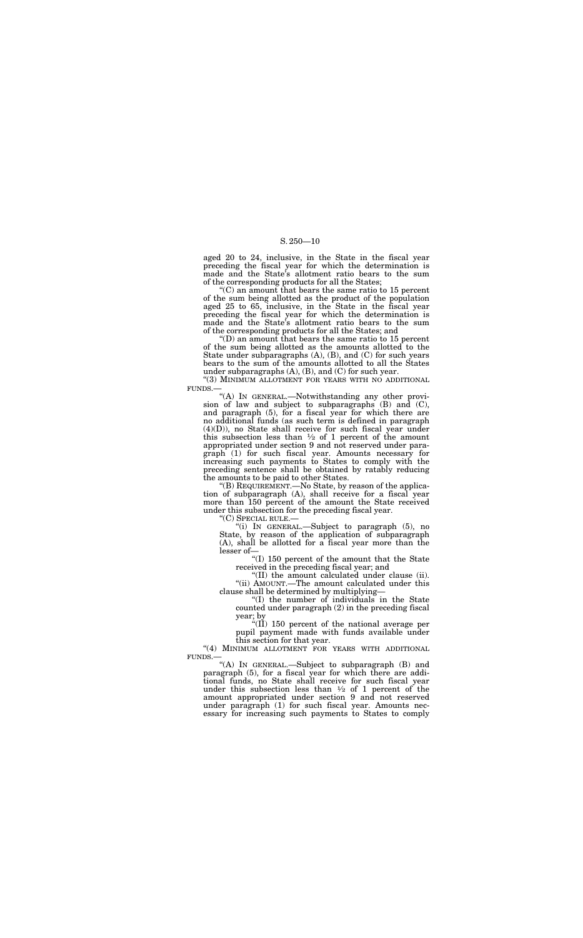of the corresponding products for all the States; ''(C) an amount that bears the same ratio to 15 percent of the sum being allotted as the product of the population aged 25 to 65, inclusive, in the State in the fiscal year preceding the fiscal year for which the determination is made and the State's allotment ratio bears to the sum of the corresponding products for all the States; and

aged 20 to 24, inclusive, in the State in the fiscal year preceding the fiscal year for which the determination is made and the State's allotment ratio bears to the sum

"(D) an amount that bears the same ratio to  $15$  percent of the sum being allotted as the amounts allotted to the State under subparagraphs (A), (B), and (C) for such years bears to the sum of the amounts allotted to all the States under subparagraphs (A), (B), and (C) for such year.

''(3) MINIMUM ALLOTMENT FOR YEARS WITH NO ADDITIONAL FUNDS.—

''(A) IN GENERAL.—Notwithstanding any other provision of law and subject to subparagraphs (B) and (C), and paragraph (5), for a fiscal year for which there are no additional funds (as such term is defined in paragraph (4)(D)), no State shall receive for such fiscal year under this subsection less than  $\frac{1}{2}$  of 1 percent of the amount appropriated under section 9 and not reserved under paragraph (1) for such fiscal year. Amounts necessary for increasing such payments to States to comply with the preceding sentence shall be obtained by ratably reducing the amounts to be paid to other States.

"(4) MINIMUM ALLOTMENT FOR YEARS WITH ADDITIONAL FUNDS.—

''(B) REQUIREMENT.—No State, by reason of the application of subparagraph (A), shall receive for a fiscal year more than 150 percent of the amount the State received under this subsection for the preceding fiscal year.

''(C) SPECIAL RULE.—

''(i) IN GENERAL.—Subject to paragraph (5), no State, by reason of the application of subparagraph (A), shall be allotted for a fiscal year more than the lesser of—

''(I) 150 percent of the amount that the State received in the preceding fiscal year; and

''(II) the amount calculated under clause (ii). ''(ii) AMOUNT.—The amount calculated under this

clause shall be determined by multiplying— ''(I) the number of individuals in the State

counted under paragraph (2) in the preceding fiscal year; by

''(II) 150 percent of the national average per pupil payment made with funds available under this section for that year.

''(A) IN GENERAL.—Subject to subparagraph (B) and paragraph (5), for a fiscal year for which there are additional funds, no State shall receive for such fiscal year under this subsection less than  $\frac{1}{2}$  of 1 percent of the amount appropriated under section 9 and not reserved under paragraph (1) for such fiscal year. Amounts necessary for increasing such payments to States to comply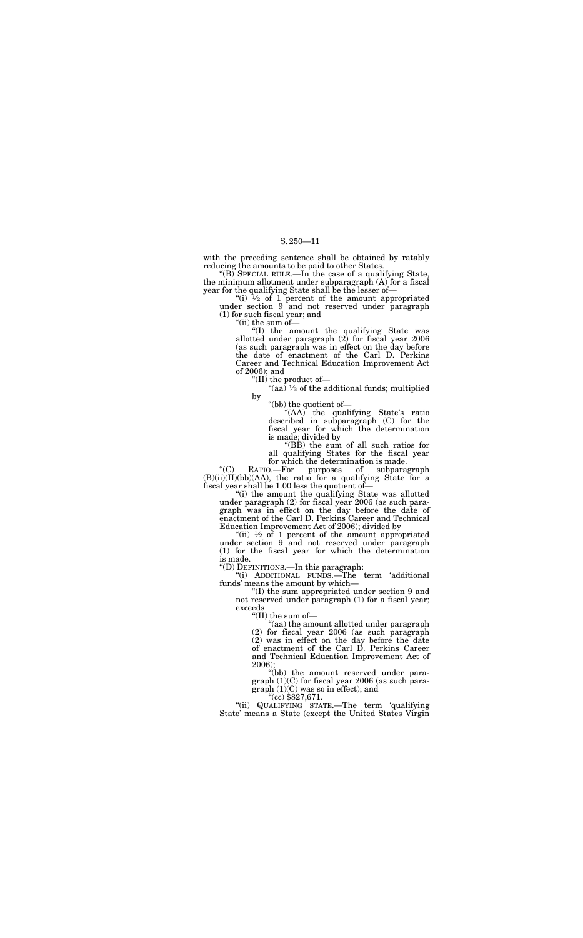with the preceding sentence shall be obtained by ratably reducing the amounts to be paid to other States.

"(B) SPECIAL RULE.—In the case of a qualifying State, the minimum allotment under subparagraph (A) for a fiscal year for the qualifying State shall be the lesser of—

"(i)  $\frac{1}{2}$  of 1 percent of the amount appropriated under section 9 and not reserved under paragraph (1) for such fiscal year; and

"(ii) the sum of-

"(aa)  $\frac{1}{3}$  of the additional funds; multiplied by

''(I) the amount the qualifying State was allotted under paragraph (2) for fiscal year 2006 (as such paragraph was in effect on the day before the date of enactment of the Carl D. Perkins Career and Technical Education Improvement Act of 2006); and

"(II) the product of-

for which the determination is made.<br>RATIO.—For purposes of subpara ''(C) RATIO.—For purposes of subparagraph  $(B)(ii)(I)(bb)(AA)$ , the ratio for a qualifying State for a fiscal year shall be 1.00 less the quotient of—

''(bb) the quotient of—

"(ii)  $\frac{1}{2}$  of 1 percent of the amount appropriated under section 9 and not reserved under paragraph (1) for the fiscal year for which the determination is made.

''(AA) the qualifying State's ratio described in subparagraph (C) for the fiscal year for which the determination is made; divided by

''(BB) the sum of all such ratios for all qualifying States for the fiscal year

''(i) the amount the qualifying State was allotted under paragraph (2) for fiscal year 2006 (as such paragraph was in effect on the day before the date of enactment of the Carl D. Perkins Career and Technical Education Improvement Act of 2006); divided by

''(D) DEFINITIONS.—In this paragraph:

''(i) ADDITIONAL FUNDS.—The term 'additional funds' means the amount by which—

''(I) the sum appropriated under section 9 and not reserved under paragraph (1) for a fiscal year; exceeds

''(II) the sum of—

''(aa) the amount allotted under paragraph (2) for fiscal year 2006 (as such paragraph (2) was in effect on the day before the date of enactment of the Carl D. Perkins Career and Technical Education Improvement Act of 2006);

''(bb) the amount reserved under paragraph (1)(C) for fiscal year 2006 (as such paragraph (1)(C) was so in effect); and

''(cc) \$827,671.

''(ii) QUALIFYING STATE.—The term 'qualifying State' means a State (except the United States Virgin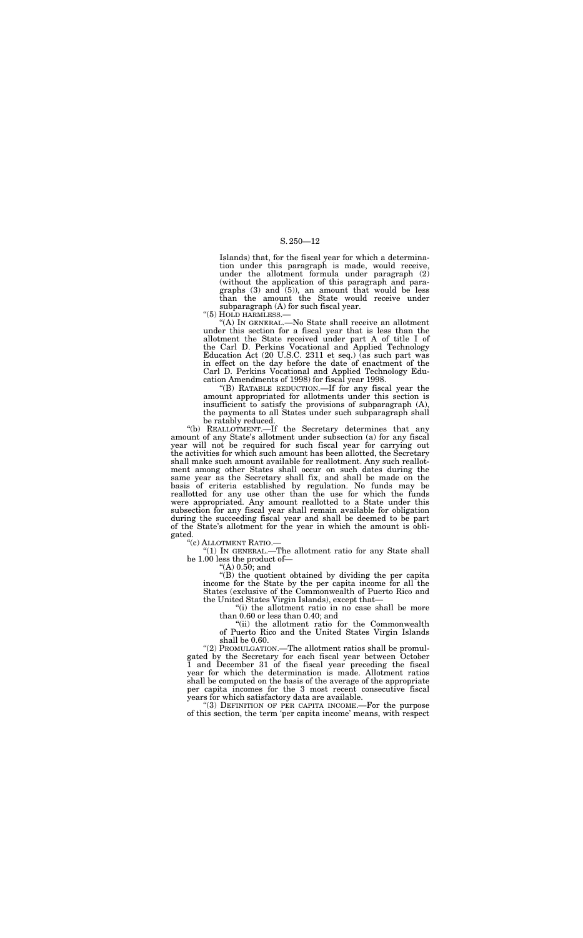Islands) that, for the fiscal year for which a determination under this paragraph is made, would receive, under the allotment formula under paragraph (2) (without the application of this paragraph and paragraphs (3) and (5)), an amount that would be less than the amount the State would receive under subparagraph (A) for such fiscal year.<br>"(5) HOLD HARMLESS.—

''(A) IN GENERAL.—No State shall receive an allotment under this section for a fiscal year that is less than the allotment the State received under part A of title I of the Carl D. Perkins Vocational and Applied Technology Education Act (20 U.S.C. 2311 et seq.) (as such part was in effect on the day before the date of enactment of the Carl D. Perkins Vocational and Applied Technology Education Amendments of 1998) for fiscal year 1998.

''(B) RATABLE REDUCTION.—If for any fiscal year the amount appropriated for allotments under this section is insufficient to satisfy the provisions of subparagraph (A), the payments to all States under such subparagraph shall be ratably reduced.

"(1) IN GENERAL.—The allotment ratio for any State shall be 1.00 less the product of—

"(A)  $0.50$ ; and

"(i) the allotment ratio in no case shall be more than 0.60 or less than 0.40; and

''(b) REALLOTMENT.—If the Secretary determines that any amount of any State's allotment under subsection (a) for any fiscal year will not be required for such fiscal year for carrying out the activities for which such amount has been allotted, the Secretary shall make such amount available for reallotment. Any such reallotment among other States shall occur on such dates during the same year as the Secretary shall fix, and shall be made on the basis of criteria established by regulation. No funds may be reallotted for any use other than the use for which the funds were appropriated. Any amount reallotted to a State under this subsection for any fiscal year shall remain available for obligation during the succeeding fiscal year and shall be deemed to be part of the State's allotment for the year in which the amount is obligated.

"(3) DEFINITION OF PER CAPITA INCOME.—For the purpose of this section, the term 'per capita income' means, with respect

''(c) ALLOTMENT RATIO.—

''(B) the quotient obtained by dividing the per capita income for the State by the per capita income for all the States (exclusive of the Commonwealth of Puerto Rico and the United States Virgin Islands), except that—

''(ii) the allotment ratio for the Commonwealth of Puerto Rico and the United States Virgin Islands shall be 0.60.

''(2) PROMULGATION.—The allotment ratios shall be promulgated by the Secretary for each fiscal year between October 1 and December 31 of the fiscal year preceding the fiscal year for which the determination is made. Allotment ratios shall be computed on the basis of the average of the appropriate per capita incomes for the 3 most recent consecutive fiscal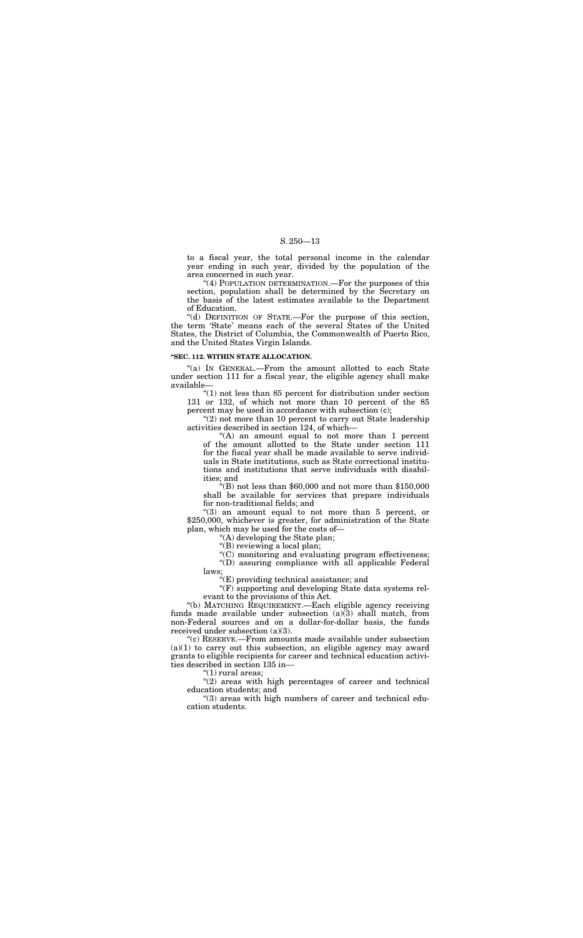to a fiscal year, the total personal income in the calendar year ending in such year, divided by the population of the area concerned in such year.

"(4) POPULATION DETERMINATION.—For the purposes of this section, population shall be determined by the Secretary on the basis of the latest estimates available to the Department of Education.

"(a) IN GENERAL.—From the amount allotted to each State under section 111 for a fiscal year, the eligible agency shall make available—

''(d) DEFINITION OF STATE.—For the purpose of this section, the term 'State' means each of the several States of the United States, the District of Columbia, the Commonwealth of Puerto Rico, and the United States Virgin Islands.

"(2) not more than 10 percent to carry out State leadership activities described in section 124, of which—

## **''SEC. 112. WITHIN STATE ALLOCATION.**

"(B) not less than \$60,000 and not more than \$150,000 shall be available for services that prepare individuals for non-traditional fields; and

''(1) not less than 85 percent for distribution under section 131 or 132, of which not more than 10 percent of the 85 percent may be used in accordance with subsection (c);

 $f(F)$  supporting and developing State data systems relevant to the provisions of this Act.

''(A) an amount equal to not more than 1 percent of the amount allotted to the State under section 111 for the fiscal year shall be made available to serve individuals in State institutions, such as State correctional institutions and institutions that serve individuals with disabilities; and

 $''(2)$  areas with high percentages of career and technical education students; and

''(3) an amount equal to not more than 5 percent, or \$250,000, whichever is greater, for administration of the State plan, which may be used for the costs of—

''(A) developing the State plan;

"(B) reviewing a local plan;

''(C) monitoring and evaluating program effectiveness; ''(D) assuring compliance with all applicable Federal laws;

 $\dddot{H}$ (E) providing technical assistance; and

''(b) MATCHING REQUIREMENT.—Each eligible agency receiving funds made available under subsection  $(a)(3)$  shall match, from non-Federal sources and on a dollar-for-dollar basis, the funds received under subsection (a)(3).

''(c) RESERVE.—From amounts made available under subsection  $(a)(1)$  to carry out this subsection, an eligible agency may award grants to eligible recipients for career and technical education activities described in section 135 in—

"(1) rural areas;

''(3) areas with high numbers of career and technical education students.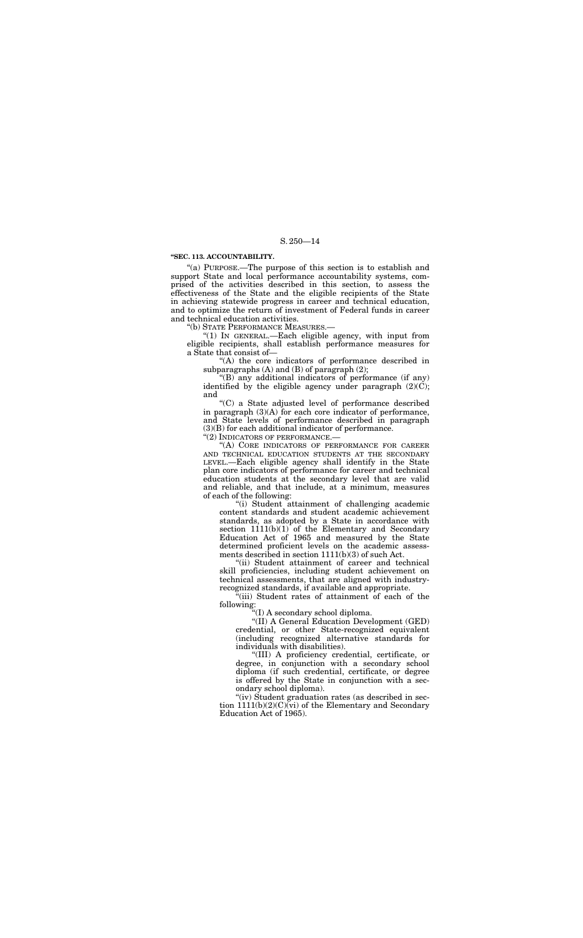## **''SEC. 113. ACCOUNTABILITY.**

"(a) PURPOSE.—The purpose of this section is to establish and support State and local performance accountability systems, comprised of the activities described in this section, to assess the effectiveness of the State and the eligible recipients of the State in achieving statewide progress in career and technical education, and to optimize the return of investment of Federal funds in career and technical education activities.

''(b) STATE PERFORMANCE MEASURES.—

''(1) IN GENERAL.—Each eligible agency, with input from eligible recipients, shall establish performance measures for a State that consist of—

''(A) the core indicators of performance described in subparagraphs (A) and (B) of paragraph (2);

''(i) Student attainment of challenging academic content standards and student academic achievement standards, as adopted by a State in accordance with section  $1111(b)(1)$  of the Elementary and Secondary Education Act of 1965 and measured by the State determined proficient levels on the academic assessments described in section  $1111(b)(3)$  of such Act.

''(B) any additional indicators of performance (if any) identified by the eligible agency under paragraph  $(2)(\check{C})$ ; and

''(C) a State adjusted level of performance described in paragraph (3)(A) for each core indicator of performance, and State levels of performance described in paragraph (3)(B) for each additional indicator of performance.

"(ii) Student attainment of career and technical skill proficiencies, including student achievement on technical assessments, that are aligned with industryrecognized standards, if available and appropriate.

 $(iii)$  Student rates of attainment of each of the following:

''(2) INDICATORS OF PERFORMANCE.—

''(A) CORE INDICATORS OF PERFORMANCE FOR CAREER AND TECHNICAL EDUCATION STUDENTS AT THE SECONDARY LEVEL.—Each eligible agency shall identify in the State plan core indicators of performance for career and technical education students at the secondary level that are valid and reliable, and that include, at a minimum, measures of each of the following:

"(iv) Student graduation rates (as described in section  $1111(b)(2)(C)(vi)$  of the Elementary and Secondary Education Act of 1965).

''(I) A secondary school diploma.

''(II) A General Education Development (GED) credential, or other State-recognized equivalent (including recognized alternative standards for individuals with disabilities).

''(III) A proficiency credential, certificate, or degree, in conjunction with a secondary school diploma (if such credential, certificate, or degree is offered by the State in conjunction with a secondary school diploma).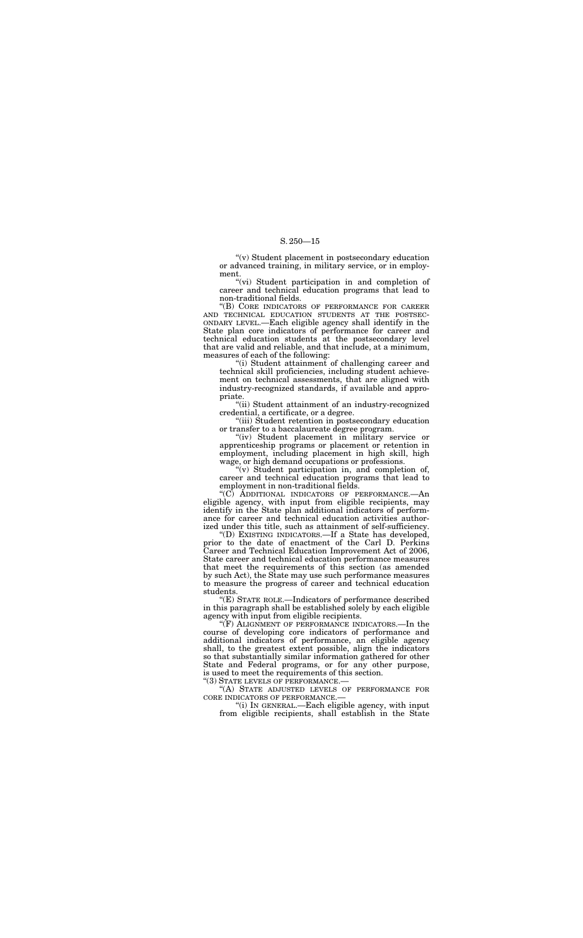''(v) Student placement in postsecondary education or advanced training, in military service, or in employ-

ment.<br>"(vi) Student participation in and completion of career and technical education programs that lead to non-traditional fields.

''(B) CORE INDICATORS OF PERFORMANCE FOR CAREER AND TECHNICAL EDUCATION STUDENTS AT THE POSTSEC-ONDARY LEVEL.—Each eligible agency shall identify in the State plan core indicators of performance for career and technical education students at the postsecondary level that are valid and reliable, and that include, at a minimum, measures of each of the following:

"(iii) Student retention in postsecondary education or transfer to a baccalaureate degree program.

"(iv) Student placement in military service or apprenticeship programs or placement or retention in employment, including placement in high skill, high wage, or high demand occupations or professions.

''(i) Student attainment of challenging career and technical skill proficiencies, including student achievement on technical assessments, that are aligned with industry-recognized standards, if available and appropriate.

''(ii) Student attainment of an industry-recognized credential, a certificate, or a degree.

''(v) Student participation in, and completion of, career and technical education programs that lead to employment in non-traditional fields.

"(F) ALIGNMENT OF PERFORMANCE INDICATORS.—In the course of developing core indicators of performance and additional indicators of performance, an eligible agency shall, to the greatest extent possible, align the indicators so that substantially similar information gathered for other State and Federal programs, or for any other purpose, is used to meet the requirements of this section.

''(A) STATE ADJUSTED LEVELS OF PERFORMANCE FOR CORE INDICATORS OF PERFORMANCE.

''(C) ADDITIONAL INDICATORS OF PERFORMANCE.—An eligible agency, with input from eligible recipients, may identify in the State plan additional indicators of performance for career and technical education activities authorized under this title, such as attainment of self-sufficiency.

''(D) EXISTING INDICATORS.—If a State has developed, prior to the date of enactment of the Carl D. Perkins Career and Technical Education Improvement Act of 2006, State career and technical education performance measures that meet the requirements of this section (as amended by such Act), the State may use such performance measures to measure the progress of career and technical education students.

''(E) STATE ROLE.—Indicators of performance described in this paragraph shall be established solely by each eligible agency with input from eligible recipients.

''(3) STATE LEVELS OF PERFORMANCE.—

''(i) IN GENERAL.—Each eligible agency, with input from eligible recipients, shall establish in the State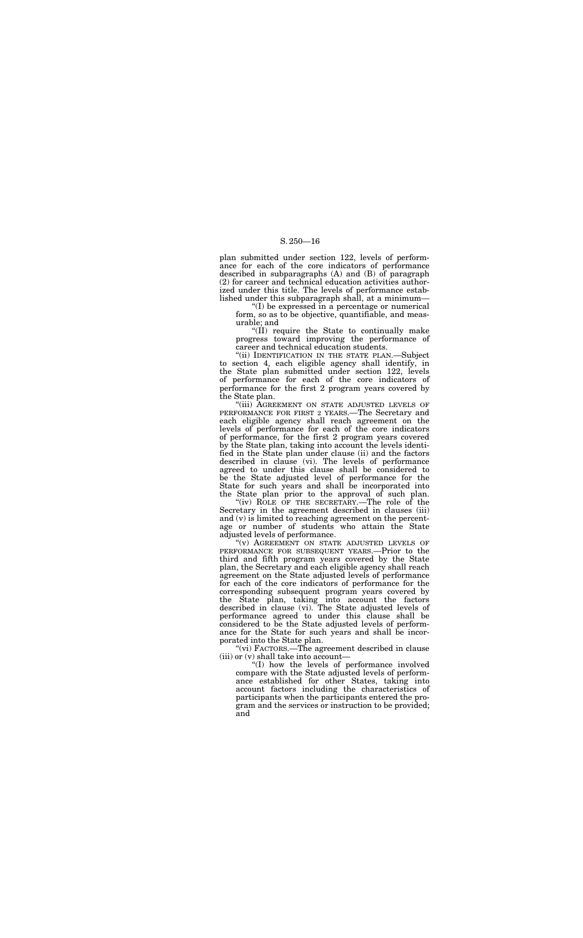plan submitted under section 122, levels of performance for each of the core indicators of performance described in subparagraphs (A) and (B) of paragraph (2) for career and technical education activities authorized under this title. The levels of performance established under this subparagraph shall, at a minimum— ''(I) be expressed in a percentage or numerical

 $f(1)$  be expressed in a percentage or numerical form, so as to be objective, quantifiable, and measurable; and

" $(II)$  require the State to continually make progress toward improving the performance of career and technical education students.

''(ii) IDENTIFICATION IN THE STATE PLAN.—Subject to section 4, each eligible agency shall identify, in the State plan submitted under section 122, levels of performance for each of the core indicators of performance for the first 2 program years covered by the State plan.

"(iv) ROLE OF THE SECRETARY.—The role of the Secretary in the agreement described in clauses (iii) and (v) is limited to reaching agreement on the percentage or number of students who attain the State adjusted levels of performance.

''(iii) AGREEMENT ON STATE ADJUSTED LEVELS OF PERFORMANCE FOR FIRST 2 YEARS.—The Secretary and each eligible agency shall reach agreement on the levels of performance for each of the core indicators of performance, for the first 2 program years covered by the State plan, taking into account the levels identified in the State plan under clause (ii) and the factors described in clause (vi). The levels of performance agreed to under this clause shall be considered to be the State adjusted level of performance for the State for such years and shall be incorporated into the State plan prior to the approval of such plan.

''(v) AGREEMENT ON STATE ADJUSTED LEVELS OF PERFORMANCE FOR SUBSEQUENT YEARS.—Prior to the third and fifth program years covered by the State plan, the Secretary and each eligible agency shall reach agreement on the State adjusted levels of performance for each of the core indicators of performance for the corresponding subsequent program years covered by the State plan, taking into account the factors described in clause (vi). The State adjusted levels of performance agreed to under this clause shall be considered to be the State adjusted levels of performance for the State for such years and shall be incorporated into the State plan.

''(vi) FACTORS.—The agreement described in clause (iii) or (v) shall take into account—

''(I) how the levels of performance involved compare with the State adjusted levels of performance established for other States, taking into account factors including the characteristics of participants when the participants entered the program and the services or instruction to be provided; and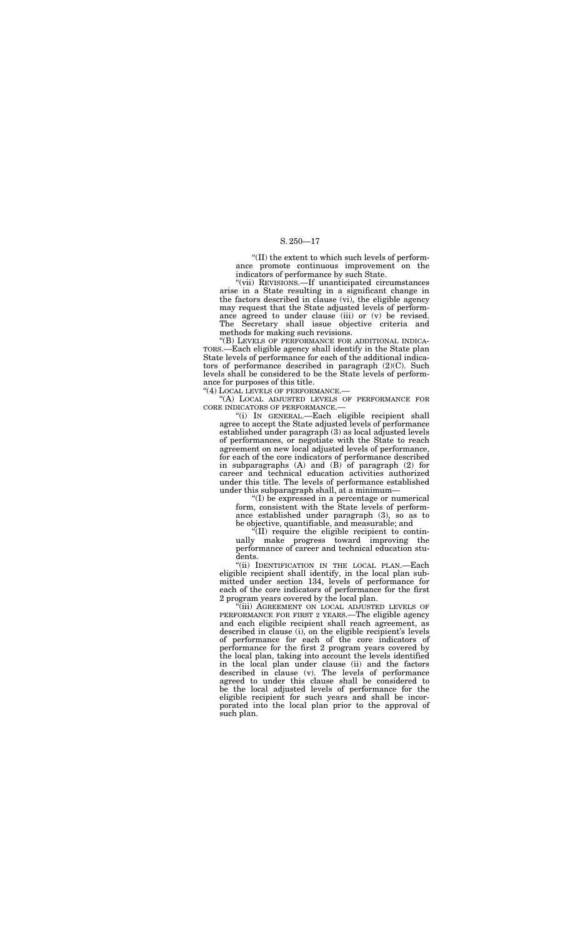''(II) the extent to which such levels of performance promote continuous improvement on the indicators of performance by such State.

"(vii) REVISIONS.—If unanticipated circumstances arise in a State resulting in a significant change in the factors described in clause (vi), the eligible agency may request that the State adjusted levels of performance agreed to under clause (iii) or (v) be revised. The Secretary shall issue objective criteria and methods for making such revisions.

''(B) LEVELS OF PERFORMANCE FOR ADDITIONAL INDICA-TORS.—Each eligible agency shall identify in the State plan State levels of performance for each of the additional indicators of performance described in paragraph (2)(C). Such levels shall be considered to be the State levels of performance for purposes of this title.

''(4) LOCAL LEVELS OF PERFORMANCE.—

"(A) LOCAL ADJUSTED LEVELS OF PERFORMANCE FOR CORE INDICATORS OF PERFORMANCE.

> $^{\circ}$ (II) require the eligible recipient to continually make progress toward improving the performance of career and technical education students.

"(ii) IDENTIFICATION IN THE LOCAL PLAN.-Each eligible recipient shall identify, in the local plan submitted under section 134, levels of performance for each of the core indicators of performance for the first 2 program years covered by the local plan.

''(i) IN GENERAL.—Each eligible recipient shall agree to accept the State adjusted levels of performance established under paragraph (3) as local adjusted levels of performances, or negotiate with the State to reach agreement on new local adjusted levels of performance, for each of the core indicators of performance described in subparagraphs (A) and (B) of paragraph (2) for career and technical education activities authorized under this title. The levels of performance established under this subparagraph shall, at a minimum—

''(I) be expressed in a percentage or numerical form, consistent with the State levels of performance established under paragraph (3), so as to be objective, quantifiable, and measurable; and

''(iii) AGREEMENT ON LOCAL ADJUSTED LEVELS OF PERFORMANCE FOR FIRST 2 YEARS.—The eligible agency and each eligible recipient shall reach agreement, as described in clause (i), on the eligible recipient's levels of performance for each of the core indicators of performance for the first 2 program years covered by the local plan, taking into account the levels identified in the local plan under clause (ii) and the factors described in clause (v). The levels of performance agreed to under this clause shall be considered to be the local adjusted levels of performance for the eligible recipient for such years and shall be incorporated into the local plan prior to the approval of such plan.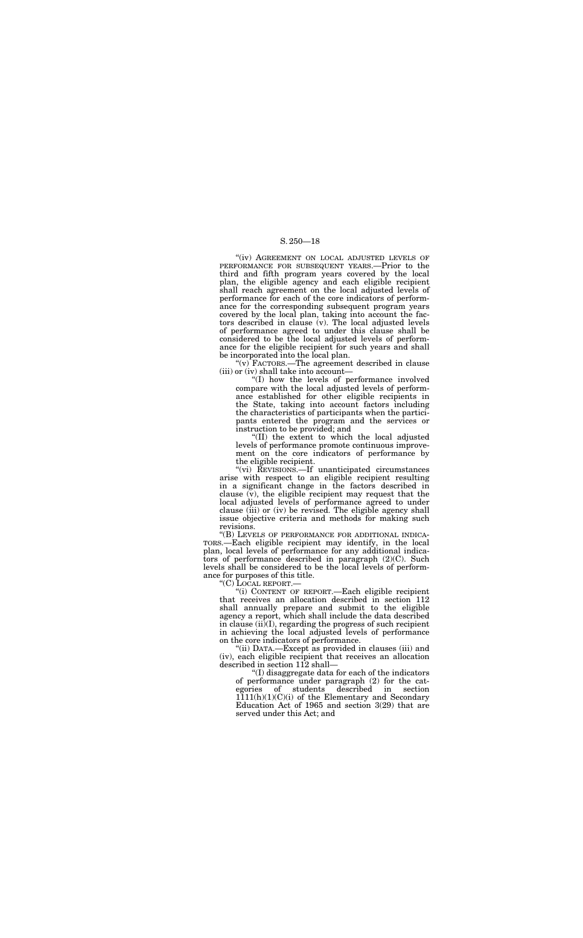"(iv) AGREEMENT ON LOCAL ADJUSTED LEVELS OF PERFORMANCE FOR SUBSEQUENT YEARS.—Prior to the third and fifth program years covered by the local plan, the eligible agency and each eligible recipient shall reach agreement on the local adjusted levels of performance for each of the core indicators of performance for the corresponding subsequent program years covered by the local plan, taking into account the factors described in clause (v). The local adjusted levels of performance agreed to under this clause shall be considered to be the local adjusted levels of performance for the eligible recipient for such years and shall be incorporated into the local plan.

" $(v)$  FACTORS.—The agreement described in clause (iii) or (iv) shall take into account—

"(vi) REVISIONS.—If unanticipated circumstances arise with respect to an eligible recipient resulting in a significant change in the factors described in clause  $\overline{v}$ , the eligible recipient may request that the local adjusted levels of performance agreed to under clause (iii) or (iv) be revised. The eligible agency shall issue objective criteria and methods for making such revisions.

''(I) how the levels of performance involved compare with the local adjusted levels of performance established for other eligible recipients in the State, taking into account factors including the characteristics of participants when the participants entered the program and the services or instruction to be provided; and

''(ii) DATA.—Except as provided in clauses (iii) and (iv), each eligible recipient that receives an allocation<br>described in section 112 shall—

''(II) the extent to which the local adjusted levels of performance promote continuous improvement on the core indicators of performance by the eligible recipient.

"(I) disaggregate data for each of the indicators of performance under paragraph (2) for the categories of students described in section  $1111(h)(1)(C)(i)$  of the Elementary and Secondary Education Act of 1965 and section 3(29) that are served under this Act; and

''(B) LEVELS OF PERFORMANCE FOR ADDITIONAL INDICA-TORS.—Each eligible recipient may identify, in the local plan, local levels of performance for any additional indicators of performance described in paragraph (2)(C). Such levels shall be considered to be the local levels of performance for purposes of this title.

''(C) LOCAL REPORT.—

''(i) CONTENT OF REPORT.—Each eligible recipient that receives an allocation described in section 112 shall annually prepare and submit to the eligible agency a report, which shall include the data described in clause (ii)(I), regarding the progress of such recipient in achieving the local adjusted levels of performance on the core indicators of performance.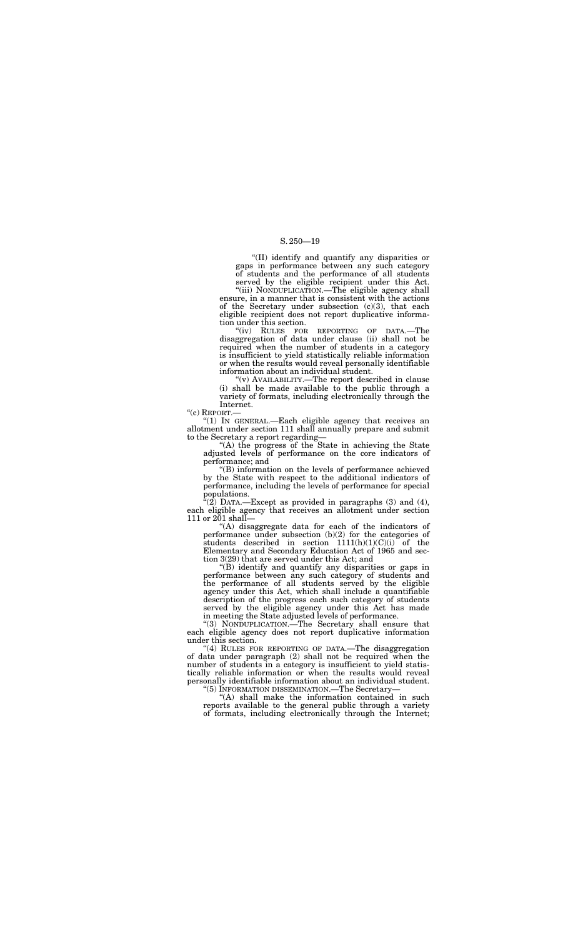''(II) identify and quantify any disparities or gaps in performance between any such category of students and the performance of all students served by the eligible recipient under this Act. "(iii) NONDUPLICATION.—The eligible agency shall

ensure, in a manner that is consistent with the actions of the Secretary under subsection (c)(3), that each eligible recipient does not report duplicative information under this section.

"(iv) RULES FOR REPORTING OF DATA.—The disaggregation of data under clause (ii) shall not be required when the number of students in a category is insufficient to yield statistically reliable information or when the results would reveal personally identifiable information about an individual student.

"(1) In GENERAL.—Each eligible agency that receives an allotment under section 111 shall annually prepare and submit to the Secretary a report regarding—

''(v) AVAILABILITY.—The report described in clause (i) shall be made available to the public through a variety of formats, including electronically through the Internet.

''(c) REPORT.—

''(A) the progress of the State in achieving the State adjusted levels of performance on the core indicators of performance; and

''(B) information on the levels of performance achieved by the State with respect to the additional indicators of performance, including the levels of performance for special populations.

 $\mathbb{F}(2)$  DATA.—Except as provided in paragraphs (3) and (4), each eligible agency that receives an allotment under section 111 or 201 shall-

''(A) disaggregate data for each of the indicators of performance under subsection (b)(2) for the categories of students described in section  $1111(h)(1)(C)(i)$  of the Elementary and Secondary Education Act of 1965 and section 3(29) that are served under this Act; and

''(B) identify and quantify any disparities or gaps in performance between any such category of students and the performance of all students served by the eligible agency under this Act, which shall include a quantifiable description of the progress each such category of students served by the eligible agency under this Act has made in meeting the State adjusted levels of performance.

''(3) NONDUPLICATION.—The Secretary shall ensure that each eligible agency does not report duplicative information

(4) RULES FOR REPORTING OF DATA.—The disaggregation of data under paragraph (2) shall not be required when the number of students in a category is insufficient to yield statistically reliable information or when the results would reveal personally identifiable information about an individual student. "(5) INFORMATION DISSEMINATION.—The Secretary—

''(A) shall make the information contained in such reports available to the general public through a variety of formats, including electronically through the Internet;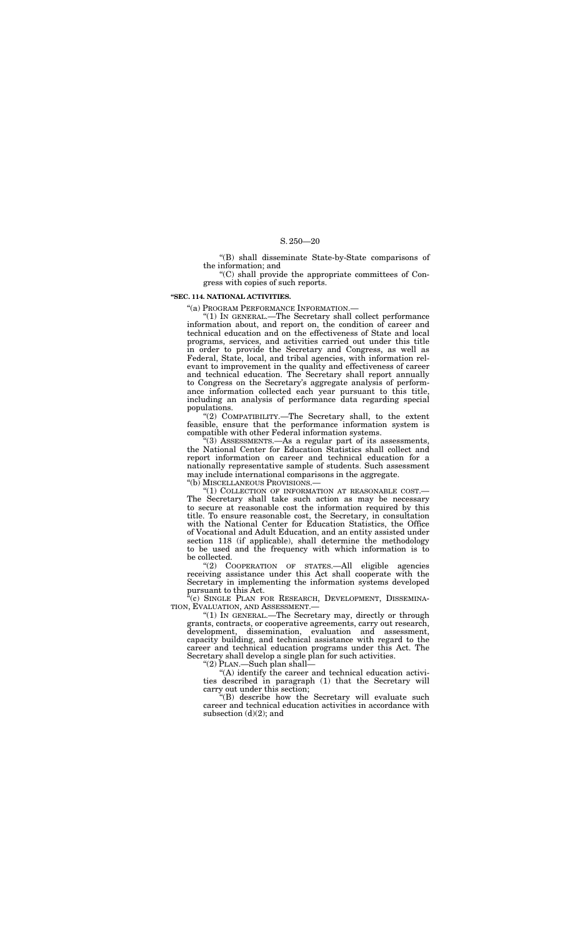''(B) shall disseminate State-by-State comparisons of the information; and

''(C) shall provide the appropriate committees of Congress with copies of such reports.

## **''SEC. 114. NATIONAL ACTIVITIES.**

''(a) PROGRAM PERFORMANCE INFORMATION.—

''(1) IN GENERAL.—The Secretary shall collect performance information about, and report on, the condition of career and technical education and on the effectiveness of State and local programs, services, and activities carried out under this title in order to provide the Secretary and Congress, as well as Federal, State, local, and tribal agencies, with information relevant to improvement in the quality and effectiveness of career and technical education. The Secretary shall report annually to Congress on the Secretary's aggregate analysis of performance information collected each year pursuant to this title, including an analysis of performance data regarding special populations.

"(1) COLLECTION OF INFORMATION AT REASONABLE COST.-The Secretary shall take such action as may be necessary to secure at reasonable cost the information required by this title. To ensure reasonable cost, the Secretary, in consultation with the National Center for Education Statistics, the Office of Vocational and Adult Education, and an entity assisted under section 118 (if applicable), shall determine the methodology to be used and the frequency with which information is to be collected.

''(2) COMPATIBILITY.—The Secretary shall, to the extent feasible, ensure that the performance information system is compatible with other Federal information systems.

<sup>'</sup>(c) SINGLE PLAN FOR RESEARCH, DEVELOPMENT, DISSEMINA-TION, EVALUATION, AND ASSESSMENT.—

''(3) ASSESSMENTS.—As a regular part of its assessments, the National Center for Education Statistics shall collect and report information on career and technical education for a nationally representative sample of students. Such assessment may include international comparisons in the aggregate.

"(1) IN GENERAL.—The Secretary may, directly or through grants, contracts, or cooperative agreements, carry out research, development, dissemination, evaluation and assessment, capacity building, and technical assistance with regard to the career and technical education programs under this Act. The Secretary shall develop a single plan for such activities.

''(B) describe how the Secretary will evaluate such career and technical education activities in accordance with subsection (d)(2); and

''(b) MISCELLANEOUS PROVISIONS.—

''(2) COOPERATION OF STATES.—All eligible agencies receiving assistance under this Act shall cooperate with the Secretary in implementing the information systems developed pursuant to this Act.

''(2) PLAN.—Such plan shall—

''(A) identify the career and technical education activities described in paragraph (1) that the Secretary will carry out under this section;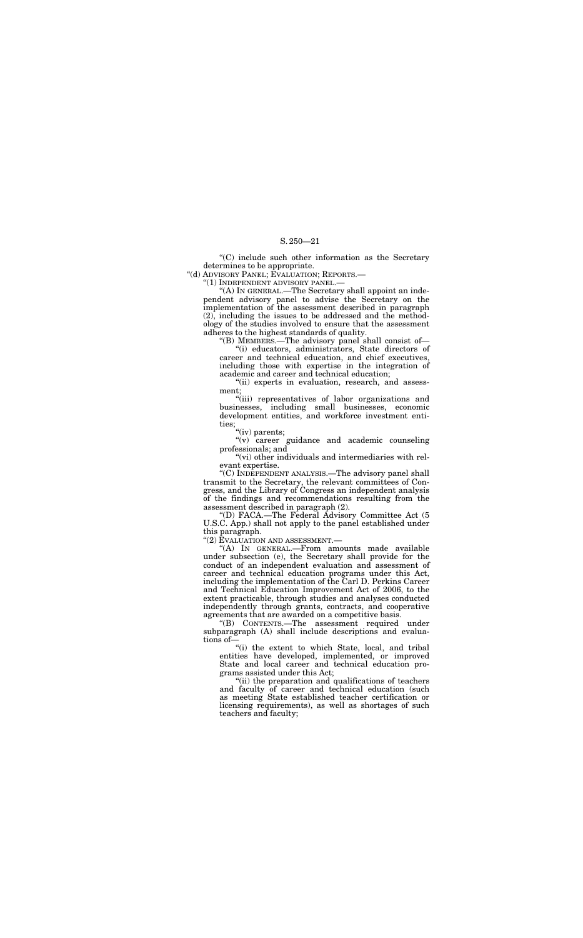''(C) include such other information as the Secretary determines to be appropriate.

"(d) ADVISORY PANEL; EVALUATION; REPORTS.—

''(1) INDEPENDENT ADVISORY PANEL.—

''(A) IN GENERAL.—The Secretary shall appoint an independent advisory panel to advise the Secretary on the implementation of the assessment described in paragraph (2), including the issues to be addressed and the methodology of the studies involved to ensure that the assessment adheres to the highest standards of quality.

"(B) MEMBERS.—The advisory panel shall consist of-''(i) educators, administrators, State directors of career and technical education, and chief executives, including those with expertise in the integration of academic and career and technical education;

"(ii) experts in evaluation, research, and assessment;

"(iii) representatives of labor organizations and businesses, including small businesses, economic development entities, and workforce investment entities;

"(v) career guidance and academic counseling professionals; and

"(vi) other individuals and intermediaries with relevant expertise.

''(iv) parents;

"(i) the extent to which State, local, and tribal entities have developed, implemented, or improved State and local career and technical education programs assisted under this Act;

''(C) INDEPENDENT ANALYSIS.—The advisory panel shall transmit to the Secretary, the relevant committees of Congress, and the Library of Congress an independent analysis of the findings and recommendations resulting from the assessment described in paragraph (2).

"(ii) the preparation and qualifications of teachers and faculty of career and technical education (such as meeting State established teacher certification or licensing requirements), as well as shortages of such teachers and faculty;

''(D) FACA.—The Federal Advisory Committee Act (5 U.S.C. App.) shall not apply to the panel established under this paragraph.

''(2) EVALUATION AND ASSESSMENT.—

''(A) IN GENERAL.—From amounts made available under subsection (e), the Secretary shall provide for the conduct of an independent evaluation and assessment of career and technical education programs under this Act, including the implementation of the Carl D. Perkins Career and Technical Education Improvement Act of 2006, to the extent practicable, through studies and analyses conducted independently through grants, contracts, and cooperative agreements that are awarded on a competitive basis.

''(B) CONTENTS.—The assessment required under subparagraph (A) shall include descriptions and evaluations of—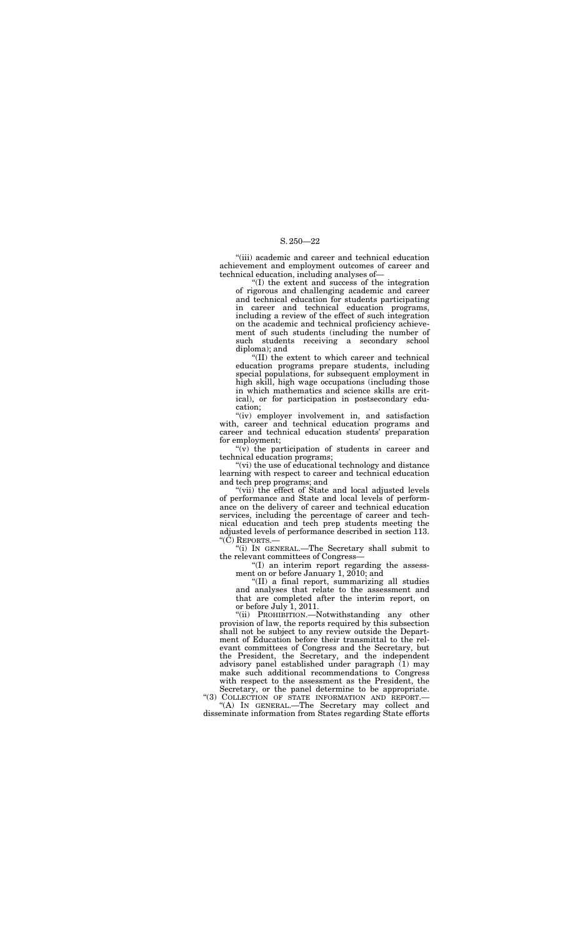''(iii) academic and career and technical education achievement and employment outcomes of career and technical education, including analyses of—

''(I) the extent and success of the integration of rigorous and challenging academic and career and technical education for students participating in career and technical education programs, including a review of the effect of such integration on the academic and technical proficiency achievement of such students (including the number of such students receiving a secondary school diploma); and

 $(v)$  the participation of students in career and technical education programs;

"(vi) the use of educational technology and distance learning with respect to career and technical education and tech prep programs; and

''(II) the extent to which career and technical education programs prepare students, including special populations, for subsequent employment in high skill, high wage occupations (including those in which mathematics and science skills are critical), or for participation in postsecondary education;

"(vii) the effect of State and local adjusted levels of performance and State and local levels of performance on the delivery of career and technical education services, including the percentage of career and technical education and tech prep students meeting the adjusted levels of performance described in section 113. ''(C) REPORTS.—

''(iv) employer involvement in, and satisfaction with, career and technical education programs and career and technical education students' preparation for employment;

''(ii) PROHIBITION.—Notwithstanding any other provision of law, the reports required by this subsection shall not be subject to any review outside the Department of Education before their transmittal to the relevant committees of Congress and the Secretary, but the President, the Secretary, and the independent advisory panel established under paragraph (1) may make such additional recommendations to Congress with respect to the assessment as the President, the Secretary, or the panel determine to be appropriate.

"(3) COLLECTION OF STATE INFORMATION AND REPORT.-''(A) IN GENERAL.—The Secretary may collect and disseminate information from States regarding State efforts

''(i) IN GENERAL.—The Secretary shall submit to the relevant committees of Congress—

''(I) an interim report regarding the assessment on or before January 1, 2010; and

''(II) a final report, summarizing all studies and analyses that relate to the assessment and that are completed after the interim report, on or before July 1, 2011.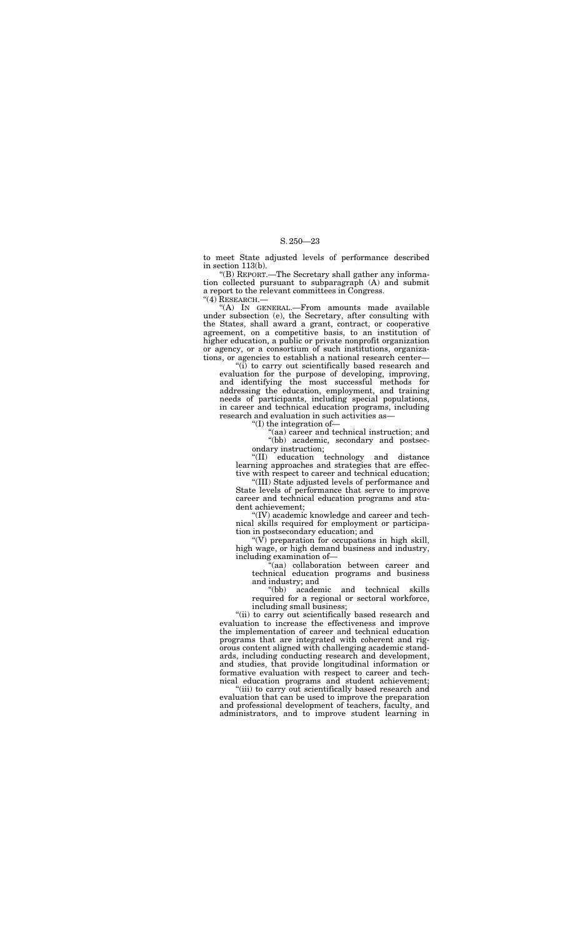to meet State adjusted levels of performance described in section 113(b).

''(B) REPORT.—The Secretary shall gather any information collected pursuant to subparagraph (A) and submit a report to the relevant committees in Congress.

''(4) RESEARCH.—

''(A) IN GENERAL.—From amounts made available under subsection (e), the Secretary, after consulting with the States, shall award a grant, contract, or cooperative agreement, on a competitive basis, to an institution of higher education, a public or private nonprofit organization or agency, or a consortium of such institutions, organizations, or agencies to establish a national research center—

''(i) to carry out scientifically based research and evaluation for the purpose of developing, improving, and identifying the most successful methods for addressing the education, employment, and training needs of participants, including special populations, in career and technical education programs, including research and evaluation in such activities as—

''(I) the integration of—

''(aa) career and technical instruction; and ''(bb) academic, secondary and postsecondary instruction;

"(ii) to carry out scientifically based research and evaluation to increase the effectiveness and improve the implementation of career and technical education programs that are integrated with coherent and rigorous content aligned with challenging academic standards, including conducting research and development, and studies, that provide longitudinal information or formative evaluation with respect to career and technical education programs and student achievement;

''(II) education technology and distance learning approaches and strategies that are effective with respect to career and technical education;

"(iii) to carry out scientifically based research and evaluation that can be used to improve the preparation and professional development of teachers, faculty, and administrators, and to improve student learning in

''(III) State adjusted levels of performance and State levels of performance that serve to improve career and technical education programs and student achievement;

''(IV) academic knowledge and career and technical skills required for employment or participation in postsecondary education; and

''(V) preparation for occupations in high skill, high wage, or high demand business and industry, including examination of—

''(aa) collaboration between career and technical education programs and business and industry; and

''(bb) academic and technical skills required for a regional or sectoral workforce, including small business;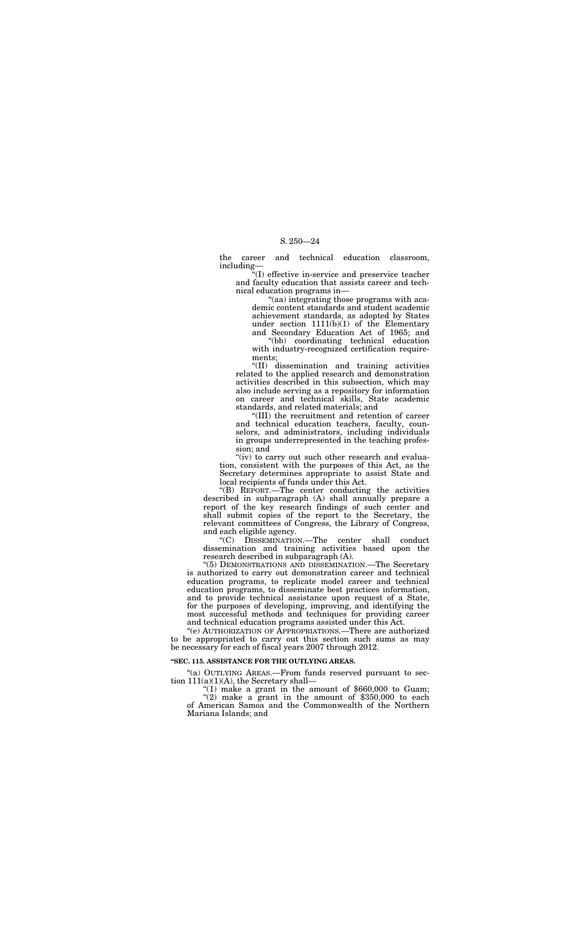the career and technical education classroom, including—

''(I) effective in-service and preservice teacher and faculty education that assists career and technical education programs in—

''(aa) integrating those programs with academic content standards and student academic achievement standards, as adopted by States under section  $1111(b)(1)$  of the Elementary and Secondary Education Act of 1965; and

''(bb) coordinating technical education with industry-recognized certification requirements;

"(iv) to carry out such other research and evaluation, consistent with the purposes of this Act, as the Secretary determines appropriate to assist State and local recipients of funds under this Act.

''(II) dissemination and training activities related to the applied research and demonstration activities described in this subsection, which may also include serving as a repository for information on career and technical skills, State academic standards, and related materials; and

''(III) the recruitment and retention of career and technical education teachers, faculty, counselors, and administrators, including individuals in groups underrepresented in the teaching profession; and

" $(2)$  make a grant in the amount of \$350,000 to each of American Samoa and the Commonwealth of the Northern Mariana Islands; and

''(B) REPORT.—The center conducting the activities described in subparagraph (A) shall annually prepare a report of the key research findings of such center and shall submit copies of the report to the Secretary, the relevant committees of Congress, the Library of Congress, and each eligible agency.

''(C) DISSEMINATION.—The center shall conduct dissemination and training activities based upon the research described in subparagraph (A).

''(5) DEMONSTRATIONS AND DISSEMINATION.—The Secretary is authorized to carry out demonstration career and technical education programs, to replicate model career and technical education programs, to disseminate best practices information, and to provide technical assistance upon request of a State, for the purposes of developing, improving, and identifying the most successful methods and techniques for providing career and technical education programs assisted under this Act.

''(e) AUTHORIZATION OF APPROPRIATIONS.—There are authorized to be appropriated to carry out this section such sums as may be necessary for each of fiscal years 2007 through 2012.

## **''SEC. 115. ASSISTANCE FOR THE OUTLYING AREAS.**

"(a) OUTLYING AREAS.—From funds reserved pursuant to section  $111(a)(1)(A)$ , the Secretary shall-

''(1) make a grant in the amount of \$660,000 to Guam;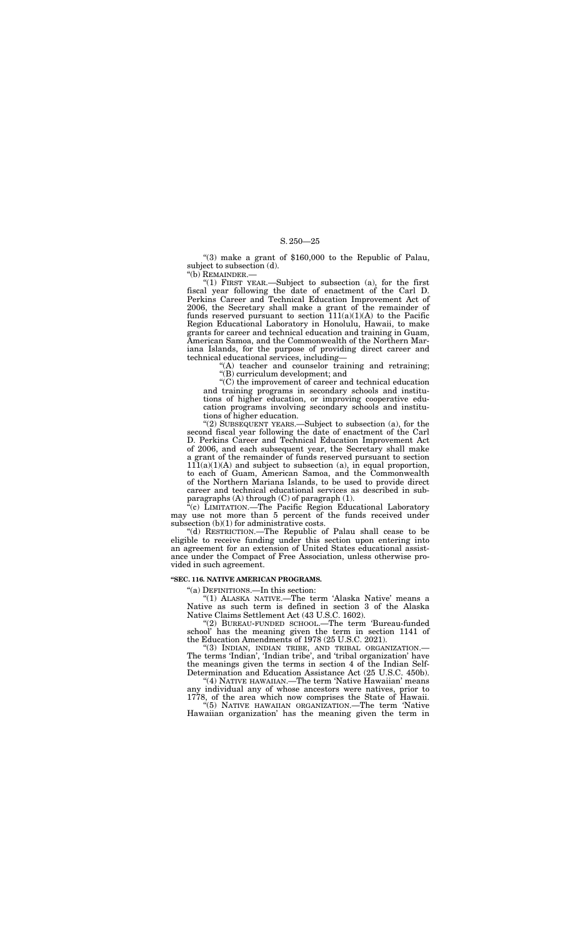" $(3)$  make a grant of \$160,000 to the Republic of Palau, subject to subsection (d).

''(b) REMAINDER.—

 $f(A)$  teacher and counselor training and retraining; ''(B) curriculum development; and

''(1) FIRST YEAR.—Subject to subsection (a), for the first fiscal year following the date of enactment of the Carl D. Perkins Career and Technical Education Improvement Act of 2006, the Secretary shall make a grant of the remainder of funds reserved pursuant to section  $111(a)(1)(A)$  to the Pacific Region Educational Laboratory in Honolulu, Hawaii, to make grants for career and technical education and training in Guam, American Samoa, and the Commonwealth of the Northern Mariana Islands, for the purpose of providing direct career and technical educational services, including—

''(2) SUBSEQUENT YEARS.—Subject to subsection (a), for the second fiscal year following the date of enactment of the Carl D. Perkins Career and Technical Education Improvement Act of 2006, and each subsequent year, the Secretary shall make a grant of the remainder of funds reserved pursuant to section  $111(a)(1)(A)$  and subject to subsection (a), in equal proportion, to each of Guam, American Samoa, and the Commonwealth of the Northern Mariana Islands, to be used to provide direct career and technical educational services as described in subparagraphs  $(A)$  through  $(C)$  of paragraph (1).

<sup>'</sup>(c) LIMITATION.—The Pacific Region Educational Laboratory may use not more than 5 percent of the funds received under subsection (b)(1) for administrative costs.

''(C) the improvement of career and technical education and training programs in secondary schools and institutions of higher education, or improving cooperative education programs involving secondary schools and institutions of higher education.

"(1) ALASKA NATIVE.-The term 'Alaska Native' means a Native as such term is defined in section 3 of the Alaska Native Claims Settlement Act (43 U.S.C. 1602).

''(d) RESTRICTION.—The Republic of Palau shall cease to be eligible to receive funding under this section upon entering into an agreement for an extension of United States educational assistance under the Compact of Free Association, unless otherwise provided in such agreement.

## **''SEC. 116. NATIVE AMERICAN PROGRAMS.**

''(a) DEFINITIONS.—In this section:

''(2) BUREAU-FUNDED SCHOOL.—The term 'Bureau-funded school' has the meaning given the term in section 1141 of the Education Amendments of 1978 (25 U.S.C. 2021).

''(3) INDIAN, INDIAN TRIBE, AND TRIBAL ORGANIZATION.— The terms 'Indian', 'Indian tribe', and 'tribal organization' have the meanings given the terms in section 4 of the Indian Self-Determination and Education Assistance Act (25 U.S.C. 450b).

''(4) NATIVE HAWAIIAN.—The term 'Native Hawaiian' means any individual any of whose ancestors were natives, prior to 1778, of the area which now comprises the State of Hawaii.

''(5) NATIVE HAWAIIAN ORGANIZATION.—The term 'Native Hawaiian organization' has the meaning given the term in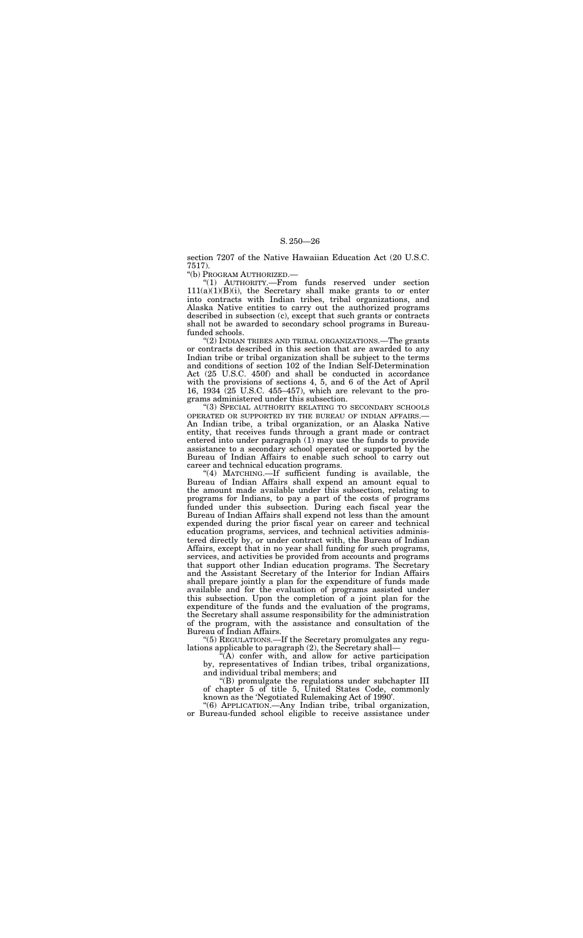section 7207 of the Native Hawaiian Education Act (20 U.S.C. 7517).

''(b) PROGRAM AUTHORIZED.—

''(1) AUTHORITY.—From funds reserved under section  $111(a)(1)(B)(i)$ , the Secretary shall make grants to or enter into contracts with Indian tribes, tribal organizations, and Alaska Native entities to carry out the authorized programs described in subsection (c), except that such grants or contracts shall not be awarded to secondary school programs in Bureaufunded schools.

''(2) INDIAN TRIBES AND TRIBAL ORGANIZATIONS.—The grants or contracts described in this section that are awarded to any Indian tribe or tribal organization shall be subject to the terms and conditions of section 102 of the Indian Self-Determination Act (25 U.S.C. 450f) and shall be conducted in accordance with the provisions of sections 4, 5, and 6 of the Act of April 16, 1934 (25 U.S.C. 455–457), which are relevant to the programs administered under this subsection.

''(3) SPECIAL AUTHORITY RELATING TO SECONDARY SCHOOLS OPERATED OR SUPPORTED BY THE BUREAU OF INDIAN AFFAIRS.— An Indian tribe, a tribal organization, or an Alaska Native entity, that receives funds through a grant made or contract entered into under paragraph (1) may use the funds to provide assistance to a secondary school operated or supported by the Bureau of Indian Affairs to enable such school to carry out career and technical education programs.

 $(4)$  MATCHING.—If sufficient funding is available, the Bureau of Indian Affairs shall expend an amount equal to the amount made available under this subsection, relating to programs for Indians, to pay a part of the costs of programs funded under this subsection. During each fiscal year the Bureau of Indian Affairs shall expend not less than the amount expended during the prior fiscal year on career and technical education programs, services, and technical activities administered directly by, or under contract with, the Bureau of Indian Affairs, except that in no year shall funding for such programs, services, and activities be provided from accounts and programs that support other Indian education programs. The Secretary and the Assistant Secretary of the Interior for Indian Affairs shall prepare jointly a plan for the expenditure of funds made available and for the evaluation of programs assisted under this subsection. Upon the completion of a joint plan for the expenditure of the funds and the evaluation of the programs, the Secretary shall assume responsibility for the administration of the program, with the assistance and consultation of the Bureau of Indian Affairs.

 $\overline{A}$  confer with, and allow for active participation by, representatives of Indian tribes, tribal organizations, and individual tribal members; and

''(5) REGULATIONS.—If the Secretary promulgates any regulations applicable to paragraph (2), the Secretary shall—

''(B) promulgate the regulations under subchapter III of chapter 5 of title 5, United States Code, commonly known as the 'Negotiated Rulemaking Act of 1990'.

''(6) APPLICATION.—Any Indian tribe, tribal organization, or Bureau-funded school eligible to receive assistance under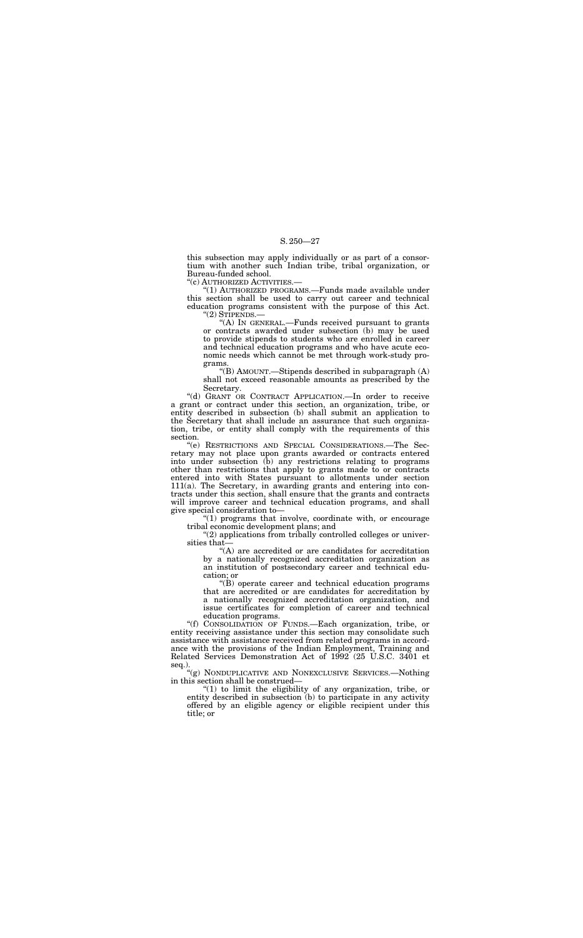this subsection may apply individually or as part of a consortium with another such Indian tribe, tribal organization, or Bureau-funded school.

''(c) AUTHORIZED ACTIVITIES.—

''(1) AUTHORIZED PROGRAMS.—Funds made available under this section shall be used to carry out career and technical education programs consistent with the purpose of this Act. ''(2) STIPENDS.—

''(A) IN GENERAL.—Funds received pursuant to grants or contracts awarded under subsection (b) may be used to provide stipends to students who are enrolled in career and technical education programs and who have acute economic needs which cannot be met through work-study programs.

''(B) AMOUNT.—Stipends described in subparagraph (A) shall not exceed reasonable amounts as prescribed by the Secretary.

 $(1)$  programs that involve, coordinate with, or encourage tribal economic development plans; and

"(2) applications from tribally controlled colleges or universities that—

''(d) GRANT OR CONTRACT APPLICATION.—In order to receive a grant or contract under this section, an organization, tribe, or entity described in subsection (b) shall submit an application to the Secretary that shall include an assurance that such organization, tribe, or entity shall comply with the requirements of this section.

''(f) CONSOLIDATION OF FUNDS.—Each organization, tribe, or entity receiving assistance under this section may consolidate such assistance with assistance received from related programs in accordance with the provisions of the Indian Employment, Training and Related Services Demonstration Act of 1992 (25 U.S.C. 3401 et seq.).<br>"(g) NONDUPLICATIVE AND NONEXCLUSIVE SERVICES.—Nothing

''(e) RESTRICTIONS AND SPECIAL CONSIDERATIONS.—The Secretary may not place upon grants awarded or contracts entered into under subsection (b) any restrictions relating to programs other than restrictions that apply to grants made to or contracts entered into with States pursuant to allotments under section 111(a). The Secretary, in awarding grants and entering into contracts under this section, shall ensure that the grants and contracts will improve career and technical education programs, and shall give special consideration to—

"(1) to limit the eligibility of any organization, tribe, or entity described in subsection (b) to participate in any activity offered by an eligible agency or eligible recipient under this title; or

''(A) are accredited or are candidates for accreditation by a nationally recognized accreditation organization as an institution of postsecondary career and technical education; or

''(B) operate career and technical education programs that are accredited or are candidates for accreditation by a nationally recognized accreditation organization, and issue certificates for completion of career and technical education programs.

in this section shall be construed—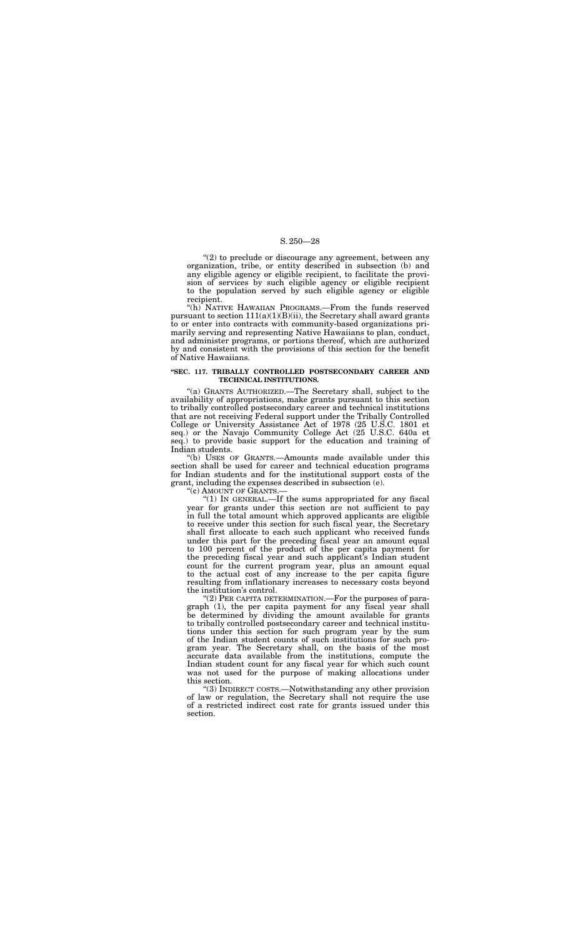''(2) to preclude or discourage any agreement, between any organization, tribe, or entity described in subsection (b) and any eligible agency or eligible recipient, to facilitate the provision of services by such eligible agency or eligible recipient to the population served by such eligible agency or eligible recipient.

"(h) NATIVE HAWAIIAN PROGRAMS.—From the funds reserved pursuant to section  $111(a)(1)(B)(ii)$ , the Secretary shall award grants to or enter into contracts with community-based organizations primarily serving and representing Native Hawaiians to plan, conduct, and administer programs, or portions thereof, which are authorized by and consistent with the provisions of this section for the benefit of Native Hawaiians.

"(a) GRANTS AUTHORIZED.—The Secretary shall, subject to the availability of appropriations, make grants pursuant to this section to tribally controlled postsecondary career and technical institutions that are not receiving Federal support under the Tribally Controlled College or University Assistance Act of 1978 (25 U.S.C. 1801 et seq.) or the Navajo Community College Act (25 U.S.C. 640a et seq.) to provide basic support for the education and training of Indian students.

## **''SEC. 117. TRIBALLY CONTROLLED POSTSECONDARY CAREER AND TECHNICAL INSTITUTIONS.**

"(1) IN GENERAL.—If the sums appropriated for any fiscal year for grants under this section are not sufficient to pay in full the total amount which approved applicants are eligible to receive under this section for such fiscal year, the Secretary shall first allocate to each such applicant who received funds under this part for the preceding fiscal year an amount equal to 100 percent of the product of the per capita payment for the preceding fiscal year and such applicant's Indian student count for the current program year, plus an amount equal to the actual cost of any increase to the per capita figure resulting from inflationary increases to necessary costs beyond the institution's control.

''(b) USES OF GRANTS.—Amounts made available under this section shall be used for career and technical education programs for Indian students and for the institutional support costs of the grant, including the expenses described in subsection (e).

"(c) AMOUNT OF GRANTS.-

"(2) PER CAPITA DETERMINATION.—For the purposes of paragraph (1), the per capita payment for any fiscal year shall be determined by dividing the amount available for grants to tribally controlled postsecondary career and technical institutions under this section for such program year by the sum of the Indian student counts of such institutions for such program year. The Secretary shall, on the basis of the most accurate data available from the institutions, compute the Indian student count for any fiscal year for which such count was not used for the purpose of making allocations under this section.

''(3) INDIRECT COSTS.—Notwithstanding any other provision of law or regulation, the Secretary shall not require the use of a restricted indirect cost rate for grants issued under this section.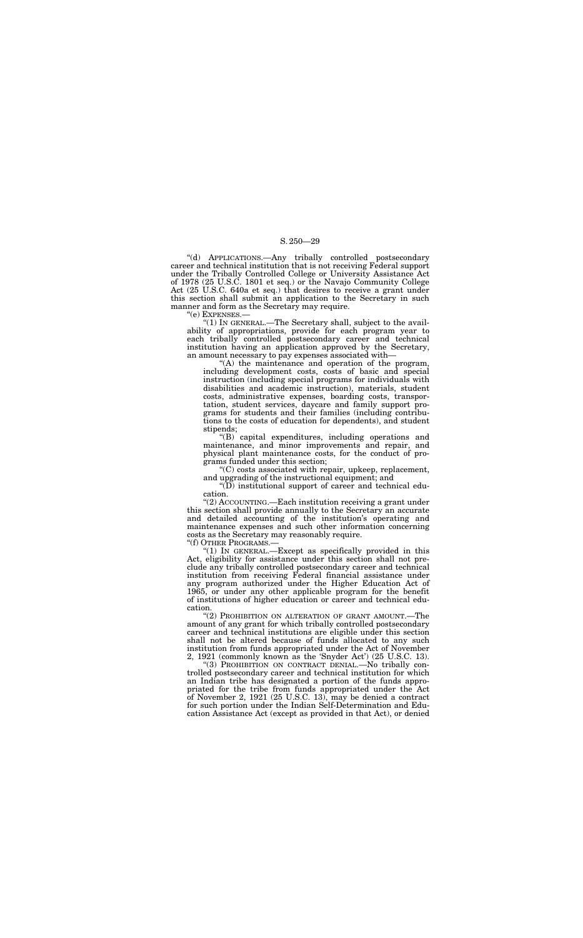''(d) APPLICATIONS.—Any tribally controlled postsecondary career and technical institution that is not receiving Federal support under the Tribally Controlled College or University Assistance Act of 1978 (25 U.S.C. 1801 et seq.) or the Navajo Community College Act (25 U.S.C. 640a et seq.) that desires to receive a grant under this section shall submit an application to the Secretary in such manner and form as the Secretary may require.

''(e) EXPENSES.—

''(1) IN GENERAL.—The Secretary shall, subject to the availability of appropriations, provide for each program year to each tribally controlled postsecondary career and technical institution having an application approved by the Secretary, an amount necessary to pay expenses associated with—

 $\mathrm{``(D)}$  institutional support of career and technical education.

''(A) the maintenance and operation of the program, including development costs, costs of basic and special instruction (including special programs for individuals with disabilities and academic instruction), materials, student costs, administrative expenses, boarding costs, transportation, student services, daycare and family support programs for students and their families (including contributions to the costs of education for dependents), and student stipends;

'(1) IN GENERAL.—Except as specifically provided in this Act, eligibility for assistance under this section shall not preclude any tribally controlled postsecondary career and technical institution from receiving Federal financial assistance under any program authorized under the Higher Education Act of 1965, or under any other applicable program for the benefit of institutions of higher education or career and technical education.

''(B) capital expenditures, including operations and maintenance, and minor improvements and repair, and physical plant maintenance costs, for the conduct of programs funded under this section;

"(2) PROHIBITION ON ALTERATION OF GRANT AMOUNT.—The amount of any grant for which tribally controlled postsecondary career and technical institutions are eligible under this section shall not be altered because of funds allocated to any such institution from funds appropriated under the Act of November 2, 1921 (commonly known as the 'Snyder Act') (25 U.S.C. 13).

''(C) costs associated with repair, upkeep, replacement, and upgrading of the instructional equipment; and

''(2) ACCOUNTING.—Each institution receiving a grant under this section shall provide annually to the Secretary an accurate and detailed accounting of the institution's operating and maintenance expenses and such other information concerning costs as the Secretary may reasonably require.

''(f) OTHER PROGRAMS.—

''(3) PROHIBITION ON CONTRACT DENIAL.—No tribally controlled postsecondary career and technical institution for which an Indian tribe has designated a portion of the funds appropriated for the tribe from funds appropriated under the Act of November 2, 1921 (25 U.S.C. 13), may be denied a contract for such portion under the Indian Self-Determination and Education Assistance Act (except as provided in that Act), or denied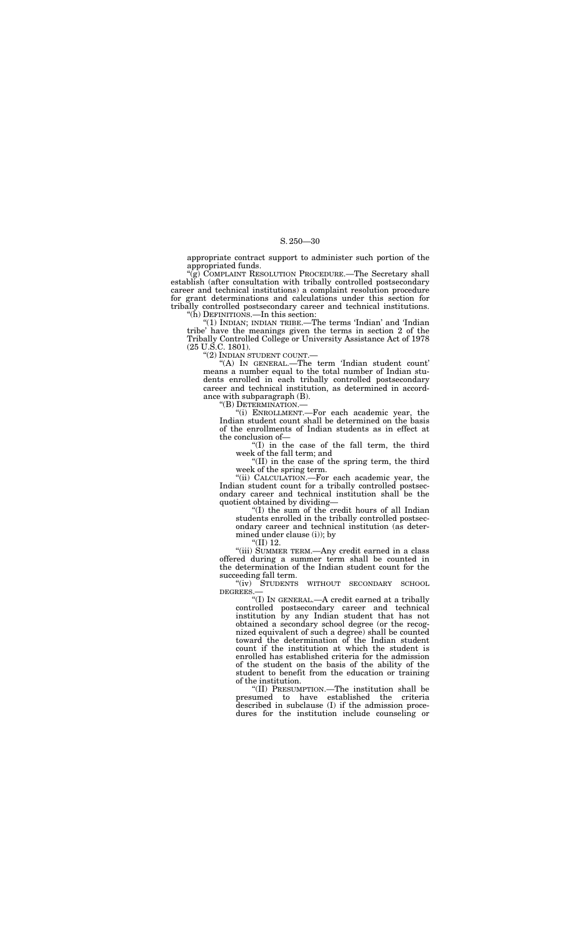appropriate contract support to administer such portion of the appropriated funds.

" $(g)$  COMPLAINT RESOLUTION PROCEDURE.—The Secretary shall establish (after consultation with tribally controlled postsecondary career and technical institutions) a complaint resolution procedure for grant determinations and calculations under this section for tribally controlled postsecondary career and technical institutions. ''(h) DEFINITIONS.—In this section:

''(1) INDIAN; INDIAN TRIBE.—The terms 'Indian' and 'Indian tribe' have the meanings given the terms in section 2 of the Tribally Controlled College or University Assistance Act of 1978 (25 U.S.C. 1801).

''(2) INDIAN STUDENT COUNT.—

''(A) IN GENERAL.—The term 'Indian student count' means a number equal to the total number of Indian students enrolled in each tribally controlled postsecondary career and technical institution, as determined in accordance with subparagraph (B).

"(iii) SUMMER TERM.—Any credit earned in a class offered during a summer term shall be counted in the determination of the Indian student count for the succeeding fall term.

"(iv) STUDENTS WITHOUT SECONDARY SCHOOL DEGREES.—

''(B) DETERMINATION.—

''(i) ENROLLMENT.—For each academic year, the Indian student count shall be determined on the basis of the enrollments of Indian students as in effect at the conclusion of—

''(I) in the case of the fall term, the third week of the fall term; and

''(II) in the case of the spring term, the third week of the spring term.

''(ii) CALCULATION.—For each academic year, the Indian student count for a tribally controlled postsecondary career and technical institution shall be the quotient obtained by dividing—

''(I) the sum of the credit hours of all Indian students enrolled in the tribally controlled postsecondary career and technical institution (as determined under clause (i)); by

 $^{\circ}$ (II) 12.

''(I) IN GENERAL.—A credit earned at a tribally controlled postsecondary career and technical institution by any Indian student that has not obtained a secondary school degree (or the recognized equivalent of such a degree) shall be counted toward the determination of the Indian student count if the institution at which the student is enrolled has established criteria for the admission of the student on the basis of the ability of the student to benefit from the education or training of the institution.

''(II) PRESUMPTION.—The institution shall be presumed to have established the criteria described in subclause (I) if the admission procedures for the institution include counseling or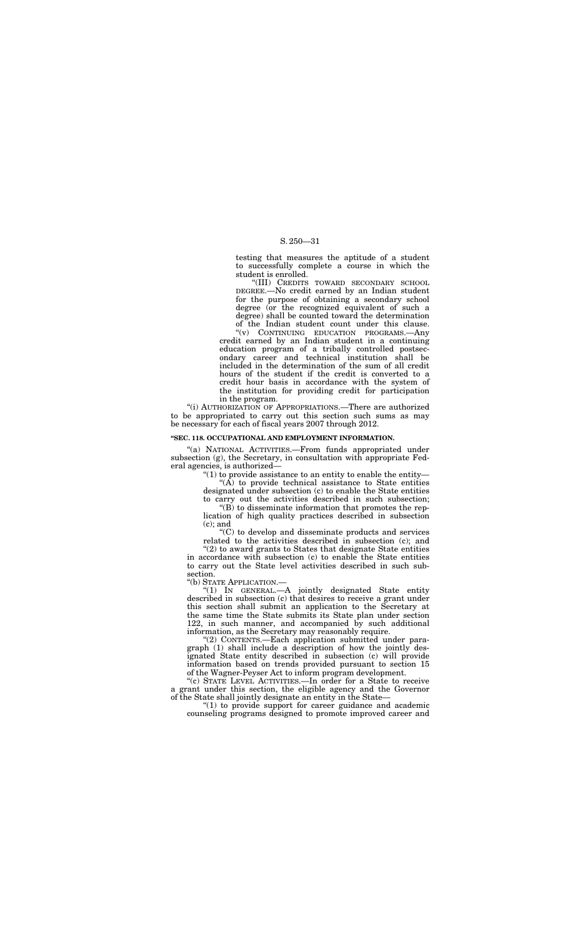testing that measures the aptitude of a student to successfully complete a course in which the student is enrolled.

''(III) CREDITS TOWARD SECONDARY SCHOOL DEGREE.—No credit earned by an Indian student for the purpose of obtaining a secondary school degree (or the recognized equivalent of such a degree) shall be counted toward the determination of the Indian student count under this clause.

''(v) CONTINUING EDUCATION PROGRAMS.—Any credit earned by an Indian student in a continuing education program of a tribally controlled postsecondary career and technical institution shall be included in the determination of the sum of all credit hours of the student if the credit is converted to a credit hour basis in accordance with the system of the institution for providing credit for participation in the program.

"(1) to provide assistance to an entity to enable the entity $f(A)$  to provide technical assistance to State entities designated under subsection (c) to enable the State entities

''(i) AUTHORIZATION OF APPROPRIATIONS.—There are authorized to be appropriated to carry out this section such sums as may be necessary for each of fiscal years 2007 through 2012.

## **''SEC. 118. OCCUPATIONAL AND EMPLOYMENT INFORMATION.**

''(a) NATIONAL ACTIVITIES.—From funds appropriated under subsection (g), the Secretary, in consultation with appropriate Federal agencies, is authorized—

> to carry out the activities described in such subsection; ''(B) to disseminate information that promotes the rep-

> lication of high quality practices described in subsection (c); and

> ''(C) to develop and disseminate products and services related to the activities described in subsection (c); and

''(2) to award grants to States that designate State entities in accordance with subsection (c) to enable the State entities to carry out the State level activities described in such subsection.

''(b) STATE APPLICATION.—

''(1) IN GENERAL.—A jointly designated State entity described in subsection (c) that desires to receive a grant under this section shall submit an application to the Secretary at the same time the State submits its State plan under section 122, in such manner, and accompanied by such additional information, as the Secretary may reasonably require.

''(2) CONTENTS.—Each application submitted under paragraph (1) shall include a description of how the jointly designated State entity described in subsection (c) will provide information based on trends provided pursuant to section 15 of the Wagner-Peyser Act to inform program development.

''(c) STATE LEVEL ACTIVITIES.—In order for a State to receive a grant under this section, the eligible agency and the Governor of the State shall jointly designate an entity in the State—

''(1) to provide support for career guidance and academic counseling programs designed to promote improved career and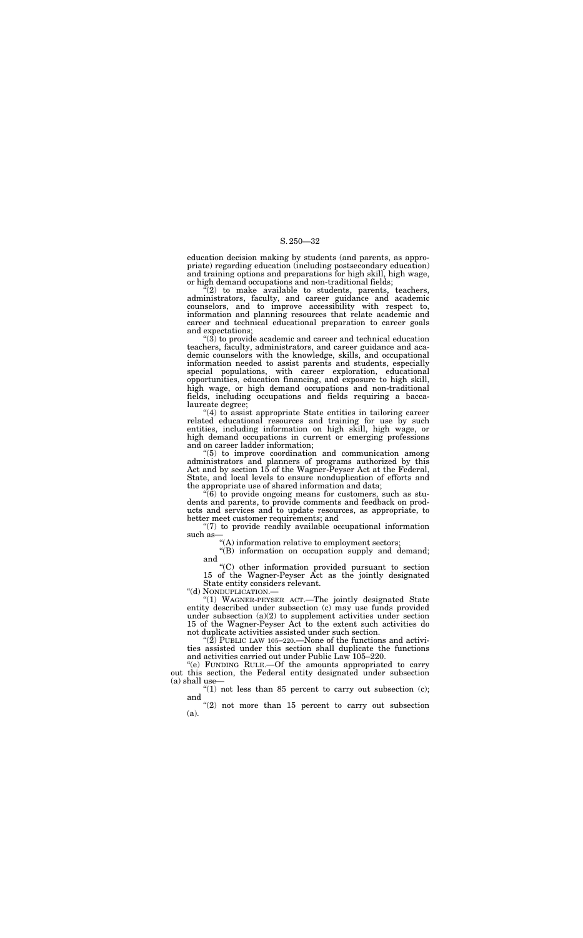education decision making by students (and parents, as appropriate) regarding education (including postsecondary education) and training options and preparations for high skill, high wage, or high demand occupations and non-traditional fields;

or high demand occupations and non-traditional fields; ''(2) to make available to students, parents, teachers, administrators, faculty, and career guidance and academic counselors, and to improve accessibility with respect to, information and planning resources that relate academic and career and technical educational preparation to career goals

" $(3)$  to provide academic and career and technical education teachers, faculty, administrators, and career guidance and academic counselors with the knowledge, skills, and occupational information needed to assist parents and students, especially special populations, with career exploration, educational opportunities, education financing, and exposure to high skill, high wage, or high demand occupations and non-traditional fields, including occupations and fields requiring a bacca-

 $\degree$ (4) to assist appropriate State entities in tailoring career related educational resources and training for use by such entities, including information on high skill, high wage, or high demand occupations in current or emerging professions and on career ladder information;

 $(5)$  to improve coordination and communication among administrators and planners of programs authorized by this Act and by section 15 of the Wagner-Peyser Act at the Federal, State, and local levels to ensure nonduplication of efforts and the appropriate use of shared information and data;

 $\sqrt{6}$ ) to provide ongoing means for customers, such as students and parents, to provide comments and feedback on products and services and to update resources, as appropriate, to better meet customer requirements; and

''(7) to provide readily available occupational information such as-

"(B) information on occupation supply and demand; and

" $(2)$  PUBLIC LAW 105–220.—None of the functions and activities assisted under this section shall duplicate the functions

and  $\binom{12}{2}$  not more than 15 percent to carry out subsection (a).

''(A) information relative to employment sectors;

''(C) other information provided pursuant to section 15 of the Wagner-Peyser Act as the jointly designated State entity considers relevant.

''(d) NONDUPLICATION.—

''(1) WAGNER-PEYSER ACT.—The jointly designated State entity described under subsection (c) may use funds provided under subsection  $(a)(2)$  to supplement activities under section 15 of the Wagner-Peyser Act to the extent such activities do not duplicate activities assisted under such section.

and activities carried out under Public Law 105–220. ''(e) FUNDING RULE.—Of the amounts appropriated to carry out this section, the Federal entity designated under subsection

 $(1)$  not less than 85 percent to carry out subsection (c);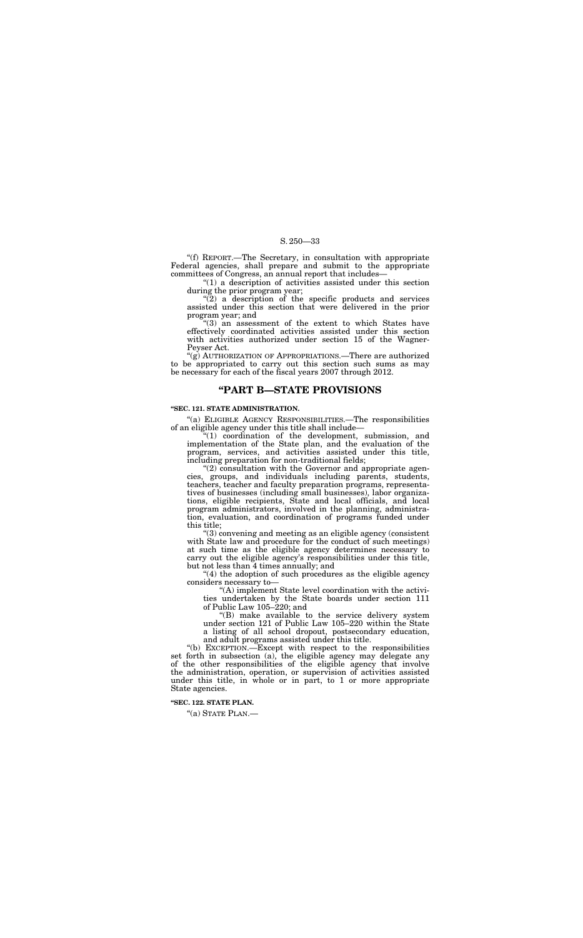''(1) a description of activities assisted under this section during the prior program year;<br>"(2) a description of the specific products and services

''(f) REPORT.—The Secretary, in consultation with appropriate Federal agencies, shall prepare and submit to the appropriate committees of Congress, an annual report that includes—

assisted under this section that were delivered in the prior program year; and  $(3)$  an assessment of the extent to which States have

effectively coordinated activities assisted under this section with activities authorized under section 15 of the Wagner-Peyser Act.

''(g) AUTHORIZATION OF APPROPRIATIONS.—There are authorized to be appropriated to carry out this section such sums as may be necessary for each of the fiscal years 2007 through 2012.

## **''PART B—STATE PROVISIONS**

## **''SEC. 121. STATE ADMINISTRATION.**

''(a) ELIGIBLE AGENCY RESPONSIBILITIES.—The responsibilities of an eligible agency under this title shall include—

 $(4)$  the adoption of such procedures as the eligible agency considers necessary to—

''(1) coordination of the development, submission, and implementation of the State plan, and the evaluation of the program, services, and activities assisted under this title, including preparation for non-traditional fields;

''(2) consultation with the Governor and appropriate agencies, groups, and individuals including parents, students, teachers, teacher and faculty preparation programs, representatives of businesses (including small businesses), labor organizations, eligible recipients, State and local officials, and local program administrators, involved in the planning, administration, evaluation, and coordination of programs funded under this title;

''(3) convening and meeting as an eligible agency (consistent with State law and procedure for the conduct of such meetings) at such time as the eligible agency determines necessary to carry out the eligible agency's responsibilities under this title, but not less than 4 times annually; and

''(A) implement State level coordination with the activities undertaken by the State boards under section 111 of Public Law 105–220; and

''(B) make available to the service delivery system under section 121 of Public Law 105–220 within the State a listing of all school dropout, postsecondary education, and adult programs assisted under this title.

''(b) EXCEPTION.—Except with respect to the responsibilities set forth in subsection (a), the eligible agency may delegate any of the other responsibilities of the eligible agency that involve the administration, operation, or supervision of activities assisted under this title, in whole or in part, to 1 or more appropriate State agencies.

## **''SEC. 122. STATE PLAN.**

''(a) STATE PLAN.—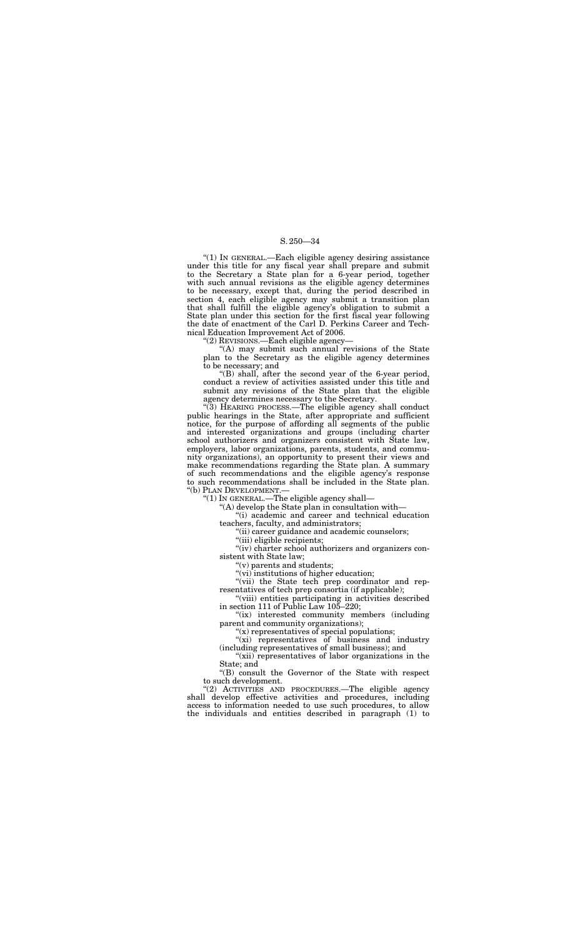''(1) IN GENERAL.—Each eligible agency desiring assistance under this title for any fiscal year shall prepare and submit to the Secretary a State plan for a 6-year period, together with such annual revisions as the eligible agency determines to be necessary, except that, during the period described in section 4, each eligible agency may submit a transition plan that shall fulfill the eligible agency's obligation to submit a State plan under this section for the first fiscal year following the date of enactment of the Carl D. Perkins Career and Technical Education Improvement Act of 2006.

"(A) may submit such annual revisions of the State plan to the Secretary as the eligible agency determines to be necessary; and

''(2) REVISIONS.—Each eligible agency—

''(B) shall, after the second year of the 6-year period, conduct a review of activities assisted under this title and submit any revisions of the State plan that the eligible agency determines necessary to the Secretary.

"(iv) charter school authorizers and organizers consistent with State law;

"(vii) the State tech prep coordinator and representatives of tech prep consortia (if applicable);

"(viii) entities participating in activities described in section 111 of Public Law 105–220;

"(ix) interested community members (including) parent and community organizations);

"(x) representatives of special populations;

"(xi) representatives of business and industry (including representatives of small business); and

"(xii) representatives of labor organizations in the State; and

''(3) HEARING PROCESS.—The eligible agency shall conduct public hearings in the State, after appropriate and sufficient notice, for the purpose of affording all segments of the public and interested organizations and groups (including charter school authorizers and organizers consistent with State law, employers, labor organizations, parents, students, and community organizations), an opportunity to present their views and make recommendations regarding the State plan. A summary of such recommendations and the eligible agency's response to such recommendations shall be included in the State plan. ''(b) PLAN DEVELOPMENT.—

''(1) IN GENERAL.—The eligible agency shall—

''(A) develop the State plan in consultation with—

''(i) academic and career and technical education teachers, faculty, and administrators;

"(ii) career guidance and academic counselors;

"(iii) eligible recipients;

''(v) parents and students;

''(vi) institutions of higher education;

''(B) consult the Governor of the State with respect to such development.

''(2) ACTIVITIES AND PROCEDURES.—The eligible agency shall develop effective activities and procedures, including access to information needed to use such procedures, to allow the individuals and entities described in paragraph (1) to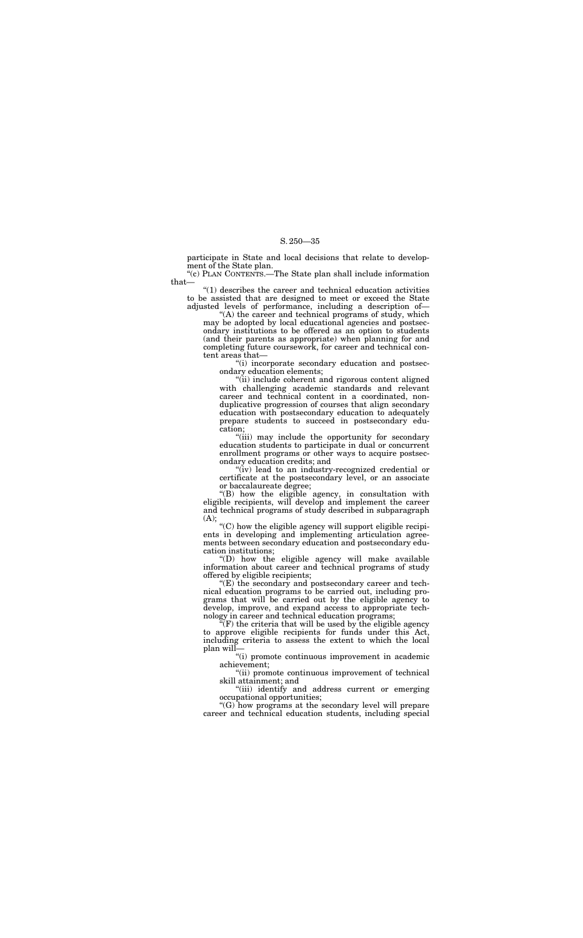participate in State and local decisions that relate to development of the State plan.

''(c) PLAN CONTENTS.—The State plan shall include information that—

''(1) describes the career and technical education activities to be assisted that are designed to meet or exceed the State adjusted levels of performance, including a description of—

"(A) the career and technical programs of study, which may be adopted by local educational agencies and postsecondary institutions to be offered as an option to students (and their parents as appropriate) when planning for and completing future coursework, for career and technical content areas that—

"(iii) may include the opportunity for secondary education students to participate in dual or concurrent enrollment programs or other ways to acquire postsecondary education credits; and

"(iv) lead to an industry-recognized credential or certificate at the postsecondary level, or an associate or baccalaureate degree;

''(i) incorporate secondary education and postsecondary education elements;

''(ii) include coherent and rigorous content aligned with challenging academic standards and relevant career and technical content in a coordinated, nonduplicative progression of courses that align secondary education with postsecondary education to adequately prepare students to succeed in postsecondary education;

 $\mathbf{f}(\mathbf{F})$  the criteria that will be used by the eligible agency to approve eligible recipients for funds under this Act, including criteria to assess the extent to which the local plan will—

"(iii) identify and address current or emerging occupational opportunities;

''(B) how the eligible agency, in consultation with eligible recipients, will develop and implement the career and technical programs of study described in subparagraph (A);

''(C) how the eligible agency will support eligible recipients in developing and implementing articulation agreements between secondary education and postsecondary education institutions;

''(D) how the eligible agency will make available information about career and technical programs of study offered by eligible recipients;

''(E) the secondary and postsecondary career and technical education programs to be carried out, including programs that will be carried out by the eligible agency to develop, improve, and expand access to appropriate technology in career and technical education programs;

''(i) promote continuous improvement in academic achievement;

''(ii) promote continuous improvement of technical skill attainment; and

''(G) how programs at the secondary level will prepare career and technical education students, including special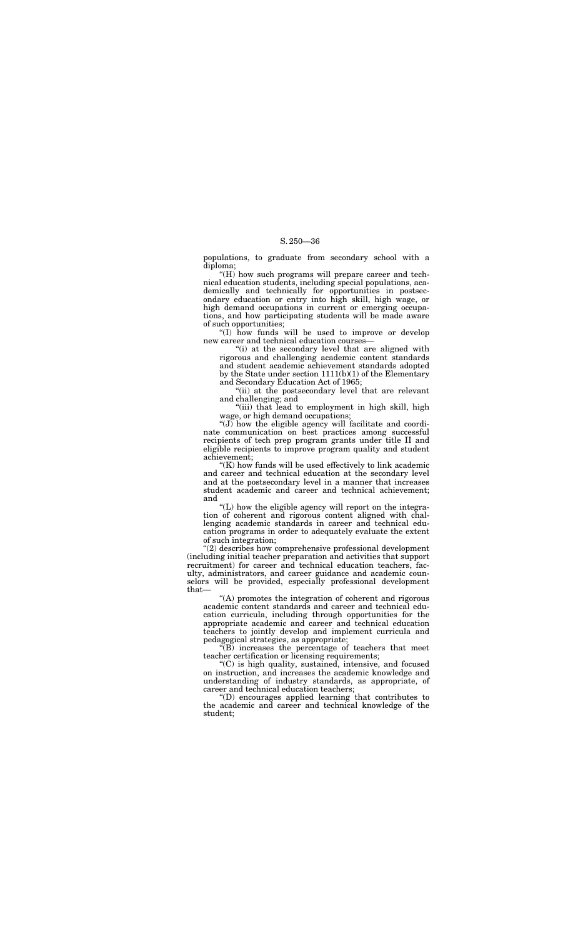populations, to graduate from secondary school with a diploma;

"(H) how such programs will prepare career and technical education students, including special populations, academically and technically for opportunities in postsecondary education or entry into high skill, high wage, or high demand occupations in current or emerging occupations, and how participating students will be made aware of such opportunities;

"(i) at the secondary level that are aligned with rigorous and challenging academic content standards and student academic achievement standards adopted by the State under section 1111(b)(1) of the Elementary and Secondary Education Act of 1965;

"(iii) that lead to employment in high skill, high wage, or high demand occupations;

''(I) how funds will be used to improve or develop new career and technical education courses—

"(K) how funds will be used effectively to link academic and career and technical education at the secondary level and at the postsecondary level in a manner that increases student academic and career and technical achievement; and

''(ii) at the postsecondary level that are relevant and challenging; and

"(L) how the eligible agency will report on the integration of coherent and rigorous content aligned with challenging academic standards in career and technical education programs in order to adequately evaluate the extent of such integration;

''(J) how the eligible agency will facilitate and coordinate communication on best practices among successful recipients of tech prep program grants under title II and eligible recipients to improve program quality and student achievement;

 $\sqrt[G]{(B)}$  increases the percentage of teachers that meet teacher certification or licensing requirements;

''(2) describes how comprehensive professional development (including initial teacher preparation and activities that support recruitment) for career and technical education teachers, faculty, administrators, and career guidance and academic counselors will be provided, especially professional development that—

''(A) promotes the integration of coherent and rigorous academic content standards and career and technical education curricula, including through opportunities for the appropriate academic and career and technical education teachers to jointly develop and implement curricula and pedagogical strategies, as appropriate;

''(C) is high quality, sustained, intensive, and focused on instruction, and increases the academic knowledge and understanding of industry standards, as appropriate, of career and technical education teachers;

''(D) encourages applied learning that contributes to the academic and career and technical knowledge of the student;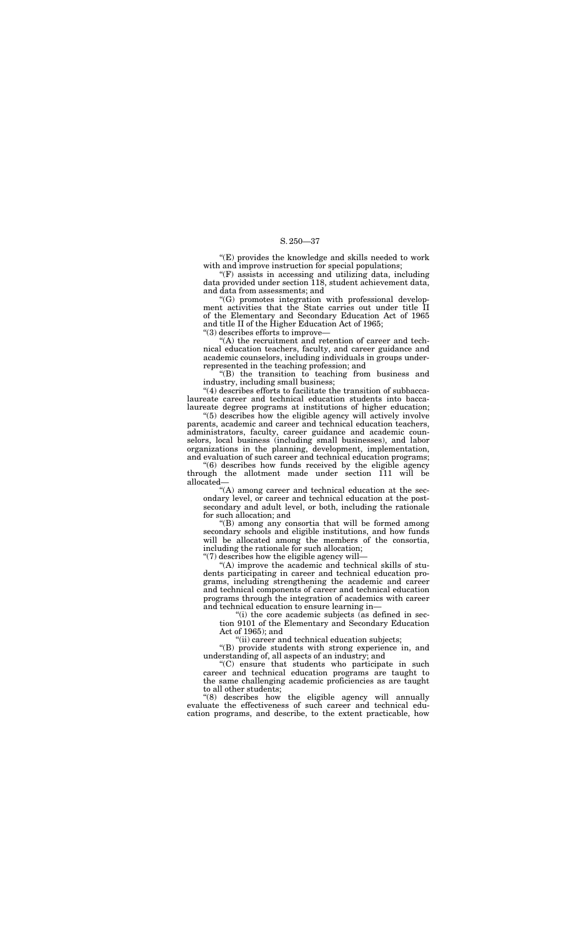"(E) provides the knowledge and skills needed to work with and improve instruction for special populations;

''(F) assists in accessing and utilizing data, including data provided under section 118, student achievement data, and data from assessments; and

"(A) the recruitment and retention of career and technical education teachers, faculty, and career guidance and academic counselors, including individuals in groups underrepresented in the teaching profession; and

''(G) promotes integration with professional development activities that the State carries out under title II of the Elementary and Secondary Education Act of 1965 and title II of the Higher Education Act of 1965;

''(3) describes efforts to improve—

 $''(4)$  describes efforts to facilitate the transition of subbaccalaureate career and technical education students into baccalaureate degree programs at institutions of higher education;

''(B) the transition to teaching from business and industry, including small business;

"(A) improve the academic and technical skills of students participating in career and technical education programs, including strengthening the academic and career and technical components of career and technical education programs through the integration of academics with career and technical education to ensure learning in—

''(5) describes how the eligible agency will actively involve parents, academic and career and technical education teachers, administrators, faculty, career guidance and academic counselors, local business (including small businesses), and labor organizations in the planning, development, implementation, and evaluation of such career and technical education programs;

> "(i) the core academic subjects (as defined in section 9101 of the Elementary and Secondary Education Act of 1965); and

(ii) career and technical education subjects;

''(6) describes how funds received by the eligible agency through the allotment made under section 111 will be allocated—

''(A) among career and technical education at the secondary level, or career and technical education at the postsecondary and adult level, or both, including the rationale for such allocation; and

''(B) among any consortia that will be formed among secondary schools and eligible institutions, and how funds will be allocated among the members of the consortia, including the rationale for such allocation;

''(7) describes how the eligible agency will—

''(B) provide students with strong experience in, and understanding of, all aspects of an industry; and

''(C) ensure that students who participate in such career and technical education programs are taught to the same challenging academic proficiencies as are taught to all other students;

''(8) describes how the eligible agency will annually evaluate the effectiveness of such career and technical education programs, and describe, to the extent practicable, how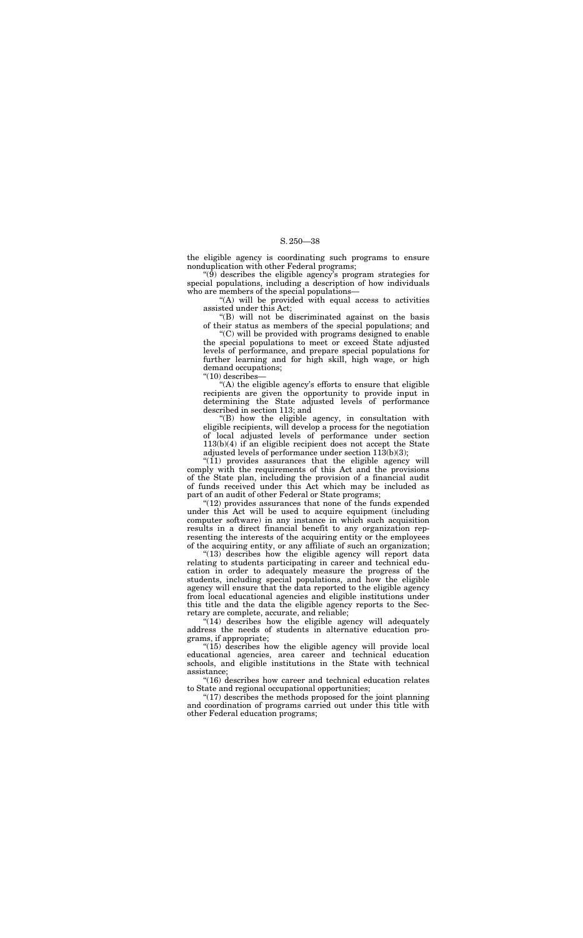the eligible agency is coordinating such programs to ensure nonduplication with other Federal programs;

 $\cdot$ (9) describes the eligible agency's program strategies for special populations, including a description of how individuals who are members of the special populations-

"(A) will be provided with equal access to activities assisted under this Act;

''(B) will not be discriminated against on the basis of their status as members of the special populations; and

''(C) will be provided with programs designed to enable the special populations to meet or exceed State adjusted levels of performance, and prepare special populations for further learning and for high skill, high wage, or high demand occupations;

''(10) describes—

"(11) provides assurances that the eligible agency will comply with the requirements of this Act and the provisions of the State plan, including the provision of a financial audit of funds received under this Act which may be included as part of an audit of other Federal or State programs;

''(A) the eligible agency's efforts to ensure that eligible recipients are given the opportunity to provide input in determining the State adjusted levels of performance described in section 113; and

 $(12)$  provides assurances that none of the funds expended under this Act will be used to acquire equipment (including computer software) in any instance in which such acquisition results in a direct financial benefit to any organization representing the interests of the acquiring entity or the employees of the acquiring entity, or any affiliate of such an organization;

''(B) how the eligible agency, in consultation with eligible recipients, will develop a process for the negotiation of local adjusted levels of performance under section 113(b)(4) if an eligible recipient does not accept the State adjusted levels of performance under section 113(b)(3);

"(13) describes how the eligible agency will report data relating to students participating in career and technical education in order to adequately measure the progress of the students, including special populations, and how the eligible agency will ensure that the data reported to the eligible agency from local educational agencies and eligible institutions under this title and the data the eligible agency reports to the Secretary are complete, accurate, and reliable;

 $*(14)$  describes how the eligible agency will adequately address the needs of students in alternative education programs, if appropriate;

"(17) describes the methods proposed for the joint planning and coordination of programs carried out under this title with other Federal education programs;

''(15) describes how the eligible agency will provide local educational agencies, area career and technical education schools, and eligible institutions in the State with technical assistance;

''(16) describes how career and technical education relates to State and regional occupational opportunities;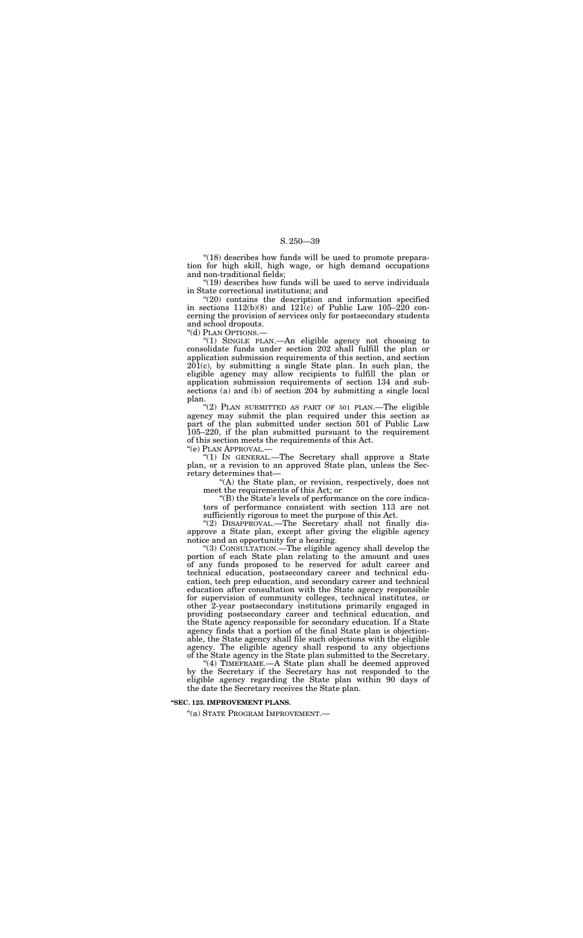"(18) describes how funds will be used to promote preparation for high skill, high wage, or high demand occupations and non-traditional fields;

'(19) describes how funds will be used to serve individuals in State correctional institutions; and

"(20) contains the description and information specified in sections 112(b)(8) and 121(c) of Public Law 105–220 concerning the provision of services only for postsecondary students and school dropouts.

''(d) PLAN OPTIONS.—

"(2) PLAN SUBMITTED AS PART OF 501 PLAN.—The eligible agency may submit the plan required under this section as part of the plan submitted under section 501 of Public Law 105–220, if the plan submitted pursuant to the requirement of this section meets the requirements of this Act.

''(1) SINGLE PLAN.—An eligible agency not choosing to consolidate funds under section 202 shall fulfill the plan or application submission requirements of this section, and section  $201(c)$ , by submitting a single State plan. In such plan, the eligible agency may allow recipients to fulfill the plan or application submission requirements of section 134 and subsections (a) and (b) of section 204 by submitting a single local plan.

"(A) the State plan, or revision, respectively, does not meet the requirements of this Act; or

"(2) DISAPPROVAL.—The Secretary shall not finally disapprove a State plan, except after giving the eligible agency notice and an opportunity for a hearing.

''(e) PLAN APPROVAL.—

''(1) IN GENERAL.—The Secretary shall approve a State plan, or a revision to an approved State plan, unless the Secretary determines that—

"(4) TIMEFRAME.—A State plan shall be deemed approved by the Secretary if the Secretary has not responded to the eligible agency regarding the State plan within 90 days of the date the Secretary receives the State plan.

''(B) the State's levels of performance on the core indicators of performance consistent with section 113 are not sufficiently rigorous to meet the purpose of this Act.

''(3) CONSULTATION.—The eligible agency shall develop the portion of each State plan relating to the amount and uses of any funds proposed to be reserved for adult career and technical education, postsecondary career and technical education, tech prep education, and secondary career and technical education after consultation with the State agency responsible for supervision of community colleges, technical institutes, or other 2-year postsecondary institutions primarily engaged in providing postsecondary career and technical education, and the State agency responsible for secondary education. If a State agency finds that a portion of the final State plan is objectionable, the State agency shall file such objections with the eligible agency. The eligible agency shall respond to any objections of the State agency in the State plan submitted to the Secretary.

## **''SEC. 123. IMPROVEMENT PLANS.**

''(a) STATE PROGRAM IMPROVEMENT.—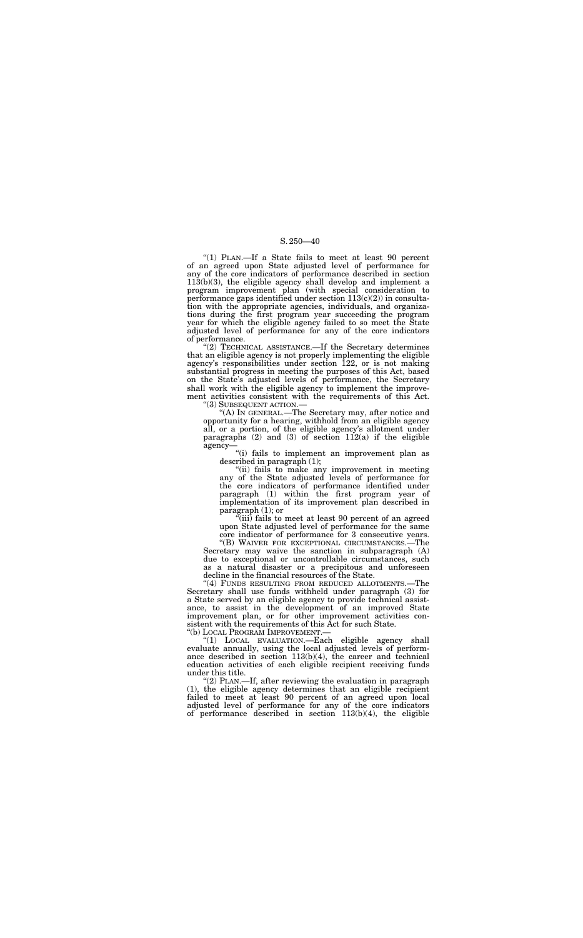''(1) PLAN.—If a State fails to meet at least 90 percent of an agreed upon State adjusted level of performance for any of the core indicators of performance described in section 113(b)(3), the eligible agency shall develop and implement a program improvement plan (with special consideration to performance gaps identified under section 113(c)(2)) in consultation with the appropriate agencies, individuals, and organizations during the first program year succeeding the program year for which the eligible agency failed to so meet the State adjusted level of performance for any of the core indicators of performance.

''(2) TECHNICAL ASSISTANCE.—If the Secretary determines that an eligible agency is not properly implementing the eligible agency's responsibilities under section 122, or is not making substantial progress in meeting the purposes of this Act, based on the State's adjusted levels of performance, the Secretary shall work with the eligible agency to implement the improvement activities consistent with the requirements of this Act. ''(3) SUBSEQUENT ACTION.—

> $\tilde{f}$ (iii) fails to meet at least 90 percent of an agreed upon State adjusted level of performance for the same core indicator of performance for 3 consecutive years.

''(A) IN GENERAL.—The Secretary may, after notice and opportunity for a hearing, withhold from an eligible agency all, or a portion, of the eligible agency's allotment under paragraphs  $(2)$  and  $(3)$  of section 112(a) if the eligible agency—

"(4) FUNDS RESULTING FROM REDUCED ALLOTMENTS.—The Secretary shall use funds withheld under paragraph (3) for a State served by an eligible agency to provide technical assistance, to assist in the development of an improved State improvement plan, or for other improvement activities consistent with the requirements of this Act for such State.

''(i) fails to implement an improvement plan as described in paragraph (1);

''(ii) fails to make any improvement in meeting any of the State adjusted levels of performance for the core indicators of performance identified under paragraph (1) within the first program year of implementation of its improvement plan described in paragraph (1); or

''(B) WAIVER FOR EXCEPTIONAL CIRCUMSTANCES.—The Secretary may waive the sanction in subparagraph (A) due to exceptional or uncontrollable circumstances, such as a natural disaster or a precipitous and unforeseen decline in the financial resources of the State.

''(b) LOCAL PROGRAM IMPROVEMENT.—

''(1) LOCAL EVALUATION.—Each eligible agency shall evaluate annually, using the local adjusted levels of performance described in section 113(b)(4), the career and technical education activities of each eligible recipient receiving funds

" $(2)$  PLAN.—If, after reviewing the evaluation in paragraph (1), the eligible agency determines that an eligible recipient failed to meet at least 90 percent of an agreed upon local adjusted level of performance for any of the core indicators of performance described in section  $113(b)(4)$ , the eligible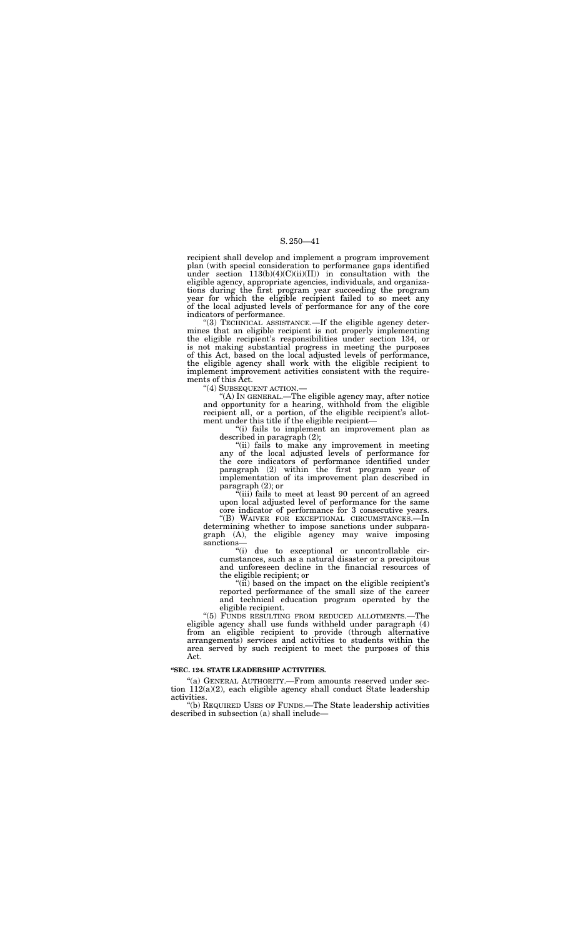recipient shall develop and implement a program improvement plan (with special consideration to performance gaps identified under section  $113(b)(4)(C)(ii)(II))$  in consultation with the eligible agency, appropriate agencies, individuals, and organizations during the first program year succeeding the program year for which the eligible recipient failed to so meet any of the local adjusted levels of performance for any of the core

indicators of performance.<br>''(3) TECHNICAL ASSISTANCE.—If the eligible agency determines that an eligible recipient is not properly implementing the eligible recipient's responsibilities under section 134, or is not making substantial progress in meeting the purposes of this Act, based on the local adjusted levels of performance, the eligible agency shall work with the eligible recipient to implement improvement activities consistent with the requirements of this Act.

''(A) IN GENERAL.—The eligible agency may, after notice and opportunity for a hearing, withhold from the eligible recipient all, or a portion, of the eligible recipient's allotment under this title if the eligible recipient—

 $\tilde{f}$ (iii) fails to meet at least 90 percent of an agreed upon local adjusted level of performance for the same core indicator of performance for 3 consecutive years.

''(4) SUBSEQUENT ACTION.—

"(ii) based on the impact on the eligible recipient's reported performance of the small size of the career and technical education program operated by the eligible recipient.

''(i) fails to implement an improvement plan as described in paragraph (2);

''(ii) fails to make any improvement in meeting any of the local adjusted levels of performance for the core indicators of performance identified under paragraph (2) within the first program year of implementation of its improvement plan described in paragraph (2); or

''(B) WAIVER FOR EXCEPTIONAL CIRCUMSTANCES.—In determining whether to impose sanctions under subparagraph (A), the eligible agency may waive imposing sanctions—

''(i) due to exceptional or uncontrollable circumstances, such as a natural disaster or a precipitous and unforeseen decline in the financial resources of the eligible recipient; or

''(5) FUNDS RESULTING FROM REDUCED ALLOTMENTS.—The eligible agency shall use funds withheld under paragraph (4) from an eligible recipient to provide (through alternative arrangements) services and activities to students within the area served by such recipient to meet the purposes of this Act.

## **''SEC. 124. STATE LEADERSHIP ACTIVITIES.**

''(a) GENERAL AUTHORITY.—From amounts reserved under section 112(a)(2), each eligible agency shall conduct State leadership activities.

''(b) REQUIRED USES OF FUNDS.—The State leadership activities described in subsection (a) shall include—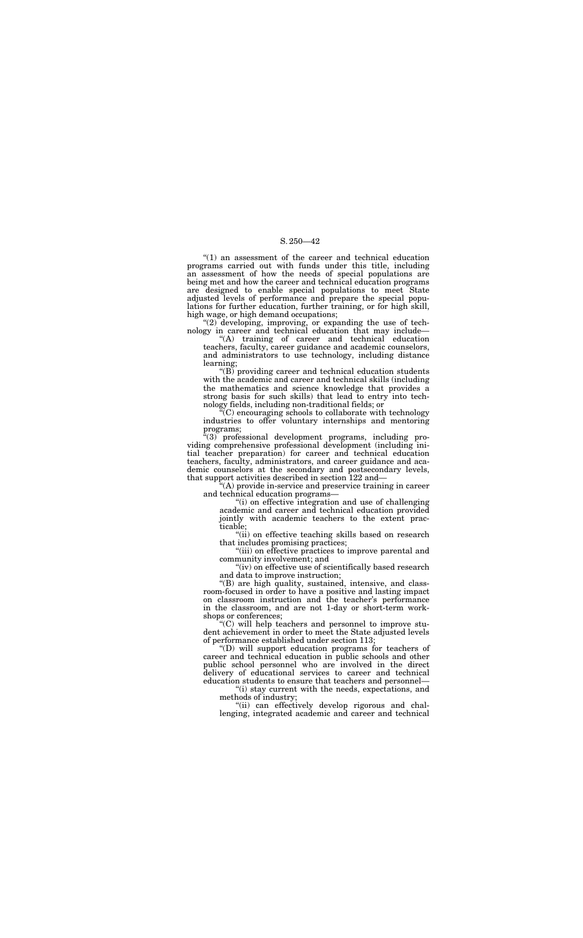$''(1)$  an assessment of the career and technical education programs carried out with funds under this title, including an assessment of how the needs of special populations are being met and how the career and technical education programs are designed to enable special populations to meet State adjusted levels of performance and prepare the special populations for further education, further training, or for high skill,

" $(2)$  developing, improving, or expanding the use of technology in career and technical education that may include— ''(A) training of career and technical education

learning;<br>"(B) providing career and technical education students with the academic and career and technical skills (including the mathematics and science knowledge that provides a strong basis for such skills) that lead to entry into tech-

nology fields, including non-traditional fields; or "(C) encouraging schools to collaborate with technology industries to offer voluntary internships and mentoring programs;

teachers, faculty, career guidance and academic counselors, and administrators to use technology, including distance

 $f(A)$  provide in-service and preservice training in career and technical education programs—

"(ii) on effective teaching skills based on research that includes promising practices;

"(iv) on effective use of scientifically based research and data to improve instruction;

''(3) professional development programs, including providing comprehensive professional development (including initial teacher preparation) for career and technical education teachers, faculty, administrators, and career guidance and academic counselors at the secondary and postsecondary levels, that support activities described in section 122 and—

> "(ii) can effectively develop rigorous and challenging, integrated academic and career and technical

''(i) on effective integration and use of challenging academic and career and technical education provided jointly with academic teachers to the extent practicable;

''(iii) on effective practices to improve parental and community involvement; and

''(B) are high quality, sustained, intensive, and classroom-focused in order to have a positive and lasting impact on classroom instruction and the teacher's performance in the classroom, and are not 1-day or short-term workshops or conferences;

''(C) will help teachers and personnel to improve student achievement in order to meet the State adjusted levels of performance established under section 113;

''(D) will support education programs for teachers of career and technical education in public schools and other public school personnel who are involved in the direct delivery of educational services to career and technical education students to ensure that teachers and personnel—

''(i) stay current with the needs, expectations, and methods of industry;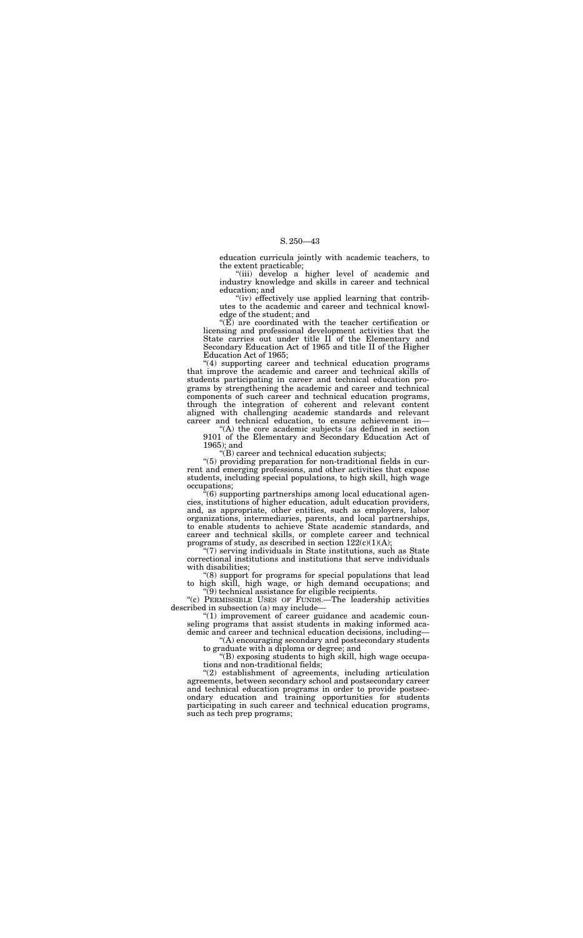education curricula jointly with academic teachers, to

"(iii) develop a higher level of academic and industry knowledge and skills in career and technical

"(iv) effectively use applied learning that contributes to the academic and career and technical knowledge of the student; and

''(E) are coordinated with the teacher certification or licensing and professional development activities that the State carries out under title II of the Elementary and Secondary Education Act of 1965 and title II of the Higher Education Act of 1965;

"(4) supporting career and technical education programs that improve the academic and career and technical skills of students participating in career and technical education programs by strengthening the academic and career and technical components of such career and technical education programs, through the integration of coherent and relevant content aligned with challenging academic standards and relevant career and technical education, to ensure achievement in—

''(6) supporting partnerships among local educational agencies, institutions of higher education, adult education providers, and, as appropriate, other entities, such as employers, labor organizations, intermediaries, parents, and local partnerships, to enable students to achieve State academic standards, and career and technical skills, or complete career and technical programs of study, as described in section 122(c)(1)(A);

"(7) serving individuals in State institutions, such as State correctional institutions and institutions that serve individuals with disabilities;

''(A) the core academic subjects (as defined in section 9101 of the Elementary and Secondary Education Act of 1965); and

''(B) career and technical education subjects;

''(5) providing preparation for non-traditional fields in current and emerging professions, and other activities that expose students, including special populations, to high skill, high wage occupations;

"(2) establishment of agreements, including articulation agreements, between secondary school and postsecondary career and technical education programs in order to provide postsecondary education and training opportunities for students participating in such career and technical education programs, such as tech prep programs;

''(8) support for programs for special populations that lead to high skill, high wage, or high demand occupations; and ''(9) technical assistance for eligible recipients.

''(c) PERMISSIBLE USES OF FUNDS.—The leadership activities described in subsection (a) may include—

''(1) improvement of career guidance and academic counseling programs that assist students in making informed academic and career and technical education decisions, including—

''(A) encouraging secondary and postsecondary students to graduate with a diploma or degree; and

''(B) exposing students to high skill, high wage occupations and non-traditional fields;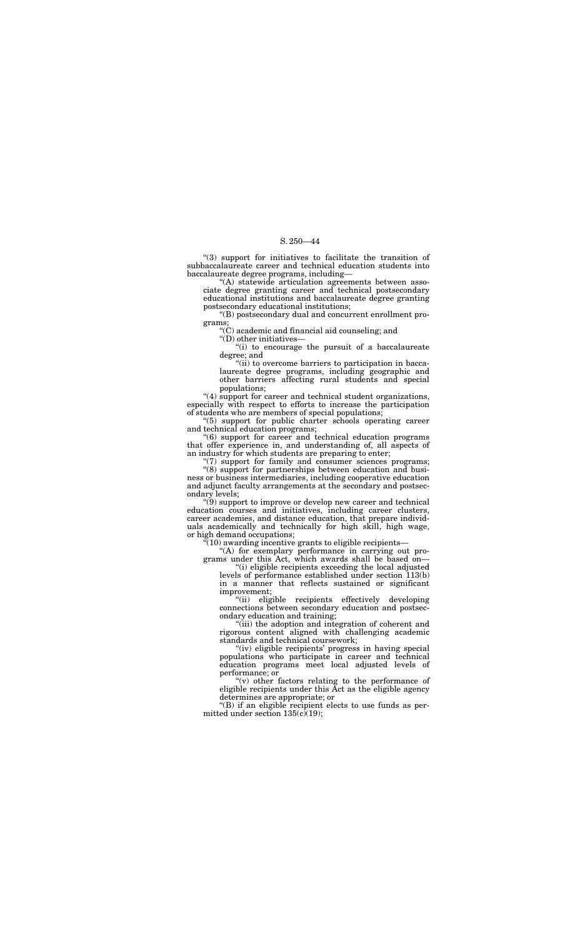''(3) support for initiatives to facilitate the transition of subbaccalaureate career and technical education students into baccalaureate degree programs, including—

"(A) statewide articulation agreements between associate degree granting career and technical postsecondary educational institutions and baccalaureate degree granting

 $"$ (B) postsecondary dual and concurrent enrollment pro-<br>grams;

"(C) academic and financial aid counseling; and "(D) other initiatives—

 $\hspace{0.1em} \mbox{``(i)}$  to encourage the pursuit of a baccalaureate degree; and

" $(ii)$  to overcome barriers to participation in baccalaureate degree programs, including geographic and other barriers affecting rural students and special

"(4) support for career and technical student organizations, especially with respect to efforts to increase the participation of students who are members of special populations;

 $(5)$  support for public charter schools operating career and technical education programs;

> "(ii) eligible recipients effectively developing connections between secondary education and postsecondary education and training;

''(6) support for career and technical education programs that offer experience in, and understanding of, all aspects of an industry for which students are preparing to enter;

 $\degree$ (7) support for family and consumer sciences programs;

"(iv) eligible recipients' progress in having special populations who participate in career and technical education programs meet local adjusted levels of performance; or

"(v) other factors relating to the performance of eligible recipients under this Act as the eligible agency determines are appropriate; or

''(B) if an eligible recipient elects to use funds as permitted under section  $135(c)(19)$ ;

''(8) support for partnerships between education and business or business intermediaries, including cooperative education and adjunct faculty arrangements at the secondary and postsecondary levels;

''(9) support to improve or develop new career and technical education courses and initiatives, including career clusters, career academies, and distance education, that prepare individuals academically and technically for high skill, high wage, or high demand occupations;

''(10) awarding incentive grants to eligible recipients—

''(A) for exemplary performance in carrying out programs under this Act, which awards shall be based on—

''(i) eligible recipients exceeding the local adjusted levels of performance established under section 113(b) in a manner that reflects sustained or significant improvement;

''(iii) the adoption and integration of coherent and rigorous content aligned with challenging academic standards and technical coursework;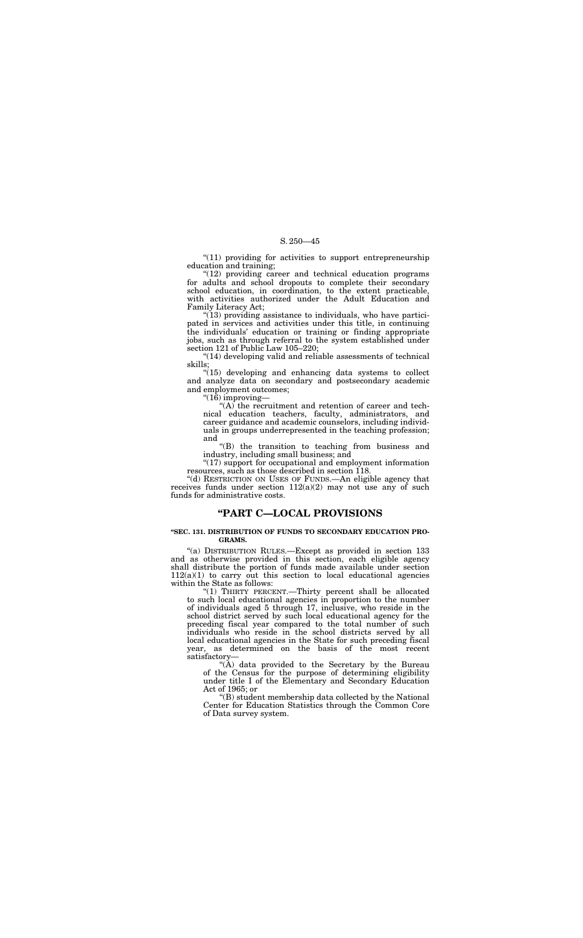$"(11)$  providing for activities to support entrepreneurship education and training;

''(12) providing career and technical education programs for adults and school dropouts to complete their secondary school education, in coordination, to the extent practicable, with activities authorized under the Adult Education and Family Literacy Act;

"(13) providing assistance to individuals, who have participated in services and activities under this title, in continuing the individuals' education or training or finding appropriate jobs, such as through referral to the system established under section 121 of Public Law 105-220;

"(14) developing valid and reliable assessments of technical skills;

"(15) developing and enhancing data systems to collect and analyze data on secondary and postsecondary academic and employment outcomes;<br>"(16) improving—<br>"(A) the recruitment and retention of career and tech-

and "(B) the transition to teaching from business and industry, including small business; and

nical education teachers, faculty, administrators, and career guidance and academic counselors, including individuals in groups underrepresented in the teaching profession;

''(17) support for occupational and employment information resources, such as those described in section 118.

"(A) data provided to the Secretary by the Bureau of the Census for the purpose of determining eligibility under title I of the Elementary and Secondary Education Act of 1965; or

 $E(B)$  student membership data collected by the National Center for Education Statistics through the Common Core of Data survey system.

''(d) RESTRICTION ON USES OF FUNDS.—An eligible agency that receives funds under section  $112(a)(2)$  may not use any of such funds for administrative costs.

## **''PART C—LOCAL PROVISIONS**

## **''SEC. 131. DISTRIBUTION OF FUNDS TO SECONDARY EDUCATION PRO-GRAMS.**

''(a) DISTRIBUTION RULES.—Except as provided in section 133 and as otherwise provided in this section, each eligible agency shall distribute the portion of funds made available under section  $112(a)(1)$  to carry out this section to local educational agencies within the State as follows:

''(1) THIRTY PERCENT.—Thirty percent shall be allocated to such local educational agencies in proportion to the number of individuals aged 5 through 17, inclusive, who reside in the school district served by such local educational agency for the preceding fiscal year compared to the total number of such individuals who reside in the school districts served by all local educational agencies in the State for such preceding fiscal year, as determined on the basis of the most recent satisfactory—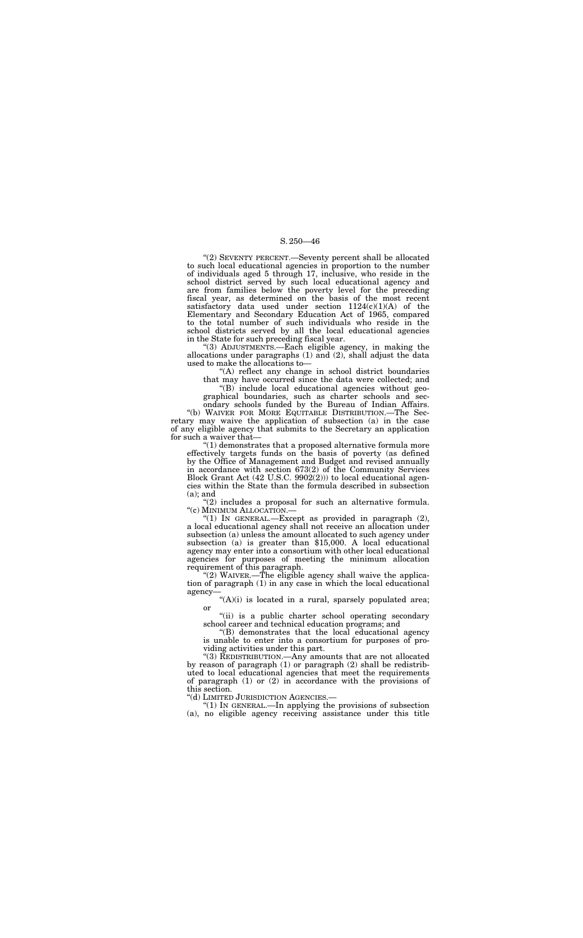''(2) SEVENTY PERCENT.—Seventy percent shall be allocated to such local educational agencies in proportion to the number of individuals aged 5 through 17, inclusive, who reside in the school district served by such local educational agency and are from families below the poverty level for the preceding fiscal year, as determined on the basis of the most recent satisfactory data used under section 1124(c)(1)(A) of the Elementary and Secondary Education Act of 1965, compared to the total number of such individuals who reside in the school districts served by all the local educational agencies in the State for such preceding fiscal year.

''(b) WAIVER FOR MORE EQUITABLE DISTRIBUTION.—The Secretary may waive the application of subsection (a) in the case of any eligible agency that submits to the Secretary an application for such a waiver that-

''(1) demonstrates that a proposed alternative formula more effectively targets funds on the basis of poverty (as defined by the Office of Management and Budget and revised annually in accordance with section 673(2) of the Community Services Block Grant Act (42 U.S.C. 9902(2))) to local educational agencies within the State than the formula described in subsection  $(a)$ ; and

''(3) ADJUSTMENTS.—Each eligible agency, in making the allocations under paragraphs (1) and (2), shall adjust the data used to make the allocations to—

''(A) reflect any change in school district boundaries that may have occurred since the data were collected; and

''(B) include local educational agencies without geographical boundaries, such as charter schools and secondary schools funded by the Bureau of Indian Affairs.

"(2) WAIVER.—The eligible agency shall waive the application of paragraph (1) in any case in which the local educational agency—

"(A)(i) is located in a rural, sparsely populated area; or

''(3) REDISTRIBUTION.—Any amounts that are not allocated by reason of paragraph (1) or paragraph (2) shall be redistributed to local educational agencies that meet the requirements of paragraph (1) or (2) in accordance with the provisions of this section.<br>"(d) LIMITED JURISDICTION AGENCIES.—

" $(1)$  In GENERAL.—In applying the provisions of subsection (a), no eligible agency receiving assistance under this title

''(2) includes a proposal for such an alternative formula. ''(c) MINIMUM ALLOCATION.—

''(1) IN GENERAL.—Except as provided in paragraph (2), a local educational agency shall not receive an allocation under subsection (a) unless the amount allocated to such agency under subsection (a) is greater than \$15,000. A local educational agency may enter into a consortium with other local educational agencies for purposes of meeting the minimum allocation requirement of this paragraph.

''(ii) is a public charter school operating secondary school career and technical education programs; and

''(B) demonstrates that the local educational agency is unable to enter into a consortium for purposes of providing activities under this part.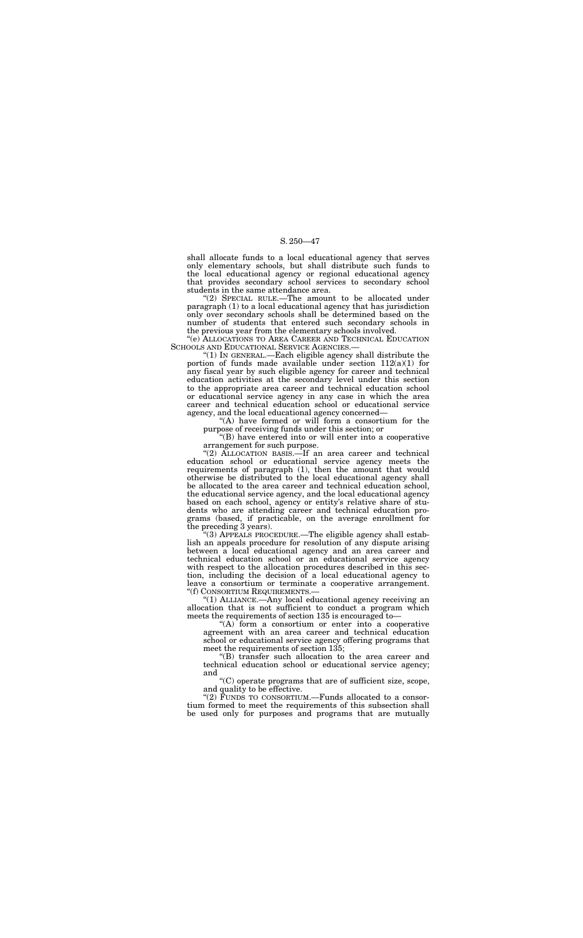shall allocate funds to a local educational agency that serves only elementary schools, but shall distribute such funds to the local educational agency or regional educational agency that provides secondary school services to secondary school

" $(2)$  SPECIAL RULE.—The amount to be allocated under paragraph (1) to a local educational agency that has jurisdiction only over secondary schools shall be determined based on the number of students that entered such secondary schools in the previous year from the elementary schools involved.

''(e) ALLOCATIONS TO AREA CAREER AND TECHNICAL EDUCATION SCHOOLS AND EDUCATIONAL SERVICE AGENCIES.—

''(1) IN GENERAL.—Each eligible agency shall distribute the portion of funds made available under section  $112(a)(1)$  for any fiscal year by such eligible agency for career and technical education activities at the secondary level under this section to the appropriate area career and technical education school or educational service agency in any case in which the area career and technical education school or educational service agency, and the local educational agency concerned—

"(2) ALLOCATION BASIS.—If an area career and technical education school or educational service agency meets the requirements of paragraph (1), then the amount that would otherwise be distributed to the local educational agency shall be allocated to the area career and technical education school, the educational service agency, and the local educational agency based on each school, agency or entity's relative share of students who are attending career and technical education programs (based, if practicable, on the average enrollment for the preceding 3 years).

(3) APPEALS PROCEDURE.—The eligible agency shall establish an appeals procedure for resolution of any dispute arising between a local educational agency and an area career and technical education school or an educational service agency with respect to the allocation procedures described in this section, including the decision of a local educational agency to leave a consortium or terminate a cooperative arrangement. ''(f) CONSORTIUM REQUIREMENTS.—

''(A) have formed or will form a consortium for the purpose of receiving funds under this section; or

"(1) ALLIANCE.—Any local educational agency receiving an allocation that is not sufficient to conduct a program which meets the requirements of section 135 is encouraged to—

''(B) have entered into or will enter into a cooperative arrangement for such purpose.

" $(A)$  form a consortium or enter into a cooperative agreement with an area career and technical education school or educational service agency offering programs that meet the requirements of section 135;

and "(C) operate programs that are of sufficient size, scope, and quality to be effective.

" $(2)$  FUNDS TO CONSORTIUM.—Funds allocated to a consortium formed to meet the requirements of this subsection shall be used only for purposes and programs that are mutually

''(B) transfer such allocation to the area career and technical education school or educational service agency;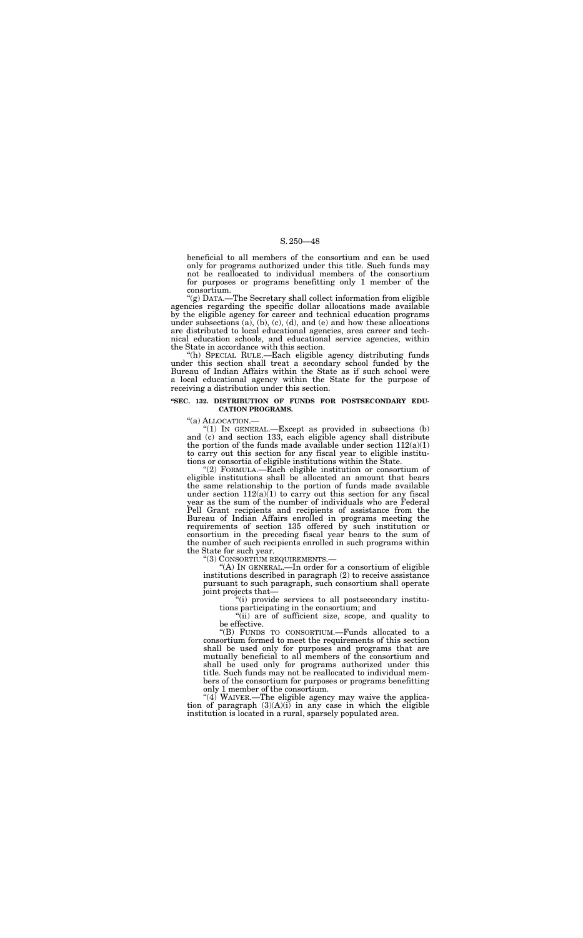beneficial to all members of the consortium and can be used only for programs authorized under this title. Such funds may not be reallocated to individual members of the consortium for purposes or programs benefitting only 1 member of the consortium.

''(g) DATA.—The Secretary shall collect information from eligible agencies regarding the specific dollar allocations made available by the eligible agency for career and technical education programs under subsections  $(a)$ ,  $(b)$ ,  $(c)$ ,  $(d)$ , and  $(e)$  and how these allocations are distributed to local educational agencies, area career and technical education schools, and educational service agencies, within the State in accordance with this section.

"(1) IN GENERAL.—Except as provided in subsections (b) and (c) and section 133, each eligible agency shall distribute the portion of the funds made available under section  $112(a)(1)$ to carry out this section for any fiscal year to eligible institutions or consortia of eligible institutions within the State.

''(h) SPECIAL RULE.—Each eligible agency distributing funds under this section shall treat a secondary school funded by the Bureau of Indian Affairs within the State as if such school were a local educational agency within the State for the purpose of receiving a distribution under this section.

## **''SEC. 132. DISTRIBUTION OF FUNDS FOR POSTSECONDARY EDU-CATION PROGRAMS.**

''(a) ALLOCATION.—

"(4) WAIVER.—The eligible agency may waive the application of paragraph  $(3)(A)(i)$  in any case in which the eligible institution is located in a rural, sparsely populated area.

''(2) FORMULA.—Each eligible institution or consortium of eligible institutions shall be allocated an amount that bears the same relationship to the portion of funds made available under section  $112(a)(1)$  to carry out this section for any fiscal year as the sum of the number of individuals who are Federal Pell Grant recipients and recipients of assistance from the Bureau of Indian Affairs enrolled in programs meeting the requirements of section 135 offered by such institution or consortium in the preceding fiscal year bears to the sum of the number of such recipients enrolled in such programs within the State for such year.

''(3) CONSORTIUM REQUIREMENTS.—

''(A) IN GENERAL.—In order for a consortium of eligible institutions described in paragraph (2) to receive assistance pursuant to such paragraph, such consortium shall operate joint projects that—

''(i) provide services to all postsecondary institutions participating in the consortium; and

''(ii) are of sufficient size, scope, and quality to be effective.

''(B) FUNDS TO CONSORTIUM.—Funds allocated to a consortium formed to meet the requirements of this section shall be used only for purposes and programs that are mutually beneficial to all members of the consortium and shall be used only for programs authorized under this title. Such funds may not be reallocated to individual members of the consortium for purposes or programs benefitting only 1 member of the consortium.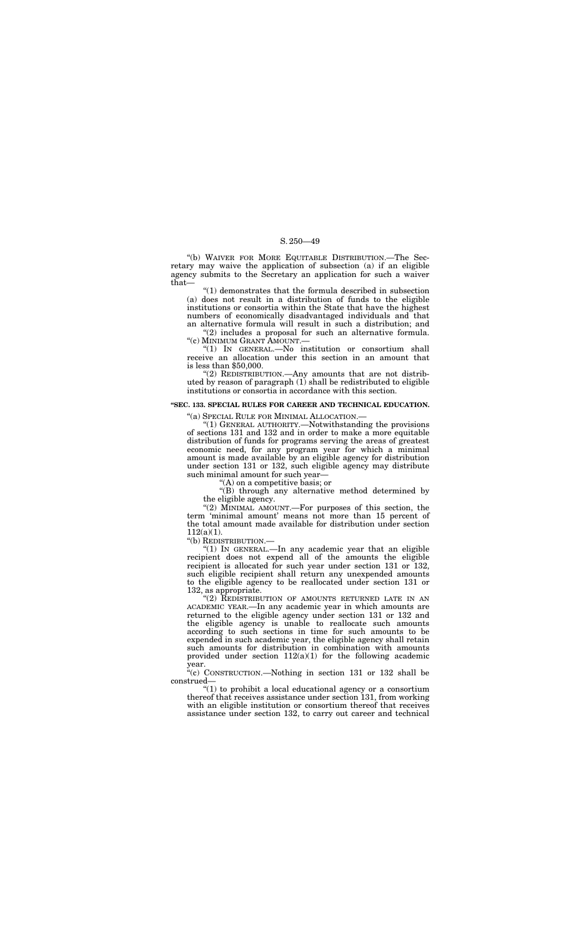''(b) WAIVER FOR MORE EQUITABLE DISTRIBUTION.—The Secretary may waive the application of subsection (a) if an eligible agency submits to the Secretary an application for such a waiver that—

''(1) demonstrates that the formula described in subsection (a) does not result in a distribution of funds to the eligible institutions or consortia within the State that have the highest numbers of economically disadvantaged individuals and that an alternative formula will result in such a distribution; and

"(2) includes a proposal for such an alternative formula. "(c) MINIMUM GRANT AMOUNT.-

"(2) REDISTRIBUTION.—Any amounts that are not distributed by reason of paragraph (1) shall be redistributed to eligible institutions or consortia in accordance with this section.

''(1) IN GENERAL.—No institution or consortium shall receive an allocation under this section in an amount that is less than \$50,000.

"(2) MINIMAL AMOUNT.—For purposes of this section, the term 'minimal amount' means not more than 15 percent of the total amount made available for distribution under section 112(a)(1).

## **''SEC. 133. SPECIAL RULES FOR CAREER AND TECHNICAL EDUCATION.**

''(a) SPECIAL RULE FOR MINIMAL ALLOCATION.—

"(1) In GENERAL.—In any academic year that an eligible recipient does not expend all of the amounts the eligible recipient is allocated for such year under section 131 or 132, such eligible recipient shall return any unexpended amounts to the eligible agency to be reallocated under section 131 or 132, as appropriate.

''(1) GENERAL AUTHORITY.—Notwithstanding the provisions of sections 131 and 132 and in order to make a more equitable distribution of funds for programs serving the areas of greatest economic need, for any program year for which a minimal amount is made available by an eligible agency for distribution under section 131 or 132, such eligible agency may distribute such minimal amount for such year—

"(2) REDISTRIBUTION OF AMOUNTS RETURNED LATE IN AN ACADEMIC YEAR.—In any academic year in which amounts are returned to the eligible agency under section 131 or 132 and the eligible agency is unable to reallocate such amounts according to such sections in time for such amounts to be expended in such academic year, the eligible agency shall retain such amounts for distribution in combination with amounts provided under section  $112(a)(1)$  for the following academic year.

''(A) on a competitive basis; or

''(B) through any alternative method determined by the eligible agency.

''(b) REDISTRIBUTION.—

''(c) CONSTRUCTION.—Nothing in section 131 or 132 shall be construed—

''(1) to prohibit a local educational agency or a consortium thereof that receives assistance under section 131, from working with an eligible institution or consortium thereof that receives assistance under section 132, to carry out career and technical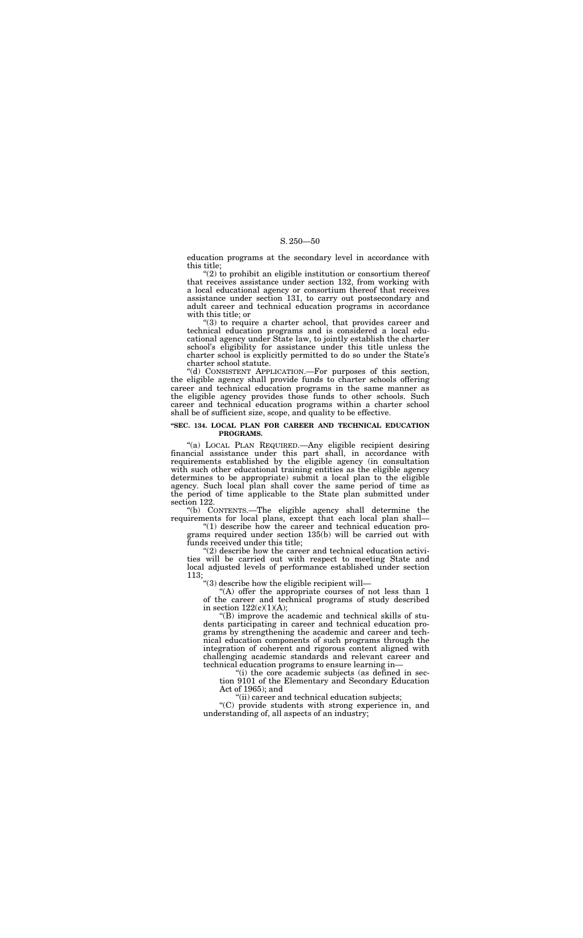education programs at the secondary level in accordance with this title;<br>" $(2)$  to prohibit an eligible institution or consortium thereof

that receives assistance under section 132, from working with a local educational agency or consortium thereof that receives assistance under section 131, to carry out postsecondary and adult career and technical education programs in accordance

 $*(3)$  to require a charter school, that provides career and technical education programs and is considered a local educational agency under State law, to jointly establish the charter school's eligibility for assistance under this title unless the charter school is explicitly permitted to do so under the State's charter school statute.

''(d) CONSISTENT APPLICATION.—For purposes of this section, the eligible agency shall provide funds to charter schools offering career and technical education programs in the same manner as the eligible agency provides those funds to other schools. Such career and technical education programs within a charter school shall be of sufficient size, scope, and quality to be effective.

 $(2)$  describe how the career and technical education activities will be carried out with respect to meeting State and local adjusted levels of performance established under section 113;

''(A) offer the appropriate courses of not less than 1 of the career and technical programs of study described in section  $122(c)(1)(A);$ 

## **''SEC. 134. LOCAL PLAN FOR CAREER AND TECHNICAL EDUCATION PROGRAMS.**

''(a) LOCAL PLAN REQUIRED.—Any eligible recipient desiring financial assistance under this part shall, in accordance with requirements established by the eligible agency (in consultation with such other educational training entities as the eligible agency determines to be appropriate) submit a local plan to the eligible agency. Such local plan shall cover the same period of time as the period of time applicable to the State plan submitted under section 122.

> "(ii) career and technical education subjects; "(C) provide students with strong experience in, and understanding of, all aspects of an industry;

''(b) CONTENTS.—The eligible agency shall determine the requirements for local plans, except that each local plan shall—

''(1) describe how the career and technical education programs required under section 135(b) will be carried out with funds received under this title;

''(3) describe how the eligible recipient will—

''(B) improve the academic and technical skills of students participating in career and technical education programs by strengthening the academic and career and technical education components of such programs through the integration of coherent and rigorous content aligned with challenging academic standards and relevant career and technical education programs to ensure learning in—

''(i) the core academic subjects (as defined in section 9101 of the Elementary and Secondary Education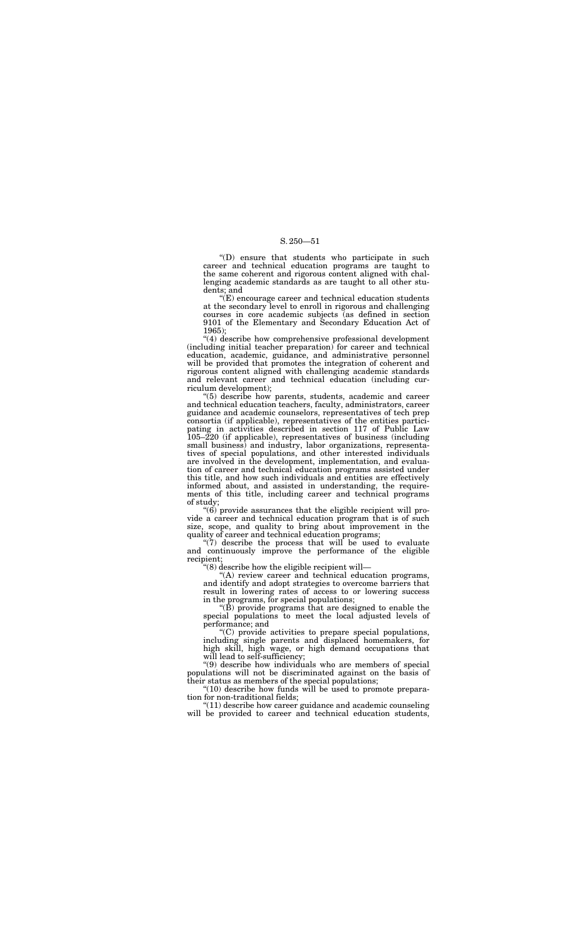''(D) ensure that students who participate in such career and technical education programs are taught to the same coherent and rigorous content aligned with challenging academic standards as are taught to all other stu-

dents; and<br>"(E) encourage career and technical education students at the secondary level to enroll in rigorous and challenging courses in core academic subjects (as defined in section 9101 of the Elementary and Secondary Education Act of 1965);

''(4) describe how comprehensive professional development (including initial teacher preparation) for career and technical education, academic, guidance, and administrative personnel will be provided that promotes the integration of coherent and rigorous content aligned with challenging academic standards and relevant career and technical education (including cur-

 $\degree$ (5) describe how parents, students, academic and career and technical education teachers, faculty, administrators, career guidance and academic counselors, representatives of tech prep consortia (if applicable), representatives of the entities participating in activities described in section 117 of Public Law 105–220 (if applicable), representatives of business (including small business) and industry, labor organizations, representatives of special populations, and other interested individuals are involved in the development, implementation, and evaluation of career and technical education programs assisted under this title, and how such individuals and entities are effectively informed about, and assisted in understanding, the requirements of this title, including career and technical programs of study;

"(7) describe the process that will be used to evaluate and continuously improve the performance of the eligible recipient;

 $\mathrm{``(B)}$  provide programs that are designed to enable the special populations to meet the local adjusted levels of performance; and

 $\mathcal{L}(10)$  describe how funds will be used to promote preparation for non-traditional fields;

''(11) describe how career guidance and academic counseling will be provided to career and technical education students,

''(6) provide assurances that the eligible recipient will provide a career and technical education program that is of such size, scope, and quality to bring about improvement in the quality of career and technical education programs;

''(8) describe how the eligible recipient will—

''(A) review career and technical education programs, and identify and adopt strategies to overcome barriers that result in lowering rates of access to or lowering success in the programs, for special populations;

''(C) provide activities to prepare special populations, including single parents and displaced homemakers, for high skill, high wage, or high demand occupations that will lead to self-sufficiency;

''(9) describe how individuals who are members of special populations will not be discriminated against on the basis of their status as members of the special populations;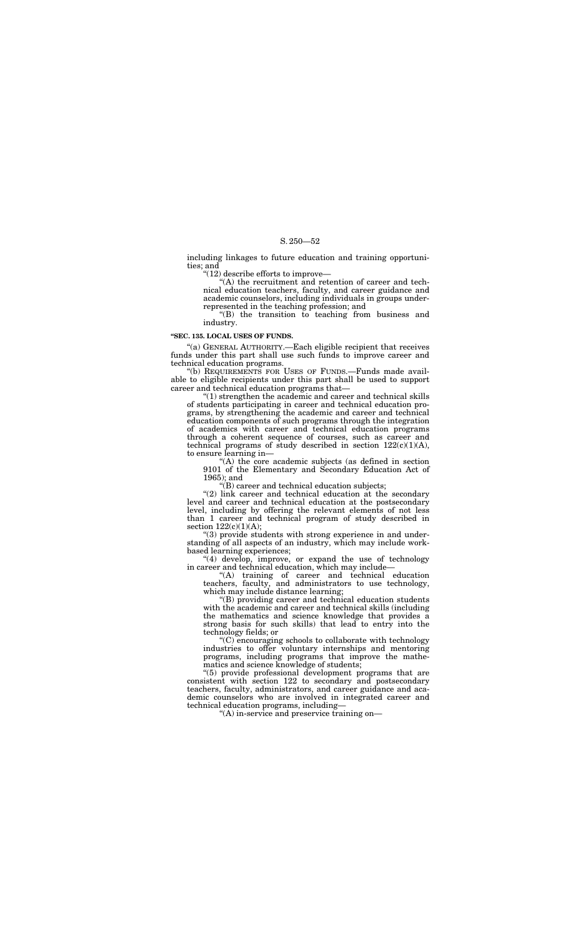including linkages to future education and training opportunities; and "(12) describe efforts to improve—<br>"(A) the recruitment and retention of career and tech-

nical education teachers, faculty, and career guidance and academic counselors, including individuals in groups underrepresented in the teaching profession; and "(B) the transition to teaching from business and

industry.

#### **''SEC. 135. LOCAL USES OF FUNDS.**

''(a) GENERAL AUTHORITY.—Each eligible recipient that receives funds under this part shall use such funds to improve career and technical education programs.

 $(1)$  strengthen the academic and career and technical skills of students participating in career and technical education programs, by strengthening the academic and career and technical education components of such programs through the integration of academics with career and technical education programs through a coherent sequence of courses, such as career and technical programs of study described in section  $122(c)(1)(A)$ , to ensure learning in—

''(b) REQUIREMENTS FOR USES OF FUNDS.—Funds made available to eligible recipients under this part shall be used to support career and technical education programs that—

"(4) develop, improve, or expand the use of technology in career and technical education, which may include—

''(A) training of career and technical education teachers, faculty, and administrators to use technology, which may include distance learning;

''(5) provide professional development programs that are consistent with section 122 to secondary and postsecondary teachers, faculty, administrators, and career guidance and academic counselors who are involved in integrated career and technical education programs, including—

"(A) in-service and preservice training on—

''(A) the core academic subjects (as defined in section 9101 of the Elementary and Secondary Education Act of 1965); and

''(B) career and technical education subjects;

"(2) link career and technical education at the secondary level and career and technical education at the postsecondary level, including by offering the relevant elements of not less than 1 career and technical program of study described in section  $122(c)(1)(A);$ 

''(3) provide students with strong experience in and understanding of all aspects of an industry, which may include workbased learning experiences;

''(B) providing career and technical education students with the academic and career and technical skills (including the mathematics and science knowledge that provides a strong basis for such skills) that lead to entry into the technology fields; or

''(C) encouraging schools to collaborate with technology industries to offer voluntary internships and mentoring programs, including programs that improve the mathematics and science knowledge of students;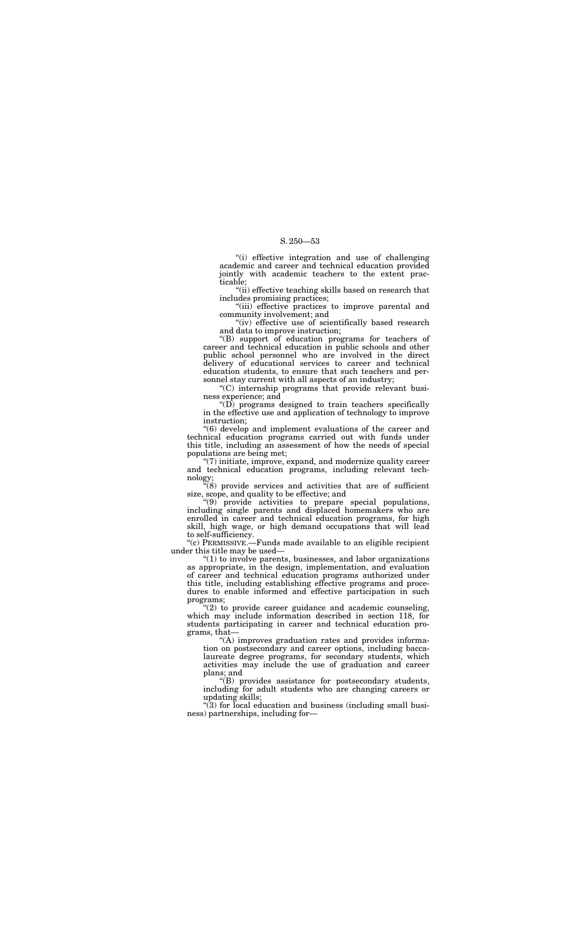''(i) effective integration and use of challenging academic and career and technical education provided jointly with academic teachers to the extent prac-

ticable;<br>"(ii) effective teaching skills based on research that<br>includes promising practices;

"(iii) effective practices to improve parental and community involvement; and

 $``(iv)$  effective use of scientifically based research and data to improve instruction;

''(B) support of education programs for teachers of career and technical education in public schools and other public school personnel who are involved in the direct delivery of educational services to career and technical education students, to ensure that such teachers and per-<br>sonnel stay current with all aspects of an industry;

"(C) internship programs that provide relevant business experience; and

"(D) programs designed to train teachers specifically in the effective use and application of technology to improve instruction;

''(6) develop and implement evaluations of the career and technical education programs carried out with funds under this title, including an assessment of how the needs of special populations are being met;

 $''(2)$  to provide career guidance and academic counseling, which may include information described in section 118, for students participating in career and technical education programs, that—

''(7) initiate, improve, expand, and modernize quality career and technical education programs, including relevant technology;

''(8) provide services and activities that are of sufficient size, scope, and quality to be effective; and

 $\degree$ (3) for local education and business (including small business) partnerships, including for—

''(9) provide activities to prepare special populations, including single parents and displaced homemakers who are enrolled in career and technical education programs, for high skill, high wage, or high demand occupations that will lead to self-sufficiency.

''(c) PERMISSIVE.—Funds made available to an eligible recipient under this title may be used—

''(1) to involve parents, businesses, and labor organizations as appropriate, in the design, implementation, and evaluation of career and technical education programs authorized under this title, including establishing effective programs and procedures to enable informed and effective participation in such programs;

''(A) improves graduation rates and provides information on postsecondary and career options, including baccalaureate degree programs, for secondary students, which activities may include the use of graduation and career plans; and

''(B) provides assistance for postsecondary students, including for adult students who are changing careers or updating skills;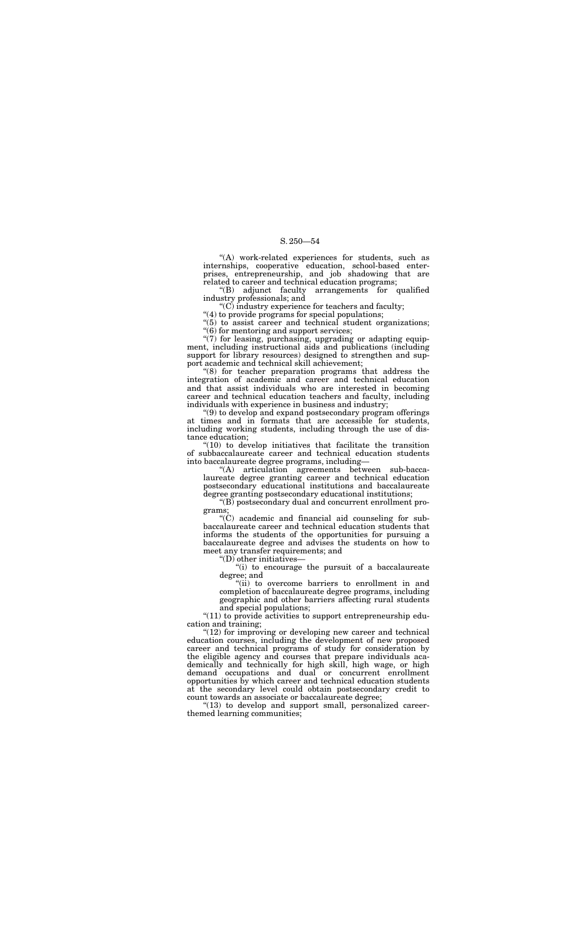"(A) work-related experiences for students, such as internships, cooperative education, school-based enterprises, entrepreneurship, and job shadowing that are

related to career and technical education programs;<br>"(B) adjunct faculty arrangements for qualified industry professionals; and

"(C) industry experience for teachers and faculty; " $(4)$  to provide programs for special populations;

''(7) for leasing, purchasing, upgrading or adapting equipment, including instructional aids and publications (including support for library resources) designed to strengthen and support academic and technical skill achievement;

''(5) to assist career and technical student organizations; ''(6) for mentoring and support services;

 $f(8)$  for teacher preparation programs that address the integration of academic and career and technical education and that assist individuals who are interested in becoming career and technical education teachers and faculty, including

 $(10)$  to develop initiatives that facilitate the transition of subbaccalaureate career and technical education students into baccalaureate degree programs, including—

"(B) postsecondary dual and concurrent enrollment programs;

 $\mathrm{C}^{\prime\prime}(\mathrm{C})$  academic and financial aid counseling for subbaccalaureate career and technical education students that informs the students of the opportunities for pursuing a baccalaureate degree and advises the students on how to meet any transfer requirements; and

individuals with experience in business and industry; ''(9) to develop and expand postsecondary program offerings at times and in formats that are accessible for students, including working students, including through the use of distance education;

> "(ii) to overcome barriers to enrollment in and completion of baccalaureate degree programs, including geographic and other barriers affecting rural students and special populations;

"(12) for improving or developing new career and technical education courses, including the development of new proposed career and technical programs of study for consideration by the eligible agency and courses that prepare individuals academically and technically for high skill, high wage, or high demand occupations and dual or concurrent enrollment opportunities by which career and technical education students at the secondary level could obtain postsecondary credit to count towards an associate or baccalaureate degree;

 $"$ (13) to develop and support small, personalized careerthemed learning communities;

''(A) articulation agreements between sub-baccalaureate degree granting career and technical education postsecondary educational institutions and baccalaureate degree granting postsecondary educational institutions;

''(D) other initiatives—

''(i) to encourage the pursuit of a baccalaureate degree; and

''(11) to provide activities to support entrepreneurship education and training;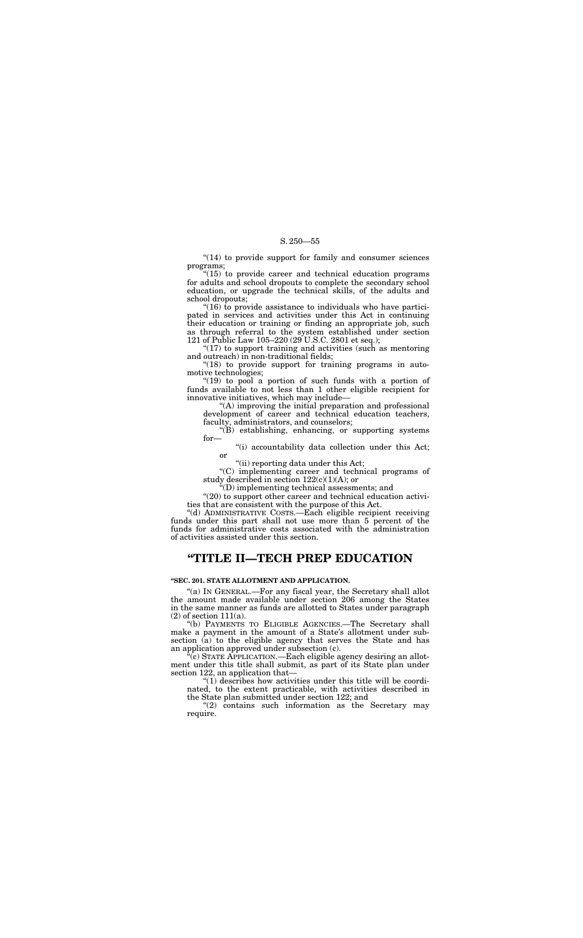''(14) to provide support for family and consumer sciences programs;

''(15) to provide career and technical education programs for adults and school dropouts to complete the secondary school education, or upgrade the technical skills, of the adults and school dropouts;

 $(16)$  to provide assistance to individuals who have participated in services and activities under this Act in continuing their education or training or finding an appropriate job, such as through referral to the system established under section 121 of Public Law 105–220 (29 U.S.C. 2801 et seq.);

"(17) to support training and activities (such as mentoring and outreach) in non-traditional fields;

"(18) to provide support for training programs in automotive technologies;

"(19) to pool a portion of such funds with a portion of funds available to not less than 1 other eligible recipient for innovative initiatives, which may include—

 $\mathcal{L}(\mathbf{B})$  establishing, enhancing, or supporting systems for—

"(20) to support other career and technical education activities that are consistent with the purpose of this Act.

''(A) improving the initial preparation and professional development of career and technical education teachers, faculty, administrators, and counselors;

"(a) IN GENERAL.—For any fiscal year, the Secretary shall allot the amount made available under section 206 among the States in the same manner as funds are allotted to States under paragraph (2) of section 111(a).

''(b) PAYMENTS TO ELIGIBLE AGENCIES.—The Secretary shall make a payment in the amount of a State's allotment under subsection  $(a)$  to the eligible agency that serves the State and has an application approved under subsection  $(c)$ .

''(i) accountability data collection under this Act; or

"(ii) reporting data under this Act;

 $\overline{c}(c)$  STATE APPLICATION.—Each eligible agency desiring an allotment under this title shall submit, as part of its State plan under section 122, an application that—

''(C) implementing career and technical programs of study described in section 122(c)(1)(A); or

 $''(1)$  describes how activities under this title will be coordinated, to the extent practicable, with activities described in the State plan submitted under section 122; and

"(2) contains such information as the Secretary may require.

''(D) implementing technical assessments; and

''(d) ADMINISTRATIVE COSTS.—Each eligible recipient receiving funds under this part shall not use more than 5 percent of the funds for administrative costs associated with the administration of activities assisted under this section.

## **''TITLE II—TECH PREP EDUCATION**

## **''SEC. 201. STATE ALLOTMENT AND APPLICATION.**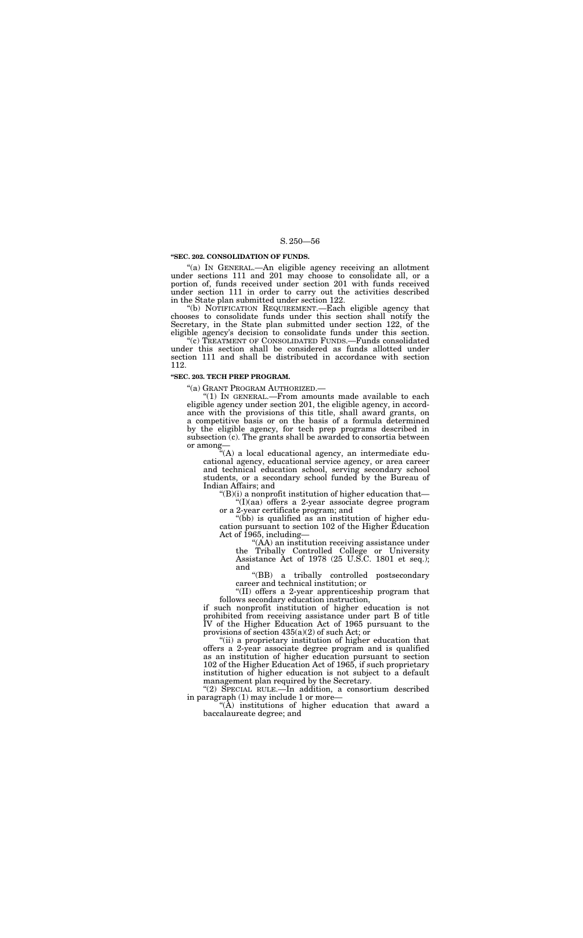## **''SEC. 202. CONSOLIDATION OF FUNDS.**

''(a) IN GENERAL.—An eligible agency receiving an allotment under sections 111 and 201 may choose to consolidate all, or a portion of, funds received under section 201 with funds received under section 111 in order to carry out the activities described in the State plan submitted under section 122.

''(b) NOTIFICATION REQUIREMENT.—Each eligible agency that chooses to consolidate funds under this section shall notify the Secretary, in the State plan submitted under section 122, of the eligible agency's decision to consolidate funds under this section.

''(c) TREATMENT OF CONSOLIDATED FUNDS.—Funds consolidated under this section shall be considered as funds allotted under section 111 and shall be distributed in accordance with section 112.

> $H(B)(i)$  a nonprofit institution of higher education that-''(I)(aa) offers a 2-year associate degree program

## **''SEC. 203. TECH PREP PROGRAM.**

''(a) GRANT PROGRAM AUTHORIZED.—

"(AA) an institution receiving assistance under the Tribally Controlled College or University Assistance Act of 1978 (25 U.S.C. 1801 et seq.); and

''(1) IN GENERAL.—From amounts made available to each eligible agency under section 201, the eligible agency, in accordance with the provisions of this title, shall award grants, on a competitive basis or on the basis of a formula determined by the eligible agency, for tech prep programs described in subsection (c). The grants shall be awarded to consortia between or among—

''(A) a local educational agency, an intermediate educational agency, educational service agency, or area career and technical education school, serving secondary school students, or a secondary school funded by the Bureau of Indian Affairs; and

" $(\overline{A})$  institutions of higher education that award a baccalaureate degree; and

or a 2-year certificate program; and "(bb) is qualified as an institution of higher education pursuant to section 102 of the Higher Education Act of 1965, including—

''(BB) a tribally controlled postsecondary career and technical institution; or

''(II) offers a 2-year apprenticeship program that follows secondary education instruction,

if such nonprofit institution of higher education is not prohibited from receiving assistance under part B of title IV of the Higher Education Act of 1965 pursuant to the provisions of section 435(a)(2) of such Act; or

''(ii) a proprietary institution of higher education that offers a 2-year associate degree program and is qualified as an institution of higher education pursuant to section 102 of the Higher Education Act of 1965, if such proprietary institution of higher education is not subject to a default management plan required by the Secretary.

''(2) SPECIAL RULE.—In addition, a consortium described in paragraph (1) may include 1 or more—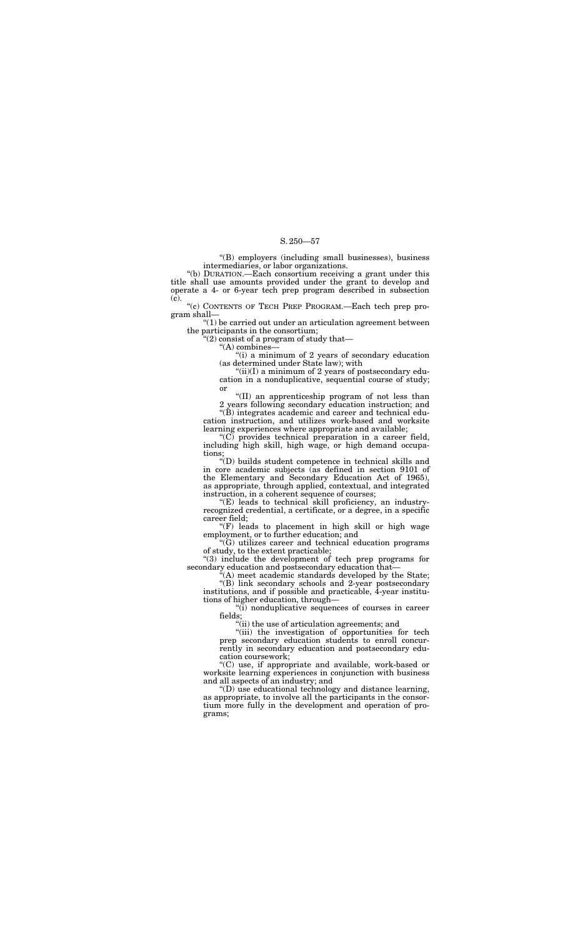''(B) employers (including small businesses), business

"(b) DURATION.—Each consortium receiving a grant under this title shall use amounts provided under the grant to develop and operate a 4- or 6-year tech prep program described in subsection  $(c)$ .

''(c) CONTENTS OF TECH PREP PROGRAM.—Each tech prep program shall—

''(1) be carried out under an articulation agreement between the participants in the consortium;

 $(2)$  consist of a program of study that—

"(B) integrates academic and career and technical education instruction, and utilizes work-based and worksite learning experiences where appropriate and available;

''(A) combines—

''(i) a minimum of 2 years of secondary education (as determined under State law); with

''(ii)(I) a minimum of 2 years of postsecondary education in a nonduplicative, sequential course of study; or

''(II) an apprenticeship program of not less than 2 years following secondary education instruction; and

 $f(A)$  meet academic standards developed by the State; ''(B) link secondary schools and 2-year postsecondary institutions, and if possible and practicable, 4-year institutions of higher education, through—

''(C) provides technical preparation in a career field, including high skill, high wage, or high demand occupations;

''(D) builds student competence in technical skills and in core academic subjects (as defined in section 9101 of the Elementary and Secondary Education Act of 1965), as appropriate, through applied, contextual, and integrated instruction, in a coherent sequence of courses;

''(E) leads to technical skill proficiency, an industryrecognized credential, a certificate, or a degree, in a specific career field;

''(F) leads to placement in high skill or high wage employment, or to further education; and

''(G) utilizes career and technical education programs of study, to the extent practicable;

''(3) include the development of tech prep programs for secondary education and postsecondary education that—

> ''(i) nonduplicative sequences of courses in career fields;

''(ii) the use of articulation agreements; and

''(iii) the investigation of opportunities for tech prep secondary education students to enroll concurrently in secondary education and postsecondary education coursework;

''(C) use, if appropriate and available, work-based or worksite learning experiences in conjunction with business and all aspects of an industry; and

''(D) use educational technology and distance learning, as appropriate, to involve all the participants in the consortium more fully in the development and operation of programs;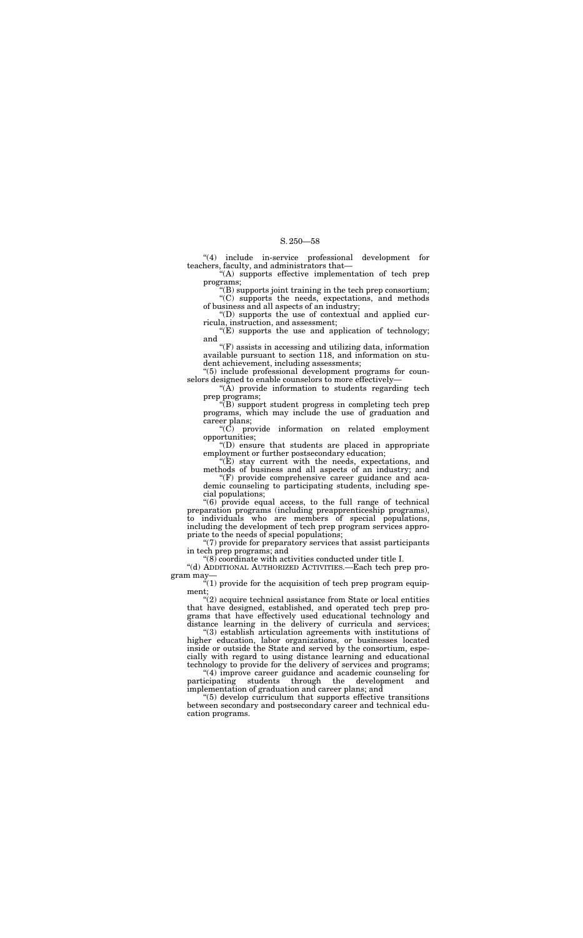''(4) include in-service professional development for teachers, faculty, and administrators that—<br>"(A) supports effective implementation of tech prep

programs;<br>"(B) supports joint training in the tech prep consortium;

''(C) supports the needs, expectations, and methods

of business and all aspects of an industry;<br>"(D) supports the use of contextual and applied cur-<br>ricula, instruction, and assessment;

" $(E)$  supports the use and application of technology;

and "(F) assists in accessing and utilizing data, information available pursuant to section 118, and information on student achievement, including assessments;

 $f(E)$  stay current with the needs, expectations, and methods of business and all aspects of an industry; and

''(5) include professional development programs for coun-

"( $\overline{A}$ ) provide information to students regarding tech prep programs;<br>"(B) support student progress in completing tech prep

programs, which may include the use of graduation and career plans;

''(C) provide information on related employment opportunities;

''(D) ensure that students are placed in appropriate employment or further postsecondary education;

''(F) provide comprehensive career guidance and academic counseling to participating students, including special populations;

''(6) provide equal access, to the full range of technical preparation programs (including preapprenticeship programs), to individuals who are members of special populations, including the development of tech prep program services appropriate to the needs of special populations;

''(7) provide for preparatory services that assist participants in tech prep programs; and

 $\degree$ (8) coordinate with activities conducted under title I.

''(d) ADDITIONAL AUTHORIZED ACTIVITIES.—Each tech prep program may—

''(1) provide for the acquisition of tech prep program equipment;

''(2) acquire technical assistance from State or local entities that have designed, established, and operated tech prep programs that have effectively used educational technology and distance learning in the delivery of curricula and services;

''(3) establish articulation agreements with institutions of higher education, labor organizations, or businesses located inside or outside the State and served by the consortium, especially with regard to using distance learning and educational technology to provide for the delivery of services and programs;

''(4) improve career guidance and academic counseling for participating students through the development and implementation of graduation and career plans; and

''(5) develop curriculum that supports effective transitions between secondary and postsecondary career and technical education programs.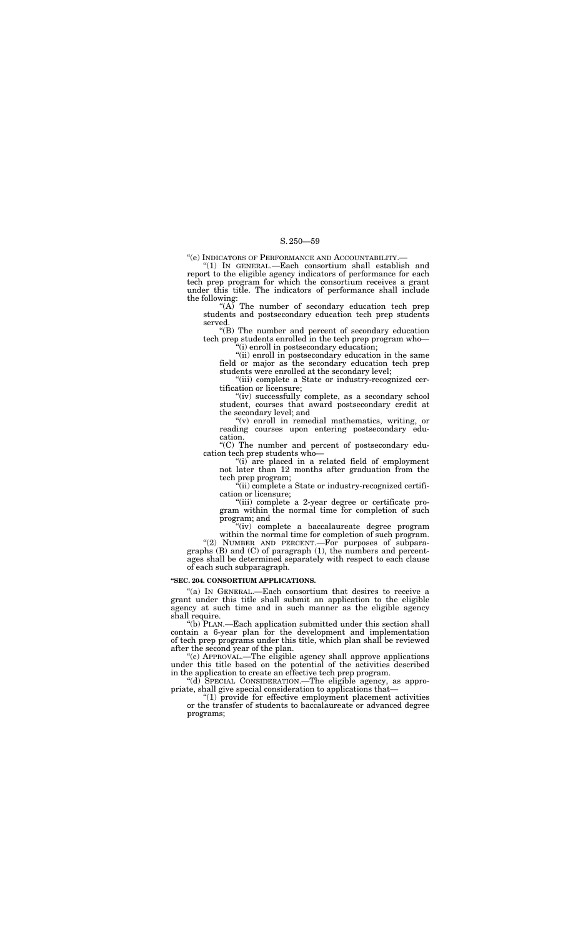''(e) INDICATORS OF PERFORMANCE AND ACCOUNTABILITY.— ''(1) IN GENERAL.—Each consortium shall establish and

report to the eligible agency indicators of performance for each tech prep program for which the consortium receives a grant under this title. The indicators of performance shall include

"(A) The number of secondary education tech prep students and postsecondary education tech prep students served.<br>"(B) The number and percent of secondary education

tech prep students enrolled in the tech prep program who-<br>"(i) enroll in postsecondary education;

"(iv) successfully complete, as a secondary school student, courses that award postsecondary credit at

 $f(v)$  enroll in remedial mathematics, writing, or reading courses upon entering postsecondary education.

''(ii) enroll in postsecondary education in the same

field or major as the secondary education tech prep

"(iii) complete a State or industry-recognized cer-<br>tification or licensure;

"(2) NUMBER AND PERCENT. For purposes of subparagraphs (B) and (C) of paragraph (1), the numbers and percentages shall be determined separately with respect to each clause of each such subparagraph.

''(C) The number and percent of postsecondary education tech prep students who—

''(i) are placed in a related field of employment not later than 12 months after graduation from the tech prep program;

''(ii) complete a State or industry-recognized certification or licensure;

''(iii) complete a 2-year degree or certificate program within the normal time for completion of such program; and

''(iv) complete a baccalaureate degree program within the normal time for completion of such program.

## **''SEC. 204. CONSORTIUM APPLICATIONS.**

''(a) IN GENERAL.—Each consortium that desires to receive a grant under this title shall submit an application to the eligible agency at such time and in such manner as the eligible agency shall require.

''(b) PLAN.—Each application submitted under this section shall contain a 6-year plan for the development and implementation of tech prep programs under this title, which plan shall be reviewed after the second year of the plan.

''(c) APPROVAL.—The eligible agency shall approve applications under this title based on the potential of the activities described in the application to create an effective tech prep program.

''(d) SPECIAL CONSIDERATION.—The eligible agency, as appropriate, shall give special consideration to applications that—

''(1) provide for effective employment placement activities or the transfer of students to baccalaureate or advanced degree programs;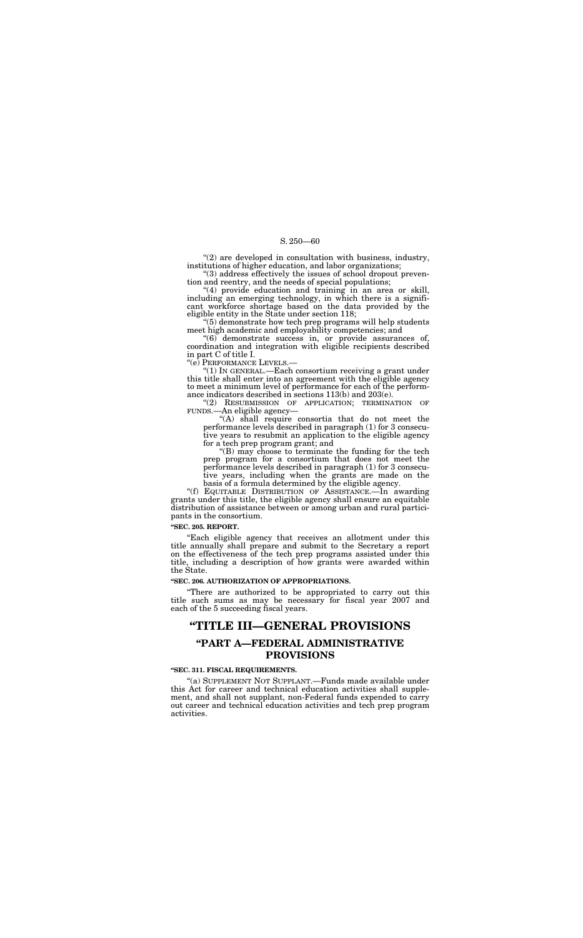"(2) are developed in consultation with business, industry, institutions of higher education, and labor organizations;

"(3) address effectively the issues of school dropout prevention and reentry, and the needs of special populations;

 $t(4)$  provide education and training in an area or skill, including an emerging technology, in which there is a significant workforce shortage based on the data provided by the

eligible entity in the State under section 118;<br>"(5) demonstrate how tech prep programs will help students<br>meet high academic and employability competencies; and

''(e) PERFORMANCE LEVELS.— ''(1) IN GENERAL.—Each consortium receiving a grant under this title shall enter into an agreement with the eligible agency to meet a minimum level of performance for each of the performance indicators described in sections  $113(b)$  and  $203(e)$ .

" $(2)$  RESUBMISSION OF APPLICATION; TERMINATION OF FUNDS.—An eligible agency—

 $F(H)$  shall require consortia that do not meet the performance levels described in paragraph (1) for 3 consecutive years to resubmit an application to the eligible agency for a tech prep program grant; and "(B) may choose to terminate the funding for the tech

meet high academic and employability competencies; and ''(6) demonstrate success in, or provide assurances of, coordination and integration with eligible recipients described in part C of title I.

"(f) EQUITABLE DISTRIBUTION OF ASSISTANCE.—In awarding grants under this title, the eligible agency shall ensure an equitable distribution of assistance between or among urban and rural participants in the consortium.

prep program for a consortium that does not meet the performance levels described in paragraph (1) for 3 consecutive years, including when the grants are made on the

#### **''SEC. 205. REPORT.**

''Each eligible agency that receives an allotment under this title annually shall prepare and submit to the Secretary a report on the effectiveness of the tech prep programs assisted under this title, including a description of how grants were awarded within the State.

## **''SEC. 206. AUTHORIZATION OF APPROPRIATIONS.**

''There are authorized to be appropriated to carry out this title such sums as may be necessary for fiscal year 2007 and each of the 5 succeeding fiscal years.

## **''TITLE III—GENERAL PROVISIONS ''PART A—FEDERAL ADMINISTRATIVE PROVISIONS**

## **''SEC. 311. FISCAL REQUIREMENTS.**

''(a) SUPPLEMENT NOT SUPPLANT.—Funds made available under this Act for career and technical education activities shall supplement, and shall not supplant, non-Federal funds expended to carry out career and technical education activities and tech prep program activities.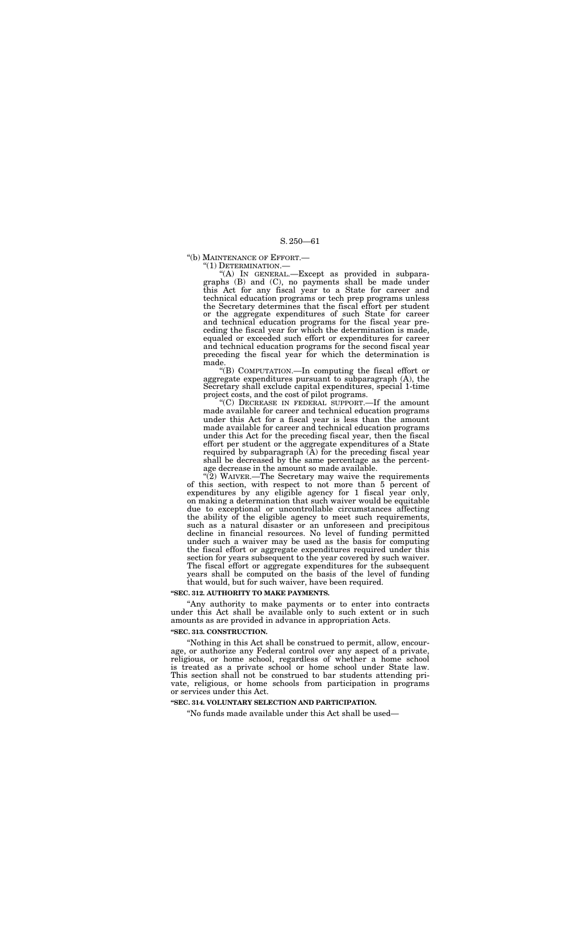''(b) MAINTENANCE OF EFFORT.— ''(1) DETERMINATION.— ''(A) IN GENERAL.—Except as provided in subparagraphs (B) and (C), no payments shall be made under this Act for any fiscal year to a State for career and technical education programs or tech prep programs unless the Secretary determines that the fiscal effort per student or the aggregate expenditures of such State for career and technical education programs for the fiscal year preceding the fiscal year for which the determination is made, equaled or exceeded such effort or expenditures for career and technical education programs for the second fiscal year preceding the fiscal year for which the determination is

made.<br>
"(B) COMPUTATION.—In computing the fiscal effort or aggregate expenditures pursuant to subparagraph (A), the Secretary shall exclude capital expenditures, special 1-time project costs, and the cost of pilot programs.

"(2) WAIVER.—The Secretary may waive the requirements of this section, with respect to not more than 5 percent of expenditures by any eligible agency for 1 fiscal year only, on making a determination that such waiver would be equitable due to exceptional or uncontrollable circumstances affecting the ability of the eligible agency to meet such requirements, such as a natural disaster or an unforeseen and precipitous decline in financial resources. No level of funding permitted under such a waiver may be used as the basis for computing the fiscal effort or aggregate expenditures required under this section for years subsequent to the year covered by such waiver. The fiscal effort or aggregate expenditures for the subsequent years shall be computed on the basis of the level of funding that would, but for such waiver, have been required.

''(C) DECREASE IN FEDERAL SUPPORT.—If the amount made available for career and technical education programs under this Act for a fiscal year is less than the amount made available for career and technical education programs under this Act for the preceding fiscal year, then the fiscal effort per student or the aggregate expenditures of a State required by subparagraph (A) for the preceding fiscal year shall be decreased by the same percentage as the percentage decrease in the amount so made available.

## **''SEC. 312. AUTHORITY TO MAKE PAYMENTS.**

''Any authority to make payments or to enter into contracts under this Act shall be available only to such extent or in such amounts as are provided in advance in appropriation Acts.

## **''SEC. 313. CONSTRUCTION.**

''Nothing in this Act shall be construed to permit, allow, encourage, or authorize any Federal control over any aspect of a private, religious, or home school, regardless of whether a home school is treated as a private school or home school under State law. This section shall not be construed to bar students attending private, religious, or home schools from participation in programs or services under this Act.

## **''SEC. 314. VOLUNTARY SELECTION AND PARTICIPATION.**

''No funds made available under this Act shall be used—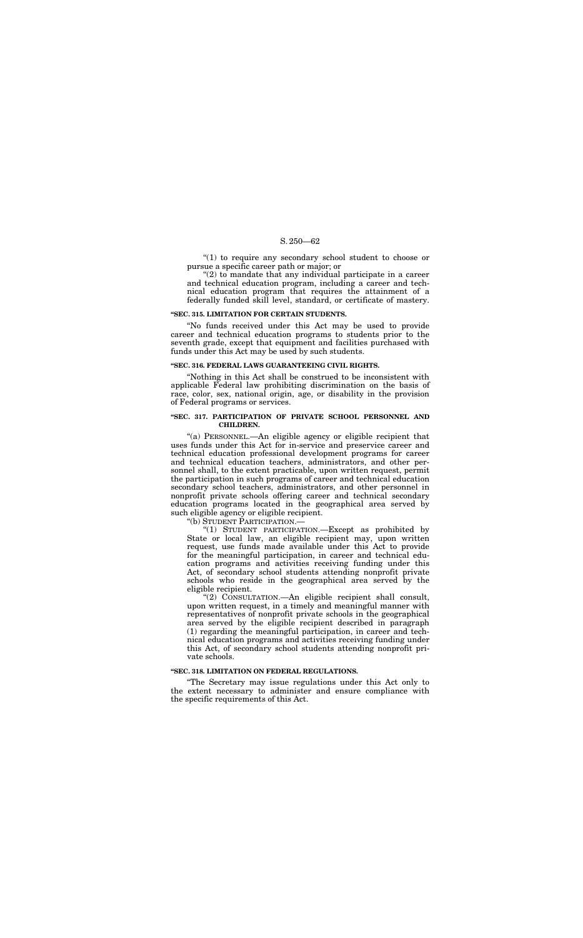''(1) to require any secondary school student to choose or pursue a specific career path or major; or

''(2) to mandate that any individual participate in a career and technical education program, including a career and technical education program that requires the attainment of a federally funded skill level, standard, or certificate of mastery.

#### **''SEC. 315. LIMITATION FOR CERTAIN STUDENTS.**

''No funds received under this Act may be used to provide career and technical education programs to students prior to the seventh grade, except that equipment and facilities purchased with funds under this Act may be used by such students.

## **''SEC. 316. FEDERAL LAWS GUARANTEEING CIVIL RIGHTS.**

''Nothing in this Act shall be construed to be inconsistent with applicable Federal law prohibiting discrimination on the basis of race, color, sex, national origin, age, or disability in the provision of Federal programs or services.

## **''SEC. 317. PARTICIPATION OF PRIVATE SCHOOL PERSONNEL AND CHILDREN.**

''(a) PERSONNEL.—An eligible agency or eligible recipient that uses funds under this Act for in-service and preservice career and technical education professional development programs for career and technical education teachers, administrators, and other personnel shall, to the extent practicable, upon written request, permit the participation in such programs of career and technical education secondary school teachers, administrators, and other personnel in nonprofit private schools offering career and technical secondary education programs located in the geographical area served by such eligible agency or eligible recipient.

''(b) STUDENT PARTICIPATION.—

''(1) STUDENT PARTICIPATION.—Except as prohibited by State or local law, an eligible recipient may, upon written request, use funds made available under this Act to provide for the meaningful participation, in career and technical education programs and activities receiving funding under this Act, of secondary school students attending nonprofit private schools who reside in the geographical area served by the eligible recipient.

''(2) CONSULTATION.—An eligible recipient shall consult, upon written request, in a timely and meaningful manner with representatives of nonprofit private schools in the geographical area served by the eligible recipient described in paragraph (1) regarding the meaningful participation, in career and technical education programs and activities receiving funding under this Act, of secondary school students attending nonprofit private schools.

## **''SEC. 318. LIMITATION ON FEDERAL REGULATIONS.**

''The Secretary may issue regulations under this Act only to the extent necessary to administer and ensure compliance with the specific requirements of this Act.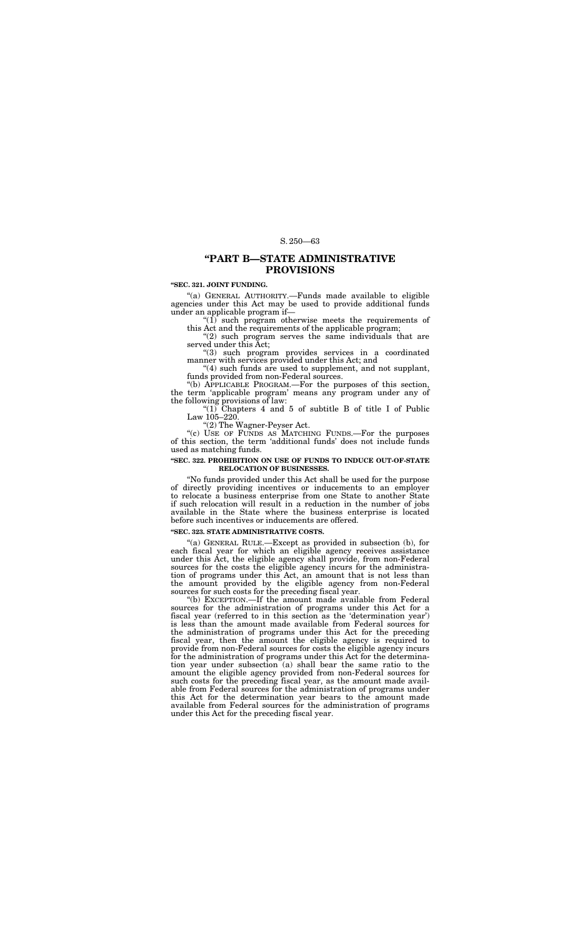## **''PART B—STATE ADMINISTRATIVE PROVISIONS**

### **''SEC. 321. JOINT FUNDING.**

''(a) GENERAL AUTHORITY.—Funds made available to eligible agencies under this Act may be used to provide additional funds

" $(1)$  such program otherwise meets the requirements of this Act and the requirements of the applicable program;

" $(2)$  such program serves the same individuals that are served under this Act;

"(3) such program provides services in a coordinated manner with services provided under this Act; and  $''(4)$  such funds are used to supplement, and not supplant,

''(b) APPLICABLE PROGRAM.—For the purposes of this section, the term 'applicable program' means any program under any of the following provisions of law:<br>"(1) Chapters 4 and 5 of subtitle B of title I of Public

"(c) USE OF FUNDS AS MATCHING FUNDS.—For the purposes of this section, the term 'additional funds' does not include funds used as matching funds.

funds provided from non-Federal sources.

Law 105–220.

''(2) The Wagner-Peyser Act.

## **''SEC. 322. PROHIBITION ON USE OF FUNDS TO INDUCE OUT-OF-STATE RELOCATION OF BUSINESSES.**

''No funds provided under this Act shall be used for the purpose of directly providing incentives or inducements to an employer to relocate a business enterprise from one State to another State if such relocation will result in a reduction in the number of jobs available in the State where the business enterprise is located before such incentives or inducements are offered.

### **''SEC. 323. STATE ADMINISTRATIVE COSTS.**

"(a) GENERAL RULE.—Except as provided in subsection (b), for each fiscal year for which an eligible agency receives assistance under this Act, the eligible agency shall provide, from non-Federal sources for the costs the eligible agency incurs for the administration of programs under this Act, an amount that is not less than the amount provided by the eligible agency from non-Federal sources for such costs for the preceding fiscal year.

''(b) EXCEPTION.—If the amount made available from Federal sources for the administration of programs under this Act for a fiscal year (referred to in this section as the 'determination year') is less than the amount made available from Federal sources for the administration of programs under this Act for the preceding fiscal year, then the amount the eligible agency is required to provide from non-Federal sources for costs the eligible agency incurs for the administration of programs under this Act for the determination year under subsection (a) shall bear the same ratio to the amount the eligible agency provided from non-Federal sources for such costs for the preceding fiscal year, as the amount made available from Federal sources for the administration of programs under this Act for the determination year bears to the amount made available from Federal sources for the administration of programs under this Act for the preceding fiscal year.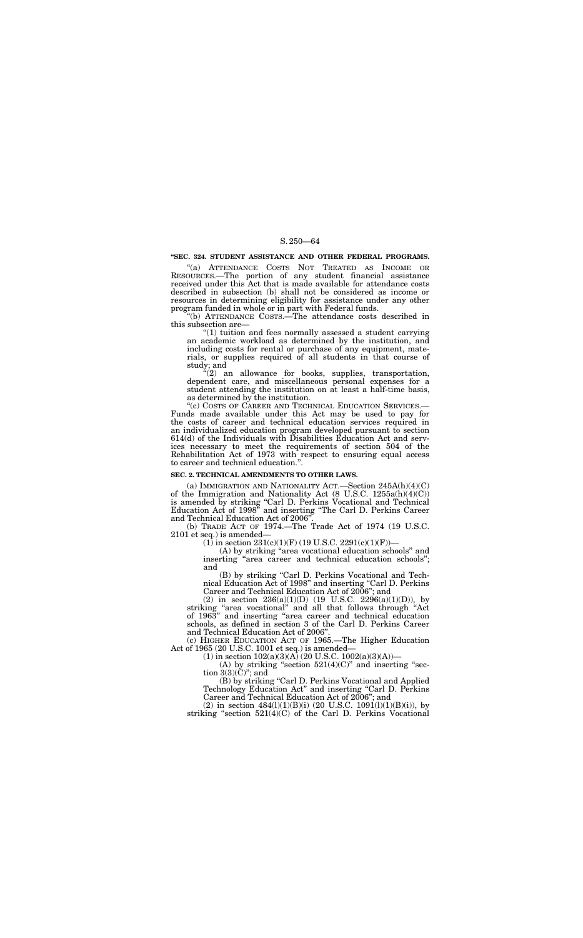## **''SEC. 324. STUDENT ASSISTANCE AND OTHER FEDERAL PROGRAMS.**

''(a) ATTENDANCE COSTS NOT TREATED AS INCOME OR RESOURCES.—The portion of any student financial assistance received under this Act that is made available for attendance costs described in subsection (b) shall not be considered as income or resources in determining eligibility for assistance under any other program funded in whole or in part with Federal funds.

dependent care, and miscellaneous personal expenses for a student attending the institution on at least a half-time basis, as determined by the institution.<br>"(c) COSTS OF CAREER AND TECHNICAL EDUCATION SERVICES.—

''(b) ATTENDANCE COSTS.—The attendance costs described in

 $f(1)$  tuition and fees normally assessed a student carrying an academic workload as determined by the institution, and including costs for rental or purchase of any equipment, materials, or supplies required of all students in that course of study; and  $(2)$  an allowance for books, supplies, transportation,

Funds made available under this Act may be used to pay for the costs of career and technical education services required in an individualized education program developed pursuant to section 614(d) of the Individuals with Disabilities Education Act and services necessary to meet the requirements of section 504 of the Rehabilitation Act of 1973 with respect to ensuring equal access to career and technical education.''.

(a) IMMIGRATION AND NATIONALITY ACT.—Section 245A(h)(4)(C) of the Immigration and Nationality Act (8 U.S.C. 1255a(h)(4)(C)) is amended by striking ''Carl D. Perkins Vocational and Technical Education Act of 1998'' and inserting ''The Carl D. Perkins Career and Technical Education Act of 2006'

> (B) by striking "Carl D. Perkins Vocational and Technical Education Act of 1998" and inserting "Carl D. Perkins" Career and Technical Education Act of 2006''; and

(2) in section  $236(a)(1)(D)$  (19 U.S.C.  $2296(a)(1)(D)$ ), by striking ''area vocational'' and all that follows through ''Act of 1963'' and inserting ''area career and technical education schools, as defined in section 3 of the Carl D. Perkins Career and Technical Education Act of 2006''.

(c) HIGHER EDUCATION ACT OF 1965.—The Higher Education Act of 1965 (20 U.S.C. 1001 et seq.) is amended—<br>
(1) in section  $102(a)(3)(A)$  (20 U.S.C.  $1002(a)(3)(A)$ )—

(A) by striking "section  $521(4)(C)$ " and inserting "section  $3(3)(C)$ "; and

(B) by striking "Carl D. Perkins Vocational and Applied Technology Education Act'' and inserting ''Carl D. Perkins Career and Technical Education Act of 2006''; and

(2) in section  $484(1)(1)(B)(i)$  (20 U.S.C. 1091(1)(1)(B)(i)), by striking "section 521(4)(C) of the Carl D. Perkins Vocational

## **SEC. 2. TECHNICAL AMENDMENTS TO OTHER LAWS.**

(b) TRADE ACT OF 1974.—The Trade Act of 1974 (19 U.S.C. 2101 et seq.) is amended—

(1) in section  $231(c)(1)(F)$  (19 U.S.C.  $2291(c)(1)(F)$ )

(A) by striking ''area vocational education schools'' and inserting "area career and technical education schools"; and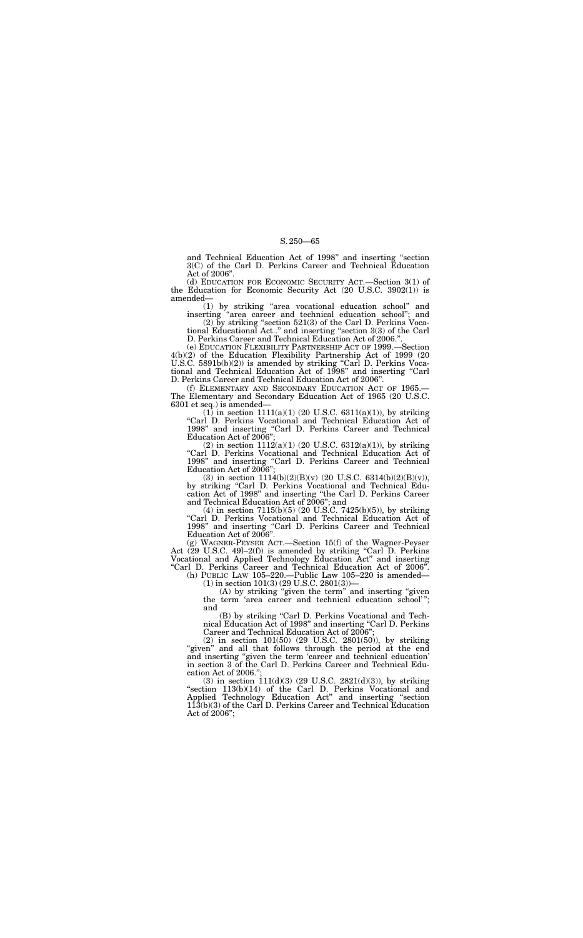and Technical Education Act of 1998" and inserting "section 3(C) of the Carl D. Perkins Career and Technical Education

(d) EDUCATION FOR ECONOMIC SECURITY ACT.—Section  $3(1)$  of the Education for Economic Security Act (20 U.S.C. 3902(1)) is amended—

(1) by striking ''area vocational education school'' and inserting ''area career and technical education school''; and

(2) by striking ''section 521(3) of the Carl D. Perkins Vocational Educational Act..'' and inserting ''section 3(3) of the Carl

D. Perkins Career and Technical Education Act of 2006.''. (e) EDUCATION FLEXIBILITY PARTNERSHIP ACT OF 1999.—Section

 $(1)$  in section  $1111(a)(1)$  (20 U.S.C. 6311(a)(1)), by striking ''Carl D. Perkins Vocational and Technical Education Act of 1998'' and inserting ''Carl D. Perkins Career and Technical Education Act of 2006'';

(2) in section  $1112(a)(1)$  (20 U.S.C. 6312(a)(1)), by striking ''Carl D. Perkins Vocational and Technical Education Act of 1998" and inserting "Carl D. Perkins Career and Technical Education Act of 2006"

4(b)(2) of the Education Flexibility Partnership Act of 1999 (20 U.S.C.  $5891b(b)(2)$  is amended by striking "Carl D. Perkins Vocational and Technical Education Act of 1998'' and inserting ''Carl D. Perkins Career and Technical Education Act of 2006''.

(3) in section  $1114(b)(2)(B)(v)$  (20 U.S.C. 6314(b)(2)(B)(v)), by striking ''Carl D. Perkins Vocational and Technical Education Act of 1998'' and inserting ''the Carl D. Perkins Career and Technical Education Act of 2006''; and

(g) WAGNER-PEYSER ACT.—Section 15(f) of the Wagner-Peyser Act (29 U.S.C. 49l–2(f)) is amended by striking ''Carl D. Perkins Vocational and Applied Technology Education Act'' and inserting "Carl D. Perkins Career and Technical Education Act of 2006".

(f) ELEMENTARY AND SECONDARY EDUCATION ACT OF 1965.— The Elementary and Secondary Education Act of 1965 (20 U.S.C. 6301 et seq.) is amended—

> (A) by striking "given the term" and inserting "given the term 'area career and technical education school' ''; and

> (B) by striking "Carl D. Perkins Vocational and Technical Education Act of 1998'' and inserting ''Carl D. Perkins Career and Technical Education Act of 2006"

(2) in section 101(50) (29 U.S.C. 2801(50)), by striking "given" and all that follows through the period at the end and inserting ''given the term 'career and technical education' in section 3 of the Carl D. Perkins Career and Technical Education Act of 2006."

(3) in section  $111(d)(3)$  (29 U.S.C. 2821(d)(3)), by striking "section 113(b)(14) of the Carl D. Perkins Vocational and Applied Technology Education Act'' and inserting ''section  $113(b)(3)$  of the Carl D. Perkins Career and Technical Education Act of 2006'';

(4) in section 7115(b)(5) (20 U.S.C. 7425(b)(5)), by striking ''Carl D. Perkins Vocational and Technical Education Act of 1998'' and inserting ''Carl D. Perkins Career and Technical Education Act of 2006''.

(h) PUBLIC LAW 105–220.—Public Law 105–220 is amended— (1) in section 101(3) (29 U.S.C. 2801(3))—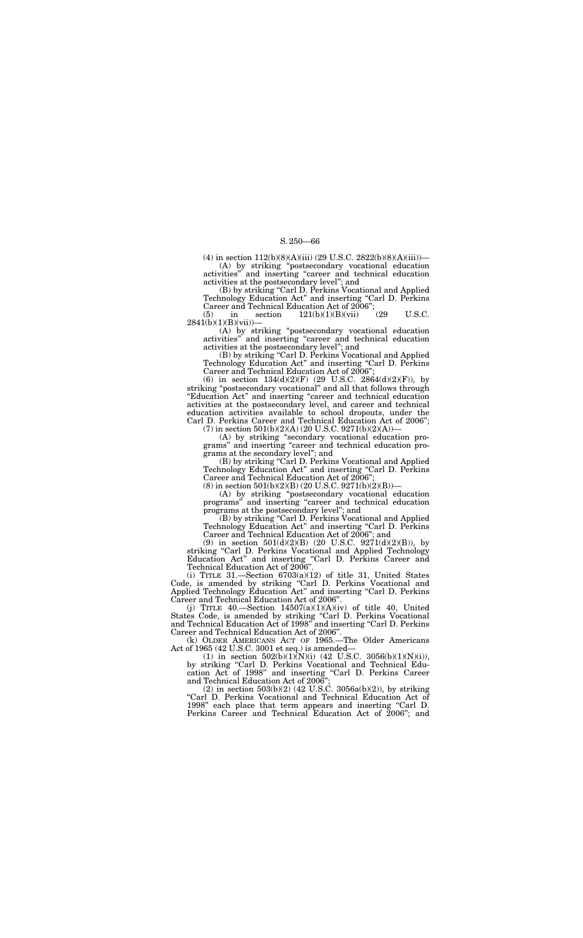(4) in section  $112(b)(8)(A)(iii)$  (29 U.S.C. 2822(b)(8)(A)(iii))—<br>(A) by striking "postsecondary vocational education

activities" and inserting "career and technical education activities at the postsecondary level''; and

(B) by striking ''Carl D. Perkins Vocational and Applied Technology Education Act'' and inserting ''Carl D. Perkins Career and Technical Education Act of 2006";<br>
(5) in section  $121(b)(1)(B)(vii)$  (29

(5) in section  $121(b)(1)(B)(vii)$  (29 U.S.C.  $2841(b)(1)(B)(vii)$ )

 $2841(b)(1)(B)(vii)$ —<br>(A) by striking "postsecondary vocational education activities'' and inserting ''career and technical education activities at the postsecondary level''; and

(6) in section  $134(d)(2)(F)$  (29 U.S.C. 2864(d)(2)(F)), by striking ''postsecondary vocational'' and all that follows through ''Education Act'' and inserting ''career and technical education activities at the postsecondary level, and career and technical education activities available to school dropouts, under the Carl D. Perkins Career and Technical Education Act of 2006'';

(7) in section  $501(b)(2)(A)$  (20 U.S.C. 9271(b)(2)(A))-

(B) by striking ''Carl D. Perkins Vocational and Applied Technology Education Act" and inserting "Carl D. Perkins" Career and Technical Education Act of 2006'';

(9) in section  $501(d)(2)(B)$  (20 U.S.C. 9271(d)(2)(B)), by striking "Carl D. Perkins Vocational and Applied Technology Education Act'' and inserting ''Carl D. Perkins Career and Technical Education Act of 2006''.

(i) TITLE 31.-Section  $6703(a)(12)$  of title 31, United States Code, is amended by striking "Carl D. Perkins Vocational and Applied Technology Education Act" and inserting "Carl D. Perkins Career and Technical Education Act of 2006''.

(A) by striking ''secondary vocational education programs'' and inserting ''career and technical education programs at the secondary level''; and

(B) by striking "Carl D. Perkins Vocational and Applied Technology Education Act" and inserting "Carl D. Perkins Career and Technical Education Act of 2006"

(j) TITLE  $40$ . Section  $14507(a)(1)(A)(iv)$  of title 40, United States Code, is amended by striking "Carl D. Perkins Vocational and Technical Education Act of 1998'' and inserting ''Carl D. Perkins Career and Technical Education Act of 2006''.

(k) OLDER AMERICANS ACT OF 1965.—The Older Americans Act of 1965 (42 U.S.C. 3001 et seq.) is amended—<br>
(1) in section 502(b)(1)(N)(i) (42 U.S.C. 3056(b)(1)(N)(i)),

(8) in section 501(b)(2)(B) (20 U.S.C. 9271(b)(2)(B))—

(A) by striking ''postsecondary vocational education programs'' and inserting ''career and technical education programs at the postsecondary level''; and

(B) by striking ''Carl D. Perkins Vocational and Applied Technology Education Act'' and inserting ''Carl D. Perkins Career and Technical Education Act of 2006''; and

by striking ''Carl D. Perkins Vocational and Technical Education Act of 1998'' and inserting ''Carl D. Perkins Career and Technical Education Act of 2006'';

(2) in section 503(b)(2) (42 U.S.C. 3056a(b)(2)), by striking ''Carl D. Perkins Vocational and Technical Education Act of 1998'' each place that term appears and inserting ''Carl D. Perkins Career and Technical Education Act of 2006''; and